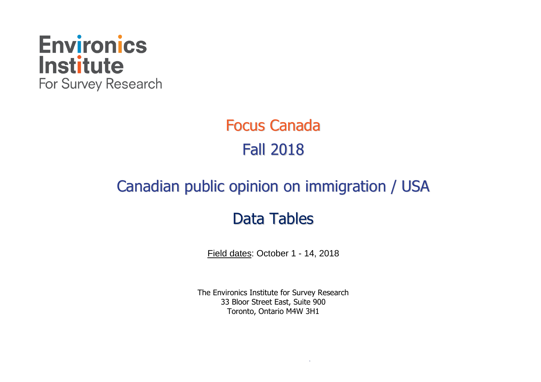

# Focus Canada Fall 2018

# Canadian public opinion on immigration / USA

# Data Tables

Field dates: October 1 - 14, 2018

The Environics Institute for Survey Research 33 Bloor Street East, Suite 900 Toronto, Ontario M4W 3H1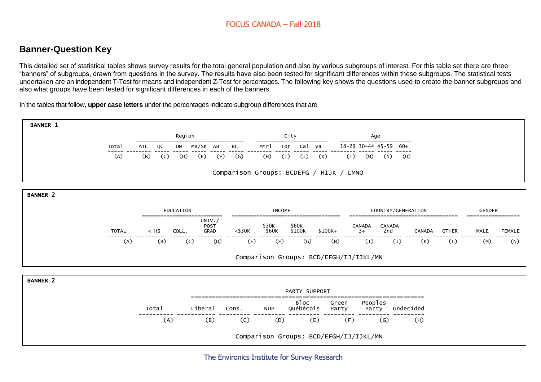# **Banner-Question Key**

This detailed set of statistical tables shows survey results for the total general population and also by various subgroups of interest. For this table set there are three "banners" of subgroups, drawn from questions in the survey. The results have also been tested for significant differences within these subgroups. The statistical tests undertaken are an independent T-Test for means and independent Z-Test for percentages. The following key shows the questions used to create the banner subgroups and also what groups have been tested for significant differences in each of the banners.

In the tables that follow, **upper case letters** under the percentages indicate subgroup differences that are

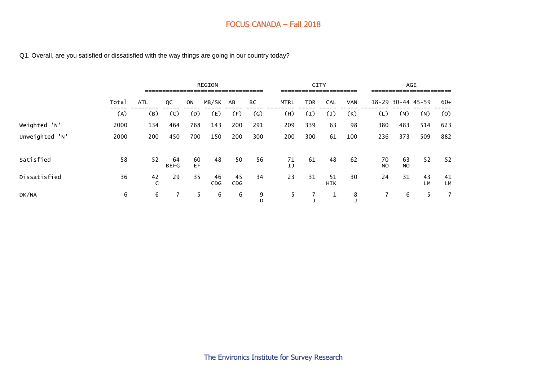#### Q1. Overall, are you satisfied or dissatisfied with the way things are going in our country today?

|                |       |                    |                   |          | <b>REGION</b><br>--------------------------------- |                  |        |             | <b>CITY</b><br>----------------------- |                   |            |                      |                      | AGE<br>---------------------- |                 |
|----------------|-------|--------------------|-------------------|----------|----------------------------------------------------|------------------|--------|-------------|----------------------------------------|-------------------|------------|----------------------|----------------------|-------------------------------|-----------------|
|                | Total | <b>ATL</b>         | QC                | ON       | MB/SK AB                                           |                  | ВC     | <b>MTRL</b> | <b>TOR</b>                             | <b>CAL</b>        | <b>VAN</b> |                      | 18-29 30-44 45-59    |                               | $60+$           |
|                | (A)   | (B)                | (C)               | (D)      | (E)                                                | (F)              | (G)    | (H)         | (I)                                    | $\left( 1\right)$ | (K)        | (L)                  | (M)                  | (N)                           | (0)             |
| Weighted 'N'   | 2000  | 134                | 464               | 768      | 143                                                | 200              | 291    | 209         | 339                                    | 63                | 98         | 380                  | 483                  | 514                           | 623             |
| Unweighted 'N' | 2000  | 200                | 450               | 700      | 150                                                | 200              | 300    | 200         | 300                                    | 61                | 100        | 236                  | 373                  | 509                           | 882             |
| Satisfied      | 58    | 52                 | 64<br><b>BEFG</b> | 60<br>EF | 48                                                 | 50               | 56     | 71<br>IJ    | 61                                     | 48                | 62         | 70<br>N <sub>O</sub> | 63<br>N <sub>O</sub> | 52                            | 52              |
| Dissatisfied   | 36    | 42<br>$\mathsf{C}$ | 29                | 35       | 46<br>CDG                                          | 45<br><b>CDG</b> | 34     | 23          | 31                                     | 51<br><b>HIK</b>  | 30         | 24                   | 31                   | 43<br>LM                      | 41<br><b>LM</b> |
| DK/NA          | 6     | 6                  |                   | 5.       | 6                                                  | 6                | 9<br>D | 5.          |                                        | 1                 | 8          |                      | 6                    | 5.                            | 7               |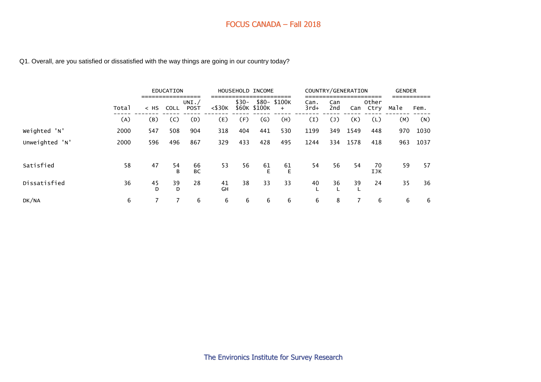#### Q1. Overall, are you satisfied or dissatisfied with the way things are going in our country today?

|                |       |                             | EDUCATION   |                         |              |                 | HOUSEHOLD INCOME |                     | COUNTRY/GENERATION |            |      | _____         | <b>GENDER</b> |      |
|----------------|-------|-----------------------------|-------------|-------------------------|--------------|-----------------|------------------|---------------------|--------------------|------------|------|---------------|---------------|------|
|                | Total | =================<br>$<$ HS | <b>COLL</b> | UNI. $/$<br><b>POST</b> | $<$ \$30 $<$ | $$30-$<br>\$60K | \$100K           | \$80- \$100K<br>$+$ | Can.<br>$3rd+$     | Can<br>2nd | Can  | Other<br>Ctry | Male          | Fem. |
|                | (A)   | (B)                         | (C)         | (D)                     | (E)          | (F)             | $\mathsf{(G)}$   | (H)                 | (1)                | (J)        | (K)  | (L)           | (M)           | (N)  |
| Weighted 'N'   | 2000  | 547                         | 508         | 904                     | 318          | 404             | 441              | 530                 | 1199               | 349        | 1549 | 448           | 970           | 1030 |
| Unweighted 'N' | 2000  | 596                         | 496         | 867                     | 329          | 433             | 428              | 495                 | 1244               | 334        | 1578 | 418           | 963           | 1037 |
| Satisfied      | 58    | 47                          | 54<br>B     | 66<br><b>BC</b>         | 53           | 56              | 61<br>Е          | 61<br>E             | 54                 | 56         | 54   | 70<br>IJK     | 59            | 57   |
| Dissatisfied   | 36    | 45<br>D                     | 39<br>D     | 28                      | 41<br>GH     | 38              | 33               | 33                  | 40                 | 36         | 39   | 24            | 35            | 36   |
| DK/NA          | 6     |                             |             | 6                       | 6            | 6               | 6                | 6                   | 6                  | 8          |      | 6             | 6             | 6    |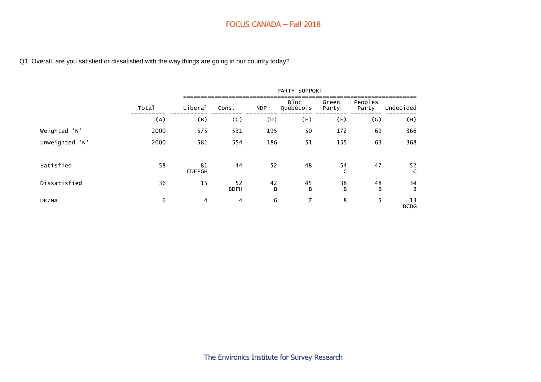#### Q1. Overall, are you satisfied or dissatisfied with the way things are going in our country today?

|                |       |                     |                   |            | PARTY SUPPORT     |                |                  |                   |
|----------------|-------|---------------------|-------------------|------------|-------------------|----------------|------------------|-------------------|
|                | Total | Liberal             | Cons.             | <b>NDP</b> | Bloc<br>Québécois | Green<br>Party | Peoples<br>Party | Undecided         |
|                | (A)   | (B)                 | (C)               | (D)        | (E)               | (F)            | (G)              | (H)               |
| Weighted 'N'   | 2000  | 575                 | 531               | 195        | 50                | 172            | 69               | 366               |
| Unweighted 'N' | 2000  | 581                 | 554               | 186        | 51                | 155            | 63               | 368               |
| Satisfied      | 58    | 81<br><b>CDEFGH</b> | 44                | 52         | 48                | 54<br>C        | 47               | 52<br>C           |
| Dissatisfied   | 36    | 15                  | 52<br><b>BDFH</b> | 42<br>B    | 45<br>B           | 38<br>B        | 48<br>B          | 34<br>B           |
| DK/NA          | 6     | 4                   | 4                 | 6          | 7                 | 8              | 5                | 13<br><b>BCDG</b> |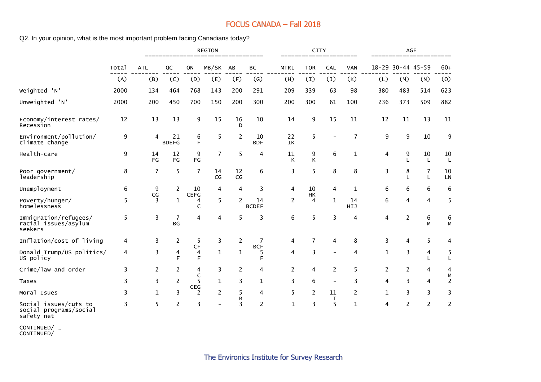Q2. In your opinion, what is the most important problem facing Canadians today?

|                                                          |       |              |                    |                   | <b>REGION</b><br>===================================== |                |                    |             | <b>CITY</b><br>====================== |                          |                |     | <b>AGE</b>        | ======================= |                     |
|----------------------------------------------------------|-------|--------------|--------------------|-------------------|--------------------------------------------------------|----------------|--------------------|-------------|---------------------------------------|--------------------------|----------------|-----|-------------------|-------------------------|---------------------|
|                                                          | Total | <b>ATL</b>   | QC                 | ON                | MB/SK                                                  | AB             | ВC                 | <b>MTRL</b> | <b>TOR</b>                            | CAL                      | <b>VAN</b>     |     | 18-29 30-44 45-59 |                         | $60+$               |
|                                                          | (A)   | (B)          | (C)                | (D)               | (E)                                                    | (F)            | (G)                | (H)         | (I)                                   | (1)                      | (K)            | (L) | (M)               | (N)                     | (0)                 |
| Weighted 'N'                                             | 2000  | 134          | 464                | 768               | 143                                                    | 200            | 291                | 209         | 339                                   | 63                       | 98             | 380 | 483               | 514                     | 623                 |
| Unweighted 'N'                                           | 2000  | 200          | 450                | 700               | 150                                                    | 200            | 300                | 200         | 300                                   | 61                       | 100            | 236 | 373               | 509                     | 882                 |
| Economy/interest rates/<br>Recession                     | 12    | 13           | 13                 | 9                 | 15                                                     | 16<br>D        | 10                 | 14          | 9                                     | 15                       | 11             | 12  | 11                | 13                      | 11                  |
| Environment/pollution/<br>climate change                 | 9     | 4            | 21<br><b>BDEFG</b> | 6<br>E            | 5                                                      | $\overline{c}$ | 10<br><b>BDF</b>   | 22<br>IK    | 5                                     |                          | $\overline{7}$ | 9   | 9                 | 10                      | 9                   |
| Health-care                                              | 9     | 14<br>FG     | 12<br>FG           | 9<br>FG           | $\overline{7}$                                         | 5              | 4                  | 11<br>K     | 9<br>К                                | 6                        | 1              | 4   | 9                 | 10<br>L                 | 10<br>L             |
| Poor government/<br>leadership                           | 8     | 7            | 5                  | 7                 | 14<br>CG                                               | 12<br>CG       | 6                  | 3           | 5                                     | 8                        | 8              | 3   | 8                 | 7<br>L                  | 10<br>LN            |
| Unemployment                                             | 6     | 9            | $\overline{2}$     | 10<br><b>CEFG</b> | 4                                                      | 4              | 3                  | 4           | 10                                    | 4                        | 1              | 6   | 6                 | 6                       | 6                   |
| Poverty/hunger/<br>homelessness                          | 5     | CG<br>3      | 1                  | 4<br>C            | 5                                                      | $\overline{2}$ | 14<br><b>BCDEF</b> | 2           | HK<br>4                               | $\mathbf{1}$             | 14<br>HIJ      | 6   | 4                 | 4                       | 5                   |
| Immigration/refugees/<br>racial issues/asylum<br>seekers | 5     | 3            | 7<br><b>BG</b>     | 4                 | 4                                                      | 5              | 3                  | 6           | 5                                     | 3                        | 4              | 4   | $\overline{c}$    | 6<br>М                  | 6<br>M              |
| Inflation/cost of living                                 | 4     | 3            | 2                  | 5                 | 3                                                      | 2              | 7                  | 4           | 7                                     | 4                        | 8              | 3   | 4                 | 5                       | 4                   |
| Donald Trump/US politics/<br>US policy                   | 4     | 3            | 4<br>F             | CF<br>4<br>F      | $\mathbf{1}$                                           | $\mathbf 1$    | <b>BCF</b><br>5    | 4           | 3                                     | $\overline{\phantom{0}}$ | 4              | 1   | 3                 | 4                       | 5<br>L              |
| Crime/law and order                                      | 3     | 2            | 2                  | 4                 | 3                                                      | 2              | 4                  | 2           | 4                                     | 2                        | 5              | 2   | 2                 | 4                       | 4                   |
| Taxes                                                    | 3     | 3            | $\overline{c}$     | C<br>5            | $\mathbf{1}$                                           | 3              | 1                  | 3           | 6                                     | $\overline{a}$           | 3              | 4   | 3                 | 4                       | M<br>$\overline{c}$ |
| Moral Isues                                              | 3     | $\mathbf{1}$ | 3                  | CEG<br>2          | 2                                                      | 5              | 4                  | 5           | 2                                     | 11                       | 2              | 1   | 3                 | 3                       | 3                   |
| Social issues/cuts to<br>social programs/social          | 3     | 5            | 2                  | 3                 | $\overline{\phantom{0}}$                               | B<br>3         | 2                  | 1           | 3                                     | I<br>5                   | 1              | 4   | 2                 | 2                       | $\overline{c}$      |

safety net CONTINUED/ …

CONTINUED/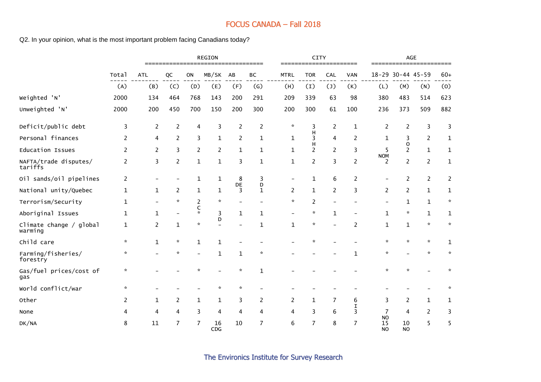Q2. In your opinion, what is the most important problem facing Canadians today?

|                                    |                |                | ==============           |                   | REGION                        | ===============          |                   |                | CITY                 |                |              |                              | $\mathsf{AGE}$    | ================== |                      |
|------------------------------------|----------------|----------------|--------------------------|-------------------|-------------------------------|--------------------------|-------------------|----------------|----------------------|----------------|--------------|------------------------------|-------------------|--------------------|----------------------|
|                                    | Total          | <b>ATL</b>     | QC                       | ON                | MB/SK                         | AB                       | BC                | <b>MTRL</b>    | <b>TOR</b>           | CAL            | <b>VAN</b>   |                              | 18-29 30-44 45-59 |                    | $60+$                |
|                                    | (A)            | (B)            | (C)                      | (D)               | (E)                           | (F)                      | (G)               | (H)            | (I)                  | (1)            | (K)          | (L)                          | (M)               | (N)                | (0)                  |
| Weighted 'N'                       | 2000           | 134            | 464                      | 768               | 143                           | 200                      | 291               | 209            | 339                  | 63             | 98           | 380                          | 483               | 514                | 623                  |
| Unweighted 'N'                     | 2000           | 200            | 450                      | 700               | 150                           | 200                      | 300               | 200            | 300                  | 61             | 100          | 236                          | 373               | 509                | 882                  |
| Deficit/public debt                | 3              | $\overline{c}$ | $\overline{c}$           | 4                 | 3                             | 2                        | $\overline{2}$    | $\mathcal{R}$  | 3                    | $\overline{c}$ | $\mathbf{1}$ | 2                            | $\overline{c}$    | 3                  | 3                    |
| Personal finances                  | $\overline{2}$ | 4              | $\overline{c}$           | 3                 | $\mathbf{1}$                  | $\overline{c}$           | $\mathbf 1$       | $\mathbf{1}$   | H<br>3               | 4              | 2            | $\mathbf{1}$                 | 3                 | $\overline{2}$     | $\mathbf{1}$         |
| Education Issues                   | 2              | 2              | 3                        | 2                 | $\overline{c}$                | 1                        | $\mathbf{1}$      | $\mathbf{1}$   | H<br>$\overline{c}$  | $\overline{2}$ | 3            | 5                            | $\mathbf 0$<br>2  | $\mathbf{1}$       | 1                    |
| NAFTA/trade disputes/<br>tariffs   | $\overline{2}$ | 3              | $\overline{c}$           | $\mathbf{1}$      | $\mathbf{1}$                  | 3                        | $\mathbf{1}$      | $\mathbf{1}$   | $\overline{c}$       | 3              | 2            | <b>NOM</b><br>2              | $\overline{c}$    | $\overline{2}$     | $\mathbf{1}$         |
| Oil sands/oil pipelines            | $\overline{2}$ |                |                          | 1                 | $\mathbf 1$                   | 8                        | 3                 |                | 1                    | 6              | 2            |                              | $\overline{c}$    | $\overline{2}$     | $\overline{c}$       |
| National unity/Quebec              | $\mathbf{1}$   | 1              | $\overline{c}$           | 1                 | 1                             | DE<br>3                  | D<br>$\mathbf{1}$ | $\overline{c}$ | $\mathbf{1}$         | $\overline{c}$ | 3            | $\overline{2}$               | 2                 | $\mathbf{1}$       | 1                    |
| Terrorism/Security                 | $\mathbf{1}$   |                | $\mathbf{x}$             | 2                 | $\star$                       | $\overline{\phantom{0}}$ |                   | $\mathcal{R}$  | 2                    |                |              |                              | 1                 | $\mathbf{1}$       | $\boldsymbol{\star}$ |
| Aboriginal Issues                  | 1              | $\mathbf{1}$   | $\overline{\phantom{a}}$ | C<br>$\mathbf{x}$ | 3                             | $\mathbf{1}$             | $\mathbf{1}$      |                | $\boldsymbol{\star}$ | $\mathbf{1}$   |              | 1                            | ☆                 | $\mathbf{1}$       | $\mathbf{1}$         |
| Climate change / global<br>warming | 1              | 2              | $\mathbf 1$              | $\star$           | D<br>$\overline{\phantom{0}}$ |                          | 1                 | 1              | $\boldsymbol{\star}$ |                | 2            | 1                            | $\mathbf{1}$      | $\boldsymbol{\pi}$ | $\mathcal{R}$        |
| Child care                         | $\mathcal{R}$  | $\mathbf{1}$   | $\boldsymbol{\pi}$       | 1                 | $\mathbf{1}$                  |                          |                   |                | *                    |                |              | ☆                            | ☆                 | $\star$            | 1                    |
| Farming/fisheries/<br>forestry     | $\star$        |                | $\mathcal{R}$            |                   | $\mathbf{1}$                  | $\mathbf 1$              | $\mathcal{R}$     |                |                      |                | 1            | $\star$                      |                   | $\mathbf{x}$       | $\mathbf{x}$         |
| Gas/fuel prices/cost of<br>gas     | ☆              |                |                          |                   |                               | ☆                        | 1                 |                |                      |                |              |                              |                   |                    |                      |
| World conflict/war                 | $\star$        |                |                          |                   | $\star$                       | $\mathcal{R}$            |                   |                |                      |                |              |                              |                   |                    |                      |
| Other                              | 2              | 1              | 2                        | 1                 | 1                             | 3                        | 2                 | 2              | 1                    | 7              | 6            | 3                            | 2                 | $\mathbf{1}$       | 1                    |
| None                               | 4              | 4              | 4                        | 3                 | 4                             | 4                        | 4                 | 4              | 3                    | 6              | I<br>3       | 7                            | 4                 | 2                  | 3                    |
| DK/NA                              | 8              | 11             | $\overline{7}$           | 7                 | 16<br>CDG                     | 10                       | 7                 | 6              | 7                    | 8              | 7            | <b>NO</b><br>15<br><b>NO</b> | 10<br><b>NO</b>   | 5                  | 5                    |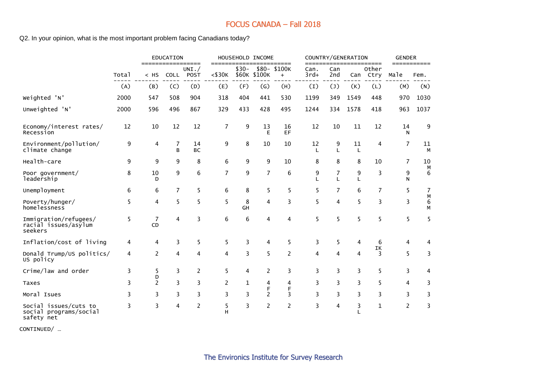Q2. In your opinion, what is the most important problem facing Canadians today?

|                                                               |       |                      | <b>EDUCATION</b>    |                            |                      |         | HOUSEHOLD INCOME                 |                     |                   |            | COUNTRY/GENERATION |                        | <b>GENDER</b>  |                     |
|---------------------------------------------------------------|-------|----------------------|---------------------|----------------------------|----------------------|---------|----------------------------------|---------------------|-------------------|------------|--------------------|------------------------|----------------|---------------------|
|                                                               | Total | ==========<br>$<$ HS | <b>COLL</b>         | ======<br>UNI. $/$<br>POST | $==$<br>$<$ \$30 $K$ | $$30-$  | ================<br>\$60K \$100K | \$80- \$100K<br>$+$ | Can.<br>$3rd+$    | Can<br>2nd | Can                | =====<br>Other<br>Ctry | Male           | ===========<br>Fem. |
|                                                               | (A)   | (B)                  | (C)                 | (D)                        | (E)                  | (F)     | (G)                              | (H)                 | (I)               | (1)        | (K)                | (L)                    | (M)            | (N)                 |
| Weighted 'N'                                                  | 2000  | 547                  | 508                 | 904                        | 318                  | 404     | 441                              | 530                 | 1199              | 349        | 1549               | 448                    | 970            | 1030                |
| Unweighted 'N'                                                | 2000  | 596                  | 496                 | 867                        | 329                  | 433     | 428                              | 495                 | 1244              | 334        | 1578               | 418                    | 963            | 1037                |
| Economy/interest rates/<br>Recession                          | 12    | 10                   | 12                  | 12                         | $\overline{7}$       | 9       | 13<br>E                          | 16<br>EF            | 12                | 10         | 11                 | 12                     | 14<br>N        | 9                   |
| Environment/pollution/<br>climate change                      | 9     | 4                    | $\overline{7}$<br>B | 14<br><b>BC</b>            | 9                    | 8       | 10                               | 10                  | 12<br>L           | 9<br>L     | 11<br>L            | 4                      | 7              | 11<br>M             |
| Health-care                                                   | 9     | 9                    | 9                   | 8                          | 6                    | 9       | 9                                | 10                  | 8                 | 8          | 8                  | 10                     | 7              | 10                  |
| Poor government/<br>leadership                                | 8     | 10<br>D              | 9                   | 6                          | 7                    | 9       | $\overline{7}$                   | 6                   | 9<br>$\mathbf{I}$ | 7<br>L     | 9<br>L             | 3                      | 9<br>N         | M<br>6              |
| Unemployment                                                  | 6     | 6                    | $\overline{7}$      | 5                          | 6                    | 8       | 5                                | 5                   | 5                 | 7          | 6                  | 7                      | 5              | 7                   |
| Poverty/hunger/<br>homelessness                               | 5     | 4                    | 5                   | 5                          | 5                    | 8<br>GH | 4                                | 3                   | 5                 | 4          | 5                  | 3                      | 3              | М<br>6<br>M         |
| Immigration/refugees/<br>racial issues/asylum<br>seekers      | 5     | 7<br>CD              | 4                   | 3                          | 6                    | 6       | 4                                | 4                   | 5                 | 5          | 5                  | 5                      | 5              | 5                   |
| Inflation/cost of living                                      | 4     | 4                    | 3                   | 5                          | 5                    | 3       | 4                                | 5                   | 3                 | 5          | 4                  | 6                      | 4              | 4                   |
| Donald Trump/US politics/<br>US policy                        | 4     | $\overline{c}$       | 4                   | 4                          | 4                    | 3       | 5                                | $\overline{c}$      | 4                 | 4          | 4                  | ΙK<br>3                | 5              | 3                   |
| Crime/law and order                                           | 3     | 5                    | 3                   | $\overline{c}$             | 5                    | 4       | $\overline{c}$                   | 3                   | 3                 | 3          | 3                  | 5                      | 3              | 4                   |
| Taxes                                                         | 3     | D<br>$\overline{2}$  | 3                   | 3                          | 2                    | 1       | 4                                | 4                   | 3                 | 3          | 3                  | 5                      | 4              | 3                   |
| Moral Isues                                                   | 3     | 3                    | 3                   | 3                          | 3                    | 3       | F<br>$\overline{c}$              | F<br>3              | 3                 | 3          | 3                  | 3                      | 3              | 3                   |
| Social issues/cuts to<br>social programs/social<br>safety net | 3     | 3                    | $\overline{4}$      | $\overline{c}$             | 5<br>н               | 3       | $\overline{2}$                   | $\overline{c}$      | 3                 | 4          | 3                  | $\mathbf{1}$           | $\overline{c}$ | 3                   |

CONTINUED/ …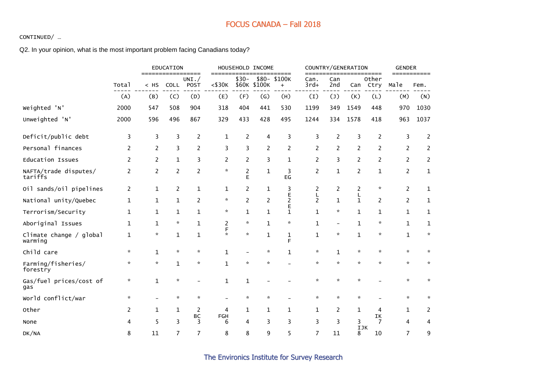#### CONTINUED/ …

#### Q2. In your opinion, what is the most important problem facing Canadians today?

|                                    |                |                      | EDUCATION          | =====                    | $==$               |                | HOUSEHOLD INCOME | =========                |                     |                | COUNTRY/GENERATION | =====          | <b>GENDER</b>          |                             |
|------------------------------------|----------------|----------------------|--------------------|--------------------------|--------------------|----------------|------------------|--------------------------|---------------------|----------------|--------------------|----------------|------------------------|-----------------------------|
|                                    | Total          | =========<br>$<$ HS  | <b>COLL</b>        | UNI. $/$<br>POST         | $<$ \$30 $<$       | $$30-$         | \$60K \$100K     | \$80-\$100K<br>$\ddot{}$ | Can.<br>$3rd+$      | Can<br>2nd     | Can                | Other<br>Ctry  | Male                   | Fem.                        |
|                                    | (A)            | (B)                  | (C)                | (D)                      | (E)                | (F)            | (G)              | (H)                      | (1)                 | (1)            | (K)                | (L)            | (M)                    | (N)                         |
| Weighted 'N'                       | 2000           | 547                  | 508                | 904                      | 318                | 404            | 441              | 530                      | 1199                | 349            | 1549               | 448            | 970                    | 1030                        |
| Unweighted 'N'                     | 2000           | 596                  | 496                | 867                      | 329                | 433            | 428              | 495                      | 1244                | 334            | 1578               | 418            | 963                    | 1037                        |
| Deficit/public debt                | 3              | 3                    | 3                  | 2                        | 1                  | 2              | 4                | $\overline{\mathbf{3}}$  | 3                   | 2              | 3                  | $\overline{2}$ | 3                      | 2                           |
| Personal finances                  | 2              | 2                    | 3                  | 2                        | 3                  | 3              | $\overline{c}$   | 2                        | 2                   | $\overline{2}$ | 2                  | $\overline{2}$ | 2                      | 2                           |
| <b>Education Issues</b>            | $\overline{2}$ | $\overline{c}$       | $\mathbf 1$        | 3                        | 2                  | $\overline{c}$ | 3                | $\mathbf 1$              | $\overline{c}$      | 3              | 2                  | $\overline{2}$ | 2                      | $\overline{2}$              |
| NAFTA/trade disputes/<br>tariffs   | 2              | 2                    | 2                  | 2                        | $\mathbf{x}$       | 2<br>Е         | $\mathbf{1}$     | 3<br>EG                  | 2                   | $\mathbf{1}$   | 2                  | 1              | $\overline{c}$         | 1                           |
| Oil sands/oil pipelines            | $\overline{2}$ | $\mathbf{1}$         | $\overline{c}$     | 1                        | 1                  | $\overline{c}$ | $\mathbf{1}$     | 3                        | 2                   | $\overline{c}$ | 2                  | $\mathbf{x}$   | $\overline{c}$         | 1                           |
| National unity/Quebec              | 1              | 1                    | $\mathbf 1$        | 2                        | $\boldsymbol{\pi}$ | $\overline{c}$ | 2                | Е<br>$\overline{c}$      | Г<br>$\overline{2}$ | $\mathbf{1}$   | L<br>$\mathbf{1}$  | $\overline{2}$ | $\overline{c}$         | $\mathbf{1}$                |
| Terrorism/Security                 | 1              | 1                    | 1                  | $\mathbf 1$              | $\star$            | 1              | 1                | Е<br>$\mathbf{1}$        | $\mathbf{1}$        | ☆              | 1                  | 1              | 1                      | 1                           |
| Aboriginal Issues                  | 1              | 1                    | $\boldsymbol{\pi}$ | $\mathbf{1}$             | 2                  | $\star$        | $\mathbf{1}$     | $\star$                  | $\mathbf{1}$        |                | 1                  | $\star$        | $\mathbf 1$            | $\mathbf{1}$                |
| Climate change / global<br>warming | 1              | $\boldsymbol{\star}$ | $\mathbf{1}$       | $\mathbf{1}$             | F<br>$\mathcal{R}$ | $\mathcal{H}$  | $\mathbf{1}$     | $\mathbf 1$<br>F         | $\mathbf{1}$        | $\star$        | $\mathbf{1}$       | $\mathbf{x}$   | $\mathbf 1$            | $\mathcal{R}^{\mathcal{L}}$ |
| Child care                         | $\mathcal{R}$  | $\mathbf{1}$         | $\mathbf{x}$       | $\mathcal{R}$            | $\mathbf{1}$       |                | $\mathcal{R}$    | $\mathbf{1}$             | $\mathcal{R}$       | $\mathbf{1}$   | $\star$            | $\mathbf{x}$   | $\mathcal{R}$          | $\mathbf{x}$                |
| Farming/fisheries/<br>forestry     | $\star$        | $\boldsymbol{\pi}$   | $\mathbf 1$        | $\pi$                    | $\mathbf{1}$       | $\star$        | $\mathcal{R}$    |                          | $\mathcal{R}$       | $\mathbf{x}$   | $\star$            | $\star$        | $\mathcal{R}^{\prime}$ | $\mathcal{R}$               |
| Gas/fuel prices/cost of<br>gas     | ×.             | $\mathbf 1$          | $\mathcal{R}$      | $\overline{\phantom{0}}$ | 1                  | 1              |                  |                          | ÷                   | $\mathcal{R}$  | ×.                 |                | ☆                      | ÷.                          |
| World conflict/war                 | ÷.             |                      | $\mathcal{R}$      | $\boldsymbol{\pi}$       |                    | $\star$        | ☆                |                          | $\star$             | $\mathbf{x}$   | ×.                 |                | $\mathcal{R}$          | ÷.                          |
| Other                              | 2              | 1                    | $\mathbf{1}$       | 2                        | 4                  | 1              | $\mathbf{1}$     | $\mathbf{1}$             | $\mathbf 1$         | 2              | $\mathbf{1}$       | 4              | $\mathbf{1}$           | 2                           |
| None                               | 4              | 5                    | 3                  | ВC<br>3                  | FGH<br>6           | 4              | 3                | 3                        | 3                   | 3              | 3                  | ΙK<br>7        | 4                      | 4                           |
| DK/NA                              | 8              | 11                   | 7                  | $\overline{7}$           | 8                  | 8              | 9                | 5                        | 7                   | 11             | <b>IJK</b><br>8    | 10             | 7                      | 9                           |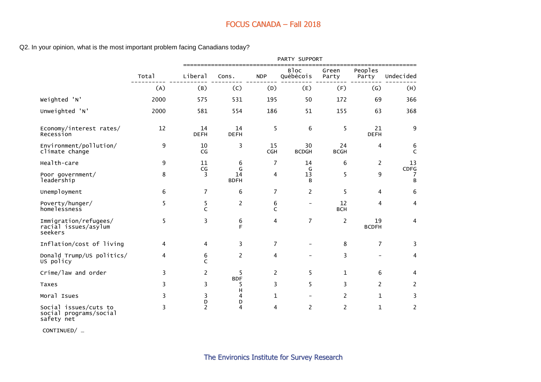Q2. In your opinion, what is the most important problem facing Canadians today?

|                                                          |       |                               |                        |                   | PARTY SUPPORT                 |                   |                    |                   |
|----------------------------------------------------------|-------|-------------------------------|------------------------|-------------------|-------------------------------|-------------------|--------------------|-------------------|
|                                                          | Total | Liberal                       | Cons.                  | <b>NDP</b>        | B <sub>loc</sub><br>Québécois | Green<br>Party    | Peoples<br>Party   | Undecided         |
|                                                          | (A)   | (B)                           | (C)                    | (D)               | (E)                           | (F)               | (G)                | (H)               |
| Weighted 'N'                                             | 2000  | 575                           | 531                    | 195               | 50                            | 172               | 69                 | 366               |
| Unweighted 'N'                                           | 2000  | 581                           | 554                    | 186               | 51                            | 155               | 63                 | 368               |
| Economy/interest rates/<br>Recession                     | 12    | 14<br><b>DEFH</b>             | 14<br><b>DEFH</b>      | 5                 | 6                             | 5                 | 21<br><b>DEFH</b>  | 9                 |
| Environment/pollution/<br>climate change                 | 9     | 10<br>CG                      | 3                      | 15<br><b>CGH</b>  | 30<br><b>BCDGH</b>            | 24<br><b>BCGH</b> | 4                  | 6<br>$\mathsf{C}$ |
| Health-care                                              | 9     | 11                            | 6                      | $\overline{7}$    | 14                            | 6                 | $\overline{2}$     | 13                |
| Poor government/<br>leadership                           | 8     | $\mathsf{CG}\phantom{.}$<br>3 | G<br>14<br><b>BDFH</b> | 4                 | G<br>13<br>B                  | 5                 | 9                  | CDFG<br>7<br>B    |
| Unemployment                                             | 6     | 7                             | 6                      | $\overline{7}$    | 2                             | 5                 | 4                  | 6                 |
| Poverty/hunger/<br>homelessness                          | 5     | 5<br>$\mathsf{C}$             | $\overline{c}$         | 6<br>$\mathsf{C}$ | $\overline{\phantom{0}}$      | 12<br><b>BCH</b>  | 4                  | 4                 |
| Immigration/refugees/<br>racial issues/asylum<br>seekers | 5     | 3                             | 6<br>F                 | 4                 | 7                             | $\overline{2}$    | 19<br><b>BCDFH</b> | 4                 |
| Inflation/cost of living                                 | 4     | 4                             | 3                      | $\overline{7}$    |                               | 8                 | $\overline{7}$     | 3                 |
| Donald Trump/US politics/<br>US policy                   | 4     | 6<br>$\mathsf{C}$             | $\overline{2}$         | 4                 |                               | 3                 | $\qquad \qquad -$  | 4                 |
| Crime/law and order                                      | 3     | $\overline{2}$                | 5                      | 2                 | 5                             | 1                 | 6                  | 4                 |
| Taxes                                                    | 3     | 3                             | <b>BDF</b><br>5        | 3                 | 5                             | 3                 | $\overline{c}$     | 2                 |
| Moral Isues                                              | 3     | 3                             | н<br>4                 | $\mathbf{1}$      |                               | 2                 | $\mathbf{1}$       | 3                 |
| Social issues/cuts to<br>social programs/social          | 3     | D<br>2                        | D<br>4                 | 4                 | 2                             | 2                 | $\mathbf{1}$       | 2                 |

CONTINUED/ …

safety net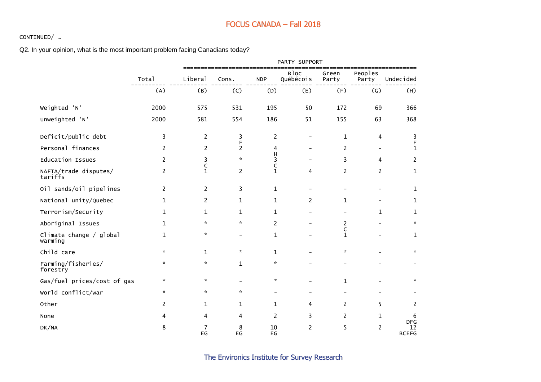#### CONTINUED/ …

Q2. In your opinion, what is the most important problem facing Canadians today?

|                                    |               |                   |                          |                              | PARTY SUPPORT            |                             |                          |                                  |
|------------------------------------|---------------|-------------------|--------------------------|------------------------------|--------------------------|-----------------------------|--------------------------|----------------------------------|
|                                    | Total         | Liberal           | Cons.                    | <b>NDP</b>                   | <b>Bloc</b><br>Québécois | Green<br>Party              | Peoples<br>Party         | Undecided                        |
|                                    | (A)           | (B)               | (C)                      | (D)                          | (E)                      | (F)                         | (G)                      | (H)                              |
| Weighted 'N'                       | 2000          | 575               | 531                      | 195                          | 50                       | 172                         | 69                       | 366                              |
| Unweighted 'N'                     | 2000          | 581               | 554                      | 186                          | 51                       | 155                         | 63                       | 368                              |
| Deficit/public debt                | 3             | $\overline{2}$    | 3                        | $\overline{c}$               | $\overline{\phantom{0}}$ | $\mathbf{1}$                | 4                        | 3                                |
| Personal finances                  | 2             | $\overline{2}$    | F<br>$\overline{c}$      | 4                            |                          | 2                           |                          | F<br>$\mathbf{1}$                |
| <b>Education Issues</b>            | 2             | 3                 | $\star$                  | н<br>3                       |                          | 3                           | 4                        | 2                                |
| NAFTA/trade disputes/<br>tariffs   | 2             | C<br>$\mathbf{1}$ | $\overline{c}$           | C<br>$\mathbf{1}$            | 4                        | $\overline{2}$              | 2                        | $\mathbf{1}$                     |
| Oil sands/oil pipelines            | 2             | 2                 | 3                        | $\mathbf{1}$                 |                          |                             | $\overline{\phantom{0}}$ | 1                                |
| National unity/Quebec              | 1             | $\overline{2}$    | $\mathbf 1$              | $\mathbf 1$                  | $\overline{c}$           | $\mathbf{1}$                |                          | 1                                |
| Terrorism/Security                 | 1             | 1                 | 1                        | 1                            |                          |                             | $\mathbf{1}$             | 1                                |
| Aboriginal Issues                  | $\mathbf{1}$  | $\mathcal{R}$     | $\pi$                    | 2                            |                          | 2                           |                          | $\mathcal{R}$                    |
| Climate change / global<br>warming | 1             | *                 | $\overline{\phantom{a}}$ | 1                            |                          | $\mathsf C$<br>$\mathbf{1}$ |                          | 1                                |
| Child care                         | $\mathcal{H}$ | $\mathbf{1}$      | $\pi$                    | $\mathbf{1}$                 |                          | *.                          |                          | $\mathcal{R}$                    |
| Farming/fisheries/<br>forestry     | $\mathcal{R}$ | $\mathcal{R}$     | $\mathbf{1}$             | $\mathcal{R}$                |                          |                             |                          |                                  |
| Gas/fuel prices/cost of gas        | $\mathcal{R}$ | $\mathbf{x}$      |                          | $\mathcal{R}$                |                          | $\mathbf{1}$                |                          | $\mathcal{R}$                    |
| World conflict/war                 | $\star$       | $\star$           | $\mathbf{x}$             | $\overline{\phantom{0}}$     |                          |                             |                          |                                  |
| Other                              | 2             | $\mathbf{1}$      | $\mathbf{1}$             | $\mathbf{1}$                 | 4                        | 2                           | 5                        | 2                                |
| None                               | 4             | 4                 | 4                        | 2                            | 3                        | 2                           | 1                        | 6                                |
| DK/NA                              | 8             | 7<br>EG           | 8<br>EG                  | 10<br>$\mathsf{E}\mathsf{G}$ | $\overline{2}$           | 5                           | $\overline{c}$           | <b>DFG</b><br>12<br><b>BCEFG</b> |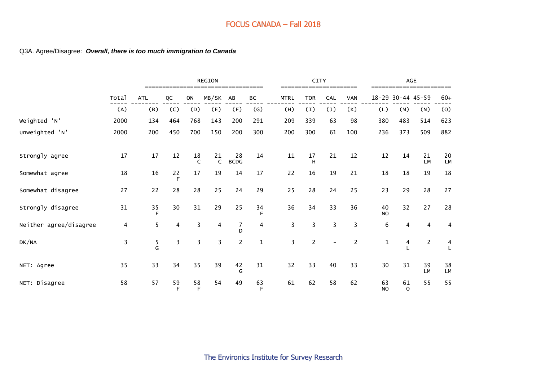#### Q3A. Agree/Disagree: *Overall, there is too much immigration to Canada*

|                        |       |            |         |                    | <b>REGION</b>           |                     |                           |                | CITY           |                          |            |                 |                   | <b>AGE</b>        |                     |
|------------------------|-------|------------|---------|--------------------|-------------------------|---------------------|---------------------------|----------------|----------------|--------------------------|------------|-----------------|-------------------|-------------------|---------------------|
|                        | Total | <b>ATL</b> | QC      | ON                 | MB/SK                   | AB                  | ВC                        | <b>MTRL</b>    | <b>TOR</b>     | CAL                      | <b>VAN</b> |                 |                   | 18-29 30-44 45-59 | $60+$               |
|                        | (A)   | (B)        | (C)     | (D)                | (E)                     | (F)                 | $\left(\mathsf{G}\right)$ | (H)            | (I)            | $(\texttt{l})$           | (K)        | (L)             | (M)               | (N)               | (0)                 |
| Weighted 'N'           | 2000  | 134        | 464     | 768                | 143                     | 200                 | 291                       | 209            | 339            | 63                       | 98         | 380             | 483               | 514               | 623                 |
| Unweighted 'N'         | 2000  | 200        | 450     | 700                | 150                     | 200                 | 300                       | 200            | 300            | 61                       | 100        | 236             | 373               | 509               | 882                 |
| Strongly agree         | 17    | 17         | 12      | 18<br>$\mathsf{C}$ | 21<br>$\mathsf{C}$      | 28<br><b>BCDG</b>   | 14                        | 11             | 17<br>H        | 21                       | 12         | 12              | 14                | 21<br><b>LM</b>   | 20<br><b>LM</b>     |
| Somewhat agree         | 18    | 16         | 22<br>F | 17                 | 19                      | 14                  | 17                        | 22             | 16             | 19                       | 21         | 18              | 18                | 19                | 18                  |
| Somewhat disagree      | 27    | 22         | 28      | 28                 | 25                      | 24                  | 29                        | 25             | 28             | 24                       | 25         | 23              | 29                | 28                | 27                  |
| Strongly disagree      | 31    | 35<br>F    | 30      | 31                 | 29                      | 25                  | 34<br>F                   | 36             | 34             | 33                       | 36         | 40<br><b>NO</b> | 32                | 27                | 28                  |
| Neither agree/disagree | 4     | 5          | 4       | 3                  | 4                       | $\overline{7}$<br>D | 4                         | 3              | 3              | 3                        | 3          | 6               | 4                 | 4                 | 4                   |
| DK/NA                  | 3     | 5<br>G     | 3       | 3                  | $\overline{\mathbf{3}}$ | $\overline{2}$      | $\mathbf{1}$              | $\overline{3}$ | $\overline{2}$ | $\overline{\phantom{a}}$ | 2          | $\mathbf{1}$    | 4                 | $\overline{c}$    | $\overline{4}$<br>L |
| NET: Agree             | 35    | 33         | 34      | 35                 | 39                      | 42<br>G             | 31                        | 32             | 33             | 40                       | 33         | 30              | 31                | 39<br><b>LM</b>   | 38<br>LM            |
| NET: Disagree          | 58    | 57         | 59<br>F | 58<br>F            | 54                      | 49                  | 63<br>F                   | 61             | 62             | 58                       | 62         | 63<br><b>NO</b> | 61<br>$\mathbf 0$ | 55                | 55                  |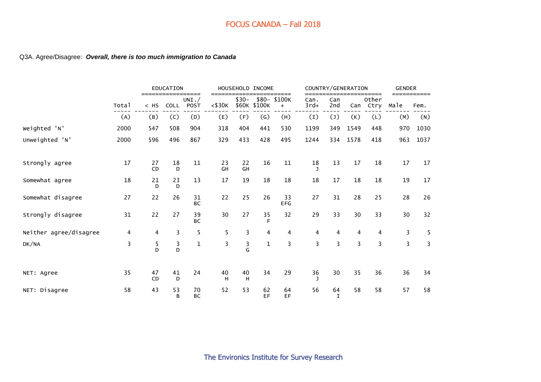#### Q3A. Agree/Disagree: *Overall, there is too much immigration to Canada*

|                        |       |                   | <b>EDUCATION</b> | ====            |                     |          | HOUSEHOLD INCOME  | ====               |                |                   | COUNTRY/GENERATION | ====              | <b>GENDER</b> |      |
|------------------------|-------|-------------------|------------------|-----------------|---------------------|----------|-------------------|--------------------|----------------|-------------------|--------------------|-------------------|---------------|------|
|                        | Total | $=====$<br>$<$ HS | <b>COLL</b>      | UNI. /<br>POST  | ===<br>$<$ \$30 $K$ | $$30-$   | \$60K \$100K      | \$80-\$100K<br>$+$ | Can.<br>$3rd+$ | Can<br>2nd        |                    | Other<br>Can Ctry | Male          | Fem. |
|                        | (A)   | (B)               | (C)              | (D)             | (E)                 | (F)      | $\left( G\right)$ | (H)                | (I)            | (1)               | (K)                | (L)               | (M)           | (N)  |
| Weighted 'N'           | 2000  | 547               | 508              | 904             | 318                 | 404      | 441               | 530                | 1199           | 349               | 1549               | 448               | 970           | 1030 |
| Unweighted 'N'         | 2000  | 596               | 496              | 867             | 329                 | 433      | 428               | 495                | 1244           | 334               | 1578               | 418               | 963           | 1037 |
| Strongly agree         | 17    | 27<br>CD          | 18<br>D          | 11              | 23<br>GH            | 22<br>GH | 16                | 11                 | 18             | 13                | 17                 | 18                | 17            | 17   |
| Somewhat agree         | 18    | 21<br>D           | 23<br>D          | 13              | 17                  | 19       | 18                | 18                 | 18             | 17                | 18                 | 18                | 19            | 17   |
| Somewhat disagree      | 27    | 22                | 26               | 31<br><b>BC</b> | 22                  | 25       | 26                | 33<br><b>EFG</b>   | 27             | 31                | 28                 | 25                | 28            | 26   |
| Strongly disagree      | 31    | 22                | 27               | 39<br><b>BC</b> | 30                  | 27       | 35<br>F           | 32                 | 29             | 33                | 30                 | 33                | 30            | 32   |
| Neither agree/disagree | 4     | $\overline{4}$    | 3                | 5               | 5                   | 3        | 4                 | 4                  | $\overline{4}$ | $\overline{4}$    | $\overline{4}$     | $\overline{4}$    | 3             | 5    |
| DK/NA                  | 3     | 5<br>D            | $\frac{3}{D}$    | $\mathbf{1}$    | 3                   | 3<br>G   | $\mathbf{1}$      | 3                  | 3              | 3                 | 3                  | 3                 | 3             | 3    |
| NET: Agree             | 35    | 47<br>CD          | 41<br>D          | 24              | 40<br>H             | 40<br>н  | 34                | 29                 | 36<br>J.       | 30                | 35                 | 36                | 36            | 34   |
| NET: Disagree          | 58    | 43                | 53<br>B          | 70<br><b>BC</b> | 52                  | 53       | 62<br>EF          | 64<br>EF           | 56             | 64<br>$\mathbf I$ | 58                 | 58                | 57            | 58   |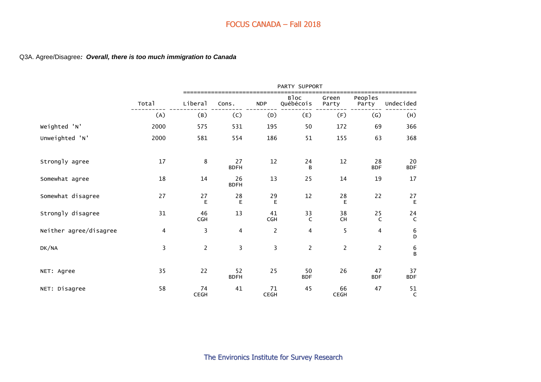#### Q3A. Agree/Disagree*: Overall, there is too much immigration to Canada*

|                        |       |                  |                         |                   | PARTY SUPPORT            |                   |                           |                    |
|------------------------|-------|------------------|-------------------------|-------------------|--------------------------|-------------------|---------------------------|--------------------|
|                        | Total | Liberal          | Cons.                   | <b>NDP</b>        | <b>Bloc</b><br>Québécois | Green<br>Party    | Peoples<br>Party          | Undecided          |
|                        | (A)   | (B)              | (C)                     | (D)               | (E)                      | (F)               | $\left(\mathsf{G}\right)$ | (H)                |
| Weighted 'N'           | 2000  | 575              | 531                     | 195               | 50                       | 172               | 69                        | 366                |
| Unweighted 'N'         | 2000  | 581              | 554                     | 186               | 51                       | 155               | 63                        | 368                |
| Strongly agree         | 17    | 8                | 27<br><b>BDFH</b>       | 12                | 24<br>B                  | 12                | 28<br><b>BDF</b>          | 20<br><b>BDF</b>   |
| Somewhat agree         | 18    | 14               | 26<br><b>BDFH</b>       | 13                | 25                       | 14                | 19                        | 17                 |
| Somewhat disagree      | 27    | 27<br>E          | 28<br>$\mathsf E$       | 29<br>E           | 12                       | 28<br>E           | 22                        | 27<br>$\mathsf E$  |
| Strongly disagree      | 31    | 46<br><b>CGH</b> | 13                      | 41<br><b>CGH</b>  | 33<br>$\mathsf{C}$       | 38<br>CH          | 25<br>$\mathsf{C}$        | 24<br>$\mathsf{C}$ |
| Neither agree/disagree | 4     | 3                | $\overline{\mathbf{4}}$ | $\overline{c}$    | 4                        | 5                 | $\overline{4}$            | 6<br>D             |
| DK/NA                  | 3     | $\overline{2}$   | 3                       | 3                 | $\overline{2}$           | $\overline{c}$    | $\overline{2}$            | 6<br>B             |
| NET: Agree             | 35    | 22               | 52<br><b>BDFH</b>       | 25                | 50<br><b>BDF</b>         | 26                | 47<br><b>BDF</b>          | 37<br><b>BDF</b>   |
| NET: Disagree          | 58    | 74<br>CEGH       | 41                      | 71<br><b>CEGH</b> | 45                       | 66<br><b>CEGH</b> | 47                        | 51<br>$\mathsf{C}$ |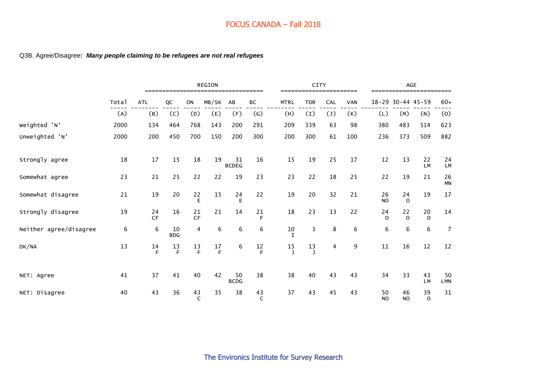#### Q3B. Agree/Disagree**:** *Many people claiming to be refugees are not real refugees*

|                        |       |                 |                  | <b>REGION</b>      |                  |                    |                           | CITY        |                    | =========        |         |            | AGE             |                   |                   |                  |
|------------------------|-------|-----------------|------------------|--------------------|------------------|--------------------|---------------------------|-------------|--------------------|------------------|---------|------------|-----------------|-------------------|-------------------|------------------|
|                        | Total | <b>ATL</b>      | QC               | ON                 | MB/SK            | AB                 | ВC                        | <b>MTRL</b> |                    | <b>TOR</b>       | CAL     | <b>VAN</b> |                 | 18-29 30-44 45-59 |                   | $60+$            |
|                        | (A)   | (B)             | (C)              | (D)                | (E)              | (F)                | $\left(\mathsf{G}\right)$ |             | (H)                | $\left(1\right)$ | (1)     | (K)        | (L)             | (M)               | (N)               | (0)              |
| Weighted 'N'           | 2000  | 134             | 464              | 768                | 143              | 200                | 291                       |             | 209                | 339              | 63      | 98         | 380             | 483               | 514               | 623              |
| Unweighted 'N'         | 2000  | 200             | 450              | 700                | 150              | 200                | 300                       |             | 200                | 300              | 61      | 100        | 236             | 373               | 509               | 882              |
| Strongly agree         | 18    | 17              | 15               | 18                 | 19               | 31<br><b>BCDEG</b> | 16                        |             | 15                 | 19               | 25      | 17         | 12              | 13                | 22<br><b>LM</b>   | 24<br>LM         |
| Somewhat agree         | 23    | 21              | 25               | 22                 | 22               | 19                 | 23                        |             | 23                 | 22               | 18      | 25         | 22              | 19                | 21                | 26<br><b>MN</b>  |
| Somewhat disagree      | 21    | 19              | 20               |                    | 15               | 24<br>E            | 22                        |             | 19                 | 20               | 32      | 21         | 26<br><b>NO</b> | 24<br>$\Omega$    | 19                | 17               |
| Strongly disagree      | 19    | 24<br><b>CF</b> | 16               | 21<br><b>CF</b>    | 21               | 14                 | 21<br>F                   |             | 18                 | 23               | 13      | 22         | 24<br>$\Omega$  | 22<br>$\Omega$    | 20<br>$\mathbf 0$ | 14               |
| Neither agree/disagree | 6     | 6               | 10<br><b>BDG</b> | 4                  | $\boldsymbol{6}$ | 6                  | 6                         |             | 10<br>$\mathbf I$  | 3                | $\,8\,$ | 6          | $\,6\,$         | 6                 | 6                 | $\overline{7}$   |
| DK/NA                  | 13    | 14<br>F         | 13<br>F          | 13<br>$\mathsf F$  | 17<br>F          | 6                  | $\frac{12}{F}$            |             | 15<br>$\mathbf{J}$ | 13<br>J          | 4       | 9          | 11              | 16                | 12                | 12               |
| NET: Agree             | 41    | 37              | 41               | 40                 | 42               | 50<br><b>BCDG</b>  | 38                        |             | 38                 | 40               | 43      | 43         | 34              | 33                | 43<br><b>LM</b>   | 50<br><b>LMN</b> |
| NET: Disagree          | 40    | 43              | 36               | 43<br>$\mathsf{C}$ | 35               | 38                 | 43<br>C                   |             | 37                 | 43               | 45      | 43         | 50<br><b>NO</b> | 46<br><b>NO</b>   | 39<br>$\mathbf 0$ | 31               |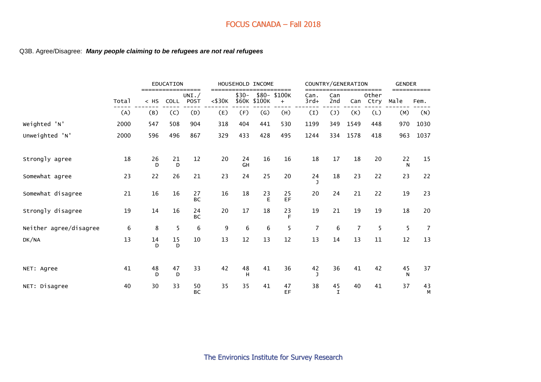#### Q3B. Agree/Disagree: *Many people claiming to be refugees are not real refugees*

|                        |       |                      | <b>EDUCATION</b> |                                      |                     |          | HOUSEHOLD INCOME  |                               |                |                   | COUNTRY/GENERATION |                            | <b>GENDER</b> |                     |
|------------------------|-------|----------------------|------------------|--------------------------------------|---------------------|----------|-------------------|-------------------------------|----------------|-------------------|--------------------|----------------------------|---------------|---------------------|
|                        | Total | $=$ ======<br>$<$ HS | COLL             | =========<br>UNI. $/$<br><b>POST</b> | ===<br>$<$ \$30 $K$ | $$30-$   | \$60K \$100K      | ======<br>\$80- \$100K<br>$+$ | Can.<br>$3rd+$ | Can<br>2nd        |                    | =====<br>Other<br>Can Ctry | Male          | ===========<br>Fem. |
|                        | (A)   | (B)                  | (C)              | (D)                                  | (E)                 | (F)      | $\left( G\right)$ | (H)                           | (I)            | $(\mathsf{J})$    | (K)                | (L)                        | (M)           | (N)                 |
| Weighted 'N'           | 2000  | 547                  | 508              | 904                                  | 318                 | 404      | 441               | 530                           | 1199           | 349               | 1549               | 448                        | 970           | 1030                |
| Unweighted 'N'         | 2000  | 596                  | 496              | 867                                  | 329                 | 433      | 428               | 495                           | 1244           | 334               | 1578               | 418                        | 963           | 1037                |
| Strongly agree         | 18    | 26<br>D              | 21<br>D          | 12                                   | 20                  | 24<br>GH | 16                | 16                            | 18             | 17                | 18                 | 20                         | 22<br>N       | 15                  |
| Somewhat agree         | 23    | 22                   | 26               | 21                                   | 23                  | 24       | 25                | 20                            | 24             | 18                | 23                 | 22                         | 23            | 22                  |
| Somewhat disagree      | 21    | 16                   | 16               | 27<br>BC                             | 16                  | 18       | 23<br>E           | 25<br>EF                      | 20             | 24                | 21                 | 22                         | 19            | 23                  |
| Strongly disagree      | 19    | 14                   | 16               | 24<br>BC                             | 20                  | 17       | 18                | 23<br>F                       | 19             | 21                | 19                 | 19                         | 18            | 20                  |
| Neither agree/disagree | 6     | 8                    | 5                | $\,6$                                | 9                   | 6        | 6                 | 5                             | $\overline{7}$ | 6                 | $\overline{7}$     | 5                          | 5             | $\overline{7}$      |
| DK/NA                  | 13    | 14<br>D              | 15<br>D          | 10                                   | 13                  | 12       | 13                | 12                            | 13             | 14                | 13                 | $11\,$                     | 12            | 13                  |
| NET: Agree             | 41    | 48<br>D              | 47<br>D          | 33                                   | 42                  | 48<br>H  | 41                | 36                            | 42             | 36                | 41                 | 42                         | 45<br>N       | 37                  |
| NET: Disagree          | 40    | 30                   | 33               | 50<br>BC                             | 35                  | 35       | 41                | 47<br>EF                      | 38             | 45<br>$\mathbf I$ | 40                 | 41                         | 37            | 43<br>М             |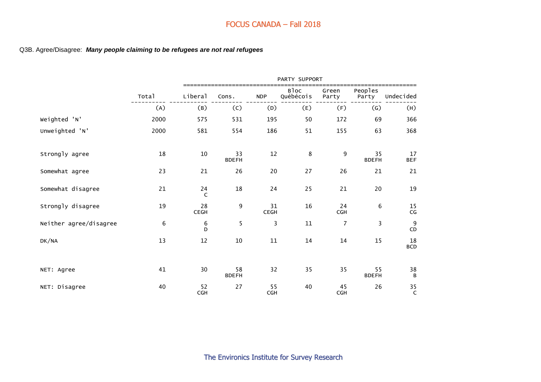#### Q3B. Agree/Disagree: *Many people claiming to be refugees are not real refugees*

|                        |       |                  |                    |                   | PARTY SUPPORT            |                  |                    |                  |
|------------------------|-------|------------------|--------------------|-------------------|--------------------------|------------------|--------------------|------------------|
|                        | Total | Liberal          | Cons.              | <b>NDP</b>        | <b>Bloc</b><br>Québécois | Green<br>Party   | Peoples<br>Party   | Undecided        |
|                        | (A)   | (B)              | (C)                | (D)               | (E)                      | (F)              | $\left( G\right)$  | (H)              |
| Weighted 'N'           | 2000  | 575              | 531                | 195               | 50                       | 172              | 69                 | 366              |
| Unweighted 'N'         | 2000  | 581              | 554                | 186               | 51                       | 155              | 63                 | 368              |
| Strongly agree         | 18    | $10\,$           | 33<br><b>BDEFH</b> | 12                | 8                        | 9                | 35<br><b>BDEFH</b> | 17<br><b>BEF</b> |
| Somewhat agree         | 23    | 21               | 26                 | 20                | 27                       | 26               | 21                 | 21               |
| Somewhat disagree      | 21    | 24<br>C          | 18                 | 24                | 25                       | 21               | 20                 | 19               |
| Strongly disagree      | 19    | 28<br>CEGH       | 9                  | 31<br><b>CEGH</b> | 16                       | 24<br><b>CGH</b> | 6                  | 15<br>CG         |
| Neither agree/disagree | 6     | 6<br>D           | 5                  | 3                 | 11                       | $\overline{7}$   | 3                  | 9<br>CD          |
| DK/NA                  | 13    | 12               | 10                 | 11                | 14                       | 14               | 15                 | 18<br><b>BCD</b> |
| NET: Agree             | 41    | 30               | 58<br><b>BDEFH</b> | 32                | 35                       | 35               | 55<br><b>BDEFH</b> | 38<br>B          |
| NET: Disagree          | 40    | 52<br><b>CGH</b> | 27                 | 55<br><b>CGH</b>  | 40                       | 45<br><b>CGH</b> | 26                 | 35<br>C          |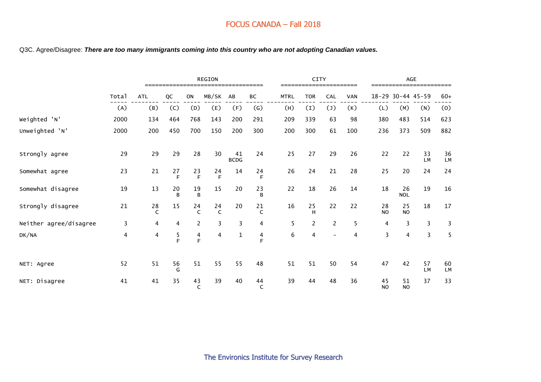Q3C. Agree/Disagree: *There are too many immigrants coming into this country who are not adopting Canadian values.*

|                        |       | <b>REGION</b>      |         |                |                   |                   |                   |             | <b>CITY</b><br>======================= |                          |            |                 |                  | <b>AGE</b><br>====================== |          |
|------------------------|-------|--------------------|---------|----------------|-------------------|-------------------|-------------------|-------------|----------------------------------------|--------------------------|------------|-----------------|------------------|--------------------------------------|----------|
|                        | Total | <b>ATL</b>         | QC      | ON             | MB/SK             | AB                | BC                | <b>MTRL</b> | <b>TOR</b>                             | CAL                      | <b>VAN</b> | $18 - 29$       | $30 - 44$ 45-59  |                                      | $60+$    |
|                        | (A)   | (B)                | (C)     | (D)            | (E)               | (F)               | $\left( G\right)$ | (H)         | (I)                                    | $(\mathsf{J})$           | (K)        | (L)             | (M)              | (N)                                  | (0)      |
| Weighted 'N'           | 2000  | 134                | 464     | 768            | 143               | 200               | 291               | 209         | 339                                    | 63                       | 98         | 380             | 483              | 514                                  | 623      |
| Unweighted 'N'         | 2000  | 200                | 450     | 700            | 150               | 200               | 300               | 200         | 300                                    | 61                       | 100        | 236             | 373              | 509                                  | 882      |
| Strongly agree         | 29    | 29                 | 29      | 28             | 30                | 41<br><b>BCDG</b> | 24                | 25          | 27                                     | 29                       | 26         | 22              | 22               | 33<br><b>LM</b>                      | 36<br>LM |
| Somewhat agree         | 23    | 21                 | 27<br>F | 23<br>F        | 24<br>F           | 14                | 24<br>F           | 26          | 24                                     | 21                       | 28         | 25              | 20               | 24                                   | 24       |
| Somewhat disagree      | 19    | 13                 | 20<br>B | 19<br>B        | 15                | 20                | 23<br>B           | 22          | 18                                     | 26                       | 14         | 18              | 26<br><b>NOL</b> | 19                                   | 16       |
| Strongly disagree      | 21    | 28<br>$\mathsf{C}$ | 15      | 24<br>C        | 24<br>$\mathsf C$ | 20                | 21<br>C           | 16          | 25<br>H                                | 22                       | 22         | 28<br><b>NO</b> | 25<br><b>NO</b>  | 18                                   | 17       |
| Neither agree/disagree | 3     | $\overline{4}$     | 4       | $\overline{2}$ | 3                 | $\overline{3}$    | 4                 | 5           | $\overline{c}$                         | $\overline{2}$           | 5          | 4               | 3                | 3                                    | 3        |
| DK/NA                  | 4     | 4                  | 5<br>F  | $\frac{4}{F}$  | $\overline{4}$    | $\mathbf 1$       | 4<br>E            | 6           | $\overline{\mathbf{4}}$                | $\overline{\phantom{a}}$ | 4          | 3               | $\overline{4}$   | 3                                    | 5        |
| NET: Agree             | 52    | 51                 | 56<br>G | 51             | 55                | 55                | 48                | 51          | 51                                     | 50                       | 54         | 47              | 42               | 57<br><b>LM</b>                      | 60<br>LM |
| NET: Disagree          | 41    | 41                 | 35      | 43<br>C        | 39                | 40                | 44<br>C           | 39          | 44                                     | 48                       | 36         | 45<br><b>NO</b> | 51<br><b>NO</b>  | 37                                   | 33       |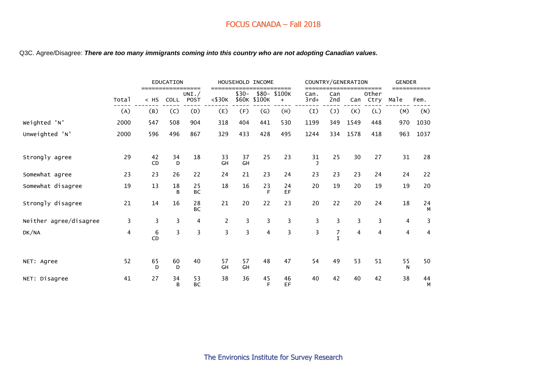#### Q3C. Agree/Disagree: *There are too many immigrants coming into this country who are not adopting Canadian values.*

|                        |       |                 | <b>EDUCATION</b> |                                |                |                 | HOUSEHOLD INCOME |                              |                |                                  | COUNTRY/GENERATION |                        | <b>GENDER</b>  |                |
|------------------------|-------|-----------------|------------------|--------------------------------|----------------|-----------------|------------------|------------------------------|----------------|----------------------------------|--------------------|------------------------|----------------|----------------|
|                        | Total | $<$ HS          | <b>COLL</b>      | ==========<br>UNI. $/$<br>POST | $<$ \$30 $K$   | $$30-$<br>\$60K | \$100K           | ======<br>\$80-\$100K<br>$+$ | Can.<br>$3rd+$ | Can<br>2nd                       | Can                | =====<br>Other<br>Ctry | Male           | Fem.           |
|                        | (A)   | (B)             | (C)              | (D)                            | (E)            | (F)             | (G)              | (H)                          | (I)            | $(\mathsf{J})$                   | (K)                | (L)                    | (M)            | (N)            |
| Weighted 'N'           | 2000  | 547             | 508              | 904                            | 318            | 404             | 441              | 530                          | 1199           | 349                              | 1549               | 448                    | 970            | 1030           |
| Unweighted 'N'         | 2000  | 596             | 496              | 867                            | 329            | 433             | 428              | 495                          | 1244           | 334                              | 1578               | 418                    | 963            | 1037           |
| Strongly agree         | 29    | 42<br><b>CD</b> | 34<br>D          | 18                             | 33<br>GH       | 37<br>GH        | 25               | 23                           | 31             | 25                               | 30                 | 27                     | 31             | 28             |
| Somewhat agree         | 23    | 23              | 26               | 22                             | 24             | 21              | 23               | 24                           | 23             | 23                               | 23                 | 24                     | 24             | 22             |
| Somewhat disagree      | 19    | 13              | 18<br>B          | 25<br><b>BC</b>                | 18             | 16              | 23<br>E          | 24<br>EF                     | 20             | 19                               | 20                 | 19                     | 19             | 20             |
| Strongly disagree      | 21    | 14              | 16               | 28<br><b>BC</b>                | 21             | 20              | 22               | 23                           | 20             | 22                               | 20                 | 24                     | 18             | 24<br>М        |
| Neither agree/disagree | 3     | $\overline{3}$  | 3                | 4                              | $\overline{2}$ | $\overline{3}$  | 3                | 3                            | $\overline{3}$ | $\overline{3}$                   | 3                  | 3                      | $\overline{4}$ | 3              |
| DK/NA                  | 4     | 6<br>CD         | 3                | 3                              | $\overline{3}$ | $\overline{3}$  | $\overline{4}$   | 3                            | 3              | $\boldsymbol{7}$<br>$\mathsf{T}$ | 4                  | 4                      | 4              | $\overline{4}$ |
| NET: Agree             | 52    | 65<br>D         | 60<br>D          | 40                             | 57<br>GH       | 57<br>GH        | 48               | 47                           | 54             | 49                               | 53                 | 51                     | 55<br>N        | 50             |
| NET: Disagree          | 41    | 27              | 34<br>B          | 53<br><b>BC</b>                | 38             | 36              | 45<br>F          | 46<br><b>EF</b>              | 40             | 42                               | 40                 | 42                     | 38             | 44<br>М        |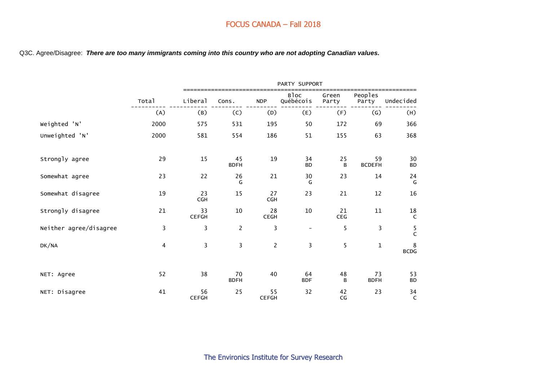Q3C. Agree/Disagree: *There are too many immigrants coming into this country who are not adopting Canadian values.*

|                        |                |                    |                   |                    | PARTY SUPPORT            |                |                     |                            |
|------------------------|----------------|--------------------|-------------------|--------------------|--------------------------|----------------|---------------------|----------------------------|
|                        | Total          | Liberal            | Cons.             | <b>NDP</b>         | <b>Bloc</b><br>Québécois | Green<br>Party | Peoples<br>Party    | Undecided                  |
|                        | (A)            | (B)                | (C)               | (D)                | (E)                      | (F)            | (G)                 | (H)                        |
| Weighted 'N'           | 2000           | 575                | 531               | 195                | 50                       | 172            | 69                  | 366                        |
| Unweighted 'N'         | 2000           | 581                | 554               | 186                | 51                       | 155            | 63                  | 368                        |
| Strongly agree         | 29             | 15                 | 45<br><b>BDFH</b> | 19                 | 34<br><b>BD</b>          | 25<br>B        | 59<br><b>BCDEFH</b> | 30<br><b>BD</b>            |
| Somewhat agree         | 23             | 22                 | 26<br>G           | 21                 | 30<br>G                  | 23             | 14                  | 24<br>G                    |
| Somewhat disagree      | 19             | 23<br><b>CGH</b>   | 15                | 27<br><b>CGH</b>   | 23                       | 21             | 12                  | 16                         |
| Strongly disagree      | 21             | 33<br><b>CEFGH</b> | $10\,$            | 28<br><b>CEGH</b>  | 10                       | 21<br>CEG      | 11                  | $\frac{18}{C}$             |
| Neither agree/disagree | $\overline{3}$ | 3                  | $\overline{c}$    | 3                  | $\overline{\phantom{a}}$ | 5              | 3                   | $\frac{5}{C}$              |
| DK/NA                  | 4              | $\overline{3}$     | $\overline{3}$    | $\overline{2}$     | $\overline{3}$           | 5              | $\mathbf{1}$        | $\,8\,$<br>$\mathsf{BCDG}$ |
| NET: Agree             | 52             | 38                 | 70<br><b>BDFH</b> | 40                 | 64<br><b>BDF</b>         | 48<br>B        | 73<br><b>BDFH</b>   | 53<br><b>BD</b>            |
| NET: Disagree          | 41             | 56<br><b>CEFGH</b> | 25                | 55<br><b>CEFGH</b> | 32                       | 42<br>CG       | 23                  | 34<br>$\mathsf{C}$         |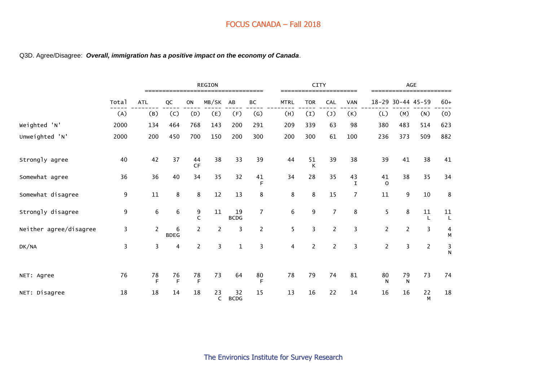#### Q3D. Agree/Disagree: *Overall, immigration has a positive impact on the economy of Canada*.

|                        |                         |                 | <b>REGION</b><br>------------------- |                |                    |                   |                   |                | <b>CITY</b>    |                | ==========        |                |                    | AGE<br>----------------------- |               |
|------------------------|-------------------------|-----------------|--------------------------------------|----------------|--------------------|-------------------|-------------------|----------------|----------------|----------------|-------------------|----------------|--------------------|--------------------------------|---------------|
|                        | Total                   | <b>ATL</b>      | QC                                   | ON             | MB/SK              | AB                | BC                | <b>MTRL</b>    | <b>TOR</b>     | CAL            | <b>VAN</b>        | $18 - 29$      |                    | $30 - 44$ 45-59                | $60+$         |
|                        | (A)                     | (B)             | (C)                                  | (D)            | (E)                | (F)               | $\left( G\right)$ | (H)            | (I)            | (1)            | (K)               | (L)            | (M)                | (N)                            | (0)           |
| Weighted 'N'           | 2000                    | 134             | 464                                  | 768            | 143                | 200               | 291               | 209            | 339            | 63             | 98                | 380            | 483                | 514                            | 623           |
| Unweighted 'N'         | 2000                    | 200             | 450                                  | 700            | 150                | 200               | 300               | 200            | 300            | 61             | 100               | 236            | 373                | 509                            | 882           |
| Strongly agree         | 40                      | 42              | 37                                   | 44<br>CF       | 38                 | 33                | 39                | 44             | 51<br>K        | 39             | 38                | 39             | 41                 | 38                             | 41            |
| Somewhat agree         | 36                      | 36              | 40                                   | 34             | 35                 | 32                | 41<br>F           | 34             | 28             | 35             | 43<br>$\mathbf I$ | 41<br>$\Omega$ | 38                 | 35                             | 34            |
| Somewhat disagree      | 9                       | 11              | 8                                    | 8              | 12                 | 13                | 8                 | 8              | 8              | 15             | $\overline{7}$    | 11             | 9                  | 10                             | 8             |
| Strongly disagree      | 9                       | 6               | 6                                    | 9<br>C         | 11                 | 19<br><b>BCDG</b> | $\overline{7}$    | $\,6\,$        | 9              | $\overline{7}$ | 8                 | 5              | 8                  | ${\bf 11}$                     | $11$<br>L     |
| Neither agree/disagree | 3                       | $\overline{c}$  | 6<br><b>BDEG</b>                     | $\overline{2}$ | $\overline{c}$     | 3                 | $\overline{2}$    | 5              | 3              | $\overline{2}$ | 3                 | $\overline{2}$ | $\overline{2}$     | $\overline{3}$                 | $\frac{4}{M}$ |
| DK/NA                  | $\overline{\mathbf{3}}$ | 3               | 4                                    | $\overline{2}$ | 3                  | $\mathbf{1}$      | 3                 | $\overline{4}$ | $\overline{2}$ | $\overline{2}$ | 3                 | $\overline{2}$ | 3                  | $\overline{c}$                 | $\frac{3}{N}$ |
| NET: Agree             | 76                      | ${\bf 78}$<br>E | 76<br>F                              | 78<br>E        | 73                 | 64                | 80<br>F           | 78             | 79             | 74             | 81                | 80<br>N        | 79<br>$\mathsf{N}$ | 73                             | 74            |
| NET: Disagree          | 18                      | 18              | 14                                   | 18             | 23<br>$\mathsf{C}$ | 32<br><b>BCDG</b> | 15                | 13             | 16             | 22             | 14                | 16             | 16                 | 22<br>M                        | 18            |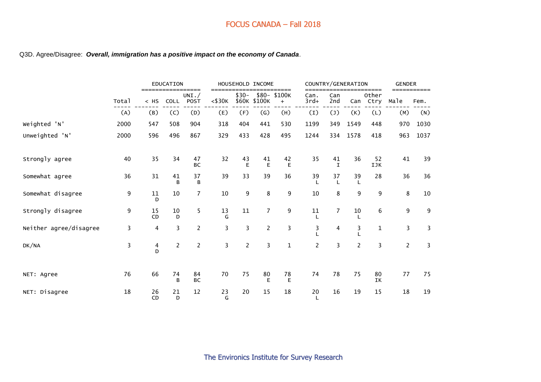#### Q3D. Agree/Disagree: *Overall, immigration has a positive impact on the economy of Canada*.

|                        |       |                    | <b>EDUCATION</b> |                              |                          |                | HOUSEHOLD INCOME          |                             |                    |                         | COUNTRY/GENERATION |                       | <b>GENDER</b>  |                     |
|------------------------|-------|--------------------|------------------|------------------------------|--------------------------|----------------|---------------------------|-----------------------------|--------------------|-------------------------|--------------------|-----------------------|----------------|---------------------|
|                        | Total | $======$<br>$<$ HS | <b>COLL</b>      | ========<br>UNI. $/$<br>POST | ===<br>$<$ \$30 $\kappa$ | $$30-$         | \$60K \$100K              | =====<br>\$80-\$100K<br>$+$ | Can.<br>$3rd+$     | Can<br>2nd              | Can                | ====<br>Other<br>Ctry | Male           | ===========<br>Fem. |
|                        | (A)   | (B)                | (C)              | (D)                          | (E)                      | (F)            | $\left(\mathsf{G}\right)$ | (H)                         | (I)                | (1)                     | (K)                | (L)                   | (M)            | (N)                 |
| Weighted 'N'           | 2000  | 547                | 508              | 904                          | 318                      | 404            | 441                       | 530                         | 1199               | 349                     | 1549               | 448                   | 970            | 1030                |
| Unweighted 'N'         | 2000  | 596                | 496              | 867                          | 329                      | 433            | 428                       | 495                         | 1244               | 334                     | 1578               | 418                   | 963            | 1037                |
| Strongly agree         | 40    | 35                 | 34               | 47<br>BC                     | 32                       | 43<br>E        | 41<br>E                   | 42<br>E                     | 35                 | 41<br>$\mathbf I$       | 36                 | 52<br>IJK             | 41             | 39                  |
| Somewhat agree         | 36    | 31                 | 41<br>B          | 37<br>B                      | 39                       | 33             | 39                        | 36                          | 39<br>$\mathbf{I}$ | 37<br>L                 | 39<br>L            | 28                    | 36             | 36                  |
| Somewhat disagree      | 9     | $11\,$<br>D        | $10\,$           | $\overline{7}$               | 10                       | 9              | 8                         | 9                           | 10                 | 8                       | 9                  | 9                     | 8              | 10                  |
| Strongly disagree      | 9     | 15<br>CD           | 10<br>D          | 5                            | 13<br>G                  | 11             | $\overline{7}$            | 9                           | 11                 | $\overline{7}$          | 10                 | 6                     | 9              | 9                   |
| Neither agree/disagree | 3     | 4                  | 3                | $\overline{2}$               | 3                        | 3              | $\overline{c}$            | 3                           | 3                  | $\overline{\mathbf{4}}$ | 3                  | 1                     | 3              | 3                   |
| DK/NA                  | 3     | $\frac{4}{D}$      | $\overline{2}$   | $\overline{2}$               | $\overline{3}$           | $\overline{2}$ | $\overline{3}$            | $\mathbf{1}$                | $\overline{2}$     | $\overline{3}$          | $\overline{2}$     | $\overline{3}$        | $\overline{2}$ | 3                   |
| NET: Agree             | 76    | 66                 | 74<br>B          | 84<br>BC                     | 70                       | 75             | 80<br>E                   | 78<br>E                     | 74                 | 78                      | 75                 | 80<br>IK              | 77             | 75                  |
| NET: Disagree          | 18    | 26<br>CD           | 21<br>D          | 12                           | 23<br>G                  | 20             | 15                        | 18                          | 20<br>L            | 16                      | 19                 | 15                    | 18             | 19                  |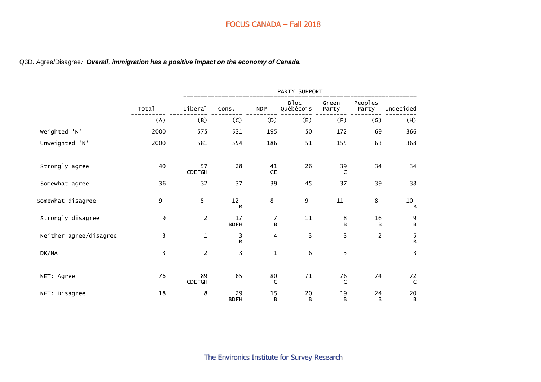#### Q3D. Agree/Disagree*: Overall, immigration has a positive impact on the economy of Canada.*

|                        |       |                     |                   |                    | PARTY SUPPORT     |                |                          |                    |
|------------------------|-------|---------------------|-------------------|--------------------|-------------------|----------------|--------------------------|--------------------|
|                        | Total | Liberal             | Cons.             | <b>NDP</b>         | Bloc<br>Québécois | Green<br>Party | Peoples<br>Party         | Undecided          |
|                        | (A)   | (B)                 | (C)               | (D)                | (E)               | (F)            | $\left( G\right)$        | (H)                |
| Weighted 'N'           | 2000  | 575                 | 531               | 195                | 50                | 172            | 69                       | 366                |
| Unweighted 'N'         | 2000  | 581                 | 554               | 186                | 51                | 155            | 63                       | 368                |
| Strongly agree         | 40    | 57<br><b>CDEFGH</b> | 28                | 41<br>CE           | 26                | 39<br>C        | 34                       | 34                 |
| Somewhat agree         | 36    | 32                  | 37                | 39                 | 45                | 37             | 39                       | 38                 |
| Somewhat disagree      | 9     | 5                   | 12<br>B           | 8                  | 9                 | ${\bf 11}$     | 8                        | 10<br>B            |
| Strongly disagree      | 9     | $\overline{c}$      | 17<br><b>BDFH</b> | 7<br>B             | 11                | 8<br>B         | 16<br>B                  | $\frac{9}{B}$      |
| Neither agree/disagree | 3     | $\mathbf{1}$        | 3<br>B            | 4                  | 3                 | 3              | $\overline{c}$           | $\frac{5}{B}$      |
| DK/NA                  | 3     | $\overline{c}$      | 3                 | $\mathbf 1$        | $\,6\,$           | 3              | $\overline{\phantom{a}}$ | 3                  |
| NET: Agree             | 76    | 89<br><b>CDEFGH</b> | 65                | 80<br>$\mathsf{C}$ | 71                | 76<br>C        | 74                       | 72<br>$\mathsf{C}$ |
| NET: Disagree          | 18    | 8                   | 29<br><b>BDFH</b> | 15<br>B            | 20<br>B           | 19<br>B        | 24<br>B                  | 20<br>B            |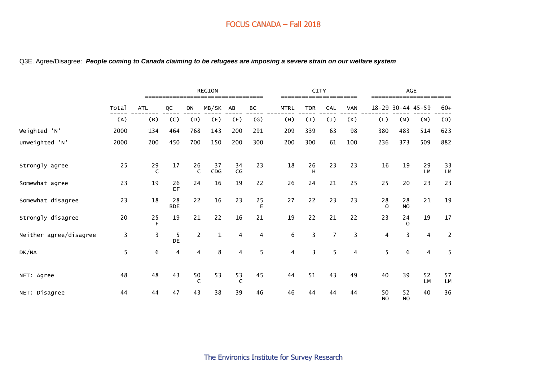|                        |        |                   |                  |                    | <b>REGION</b> |                |                   |             | CITY<br>==================== |                |            |                      |                   | AGE                     |                |
|------------------------|--------|-------------------|------------------|--------------------|---------------|----------------|-------------------|-------------|------------------------------|----------------|------------|----------------------|-------------------|-------------------------|----------------|
|                        | Total  | <b>ATL</b>        | QC               | ON                 | MB/SK         | AB             | ВC                | <b>MTRL</b> | <b>TOR</b>                   | CAL            | <b>VAN</b> | 18-29 30-44 45-59    |                   |                         | $60+$          |
|                        | (A)    | (B)               | (C)              | (D)                | (E)           | (F)            | $\left( G\right)$ | (H)         | (1)                          | (1)            | (K)        | (L)                  | (M)               | (N)                     | (0)            |
| Weighted 'N'           | 2000   | 134               | 464              | 768                | 143           | 200            | 291               | 209         | 339                          | 63             | 98         | 380                  | 483               | 514                     | 623            |
| Unweighted 'N'         | 2000   | 200               | 450              | 700                | 150           | 200            | 300               | 200         | 300                          | 61             | 100        | 236                  | 373               | 509                     | 882            |
| Strongly agree         | 25     | 29<br>$\mathsf C$ | 17               | 26<br>$\mathsf{C}$ | 37<br>CDG     | 34<br>CG       | 23                | 18          | 26<br>H                      | 23             | 23         | 16                   | 19                | 29<br><b>LM</b>         | 33<br>LM       |
| Somewhat agree         | 23     | 19                | 26<br>EF         | 24                 | 16            | 19             | 22                | 26          | 24                           | 21             | 25         | 25                   | 20                | 23                      | 23             |
| Somewhat disagree      | 23     | 18                | 28<br><b>BDE</b> | 22                 | 16            | 23             | 25<br>Е           | 27          | 22                           | 23             | 23         | 28<br>$\Omega$       | 28<br><b>NO</b>   | 21                      | 19             |
| Strongly disagree      | $20\,$ | 25<br>F           | 19               | 21                 | 22            | 16             | 21                | 19          | 22                           | 21             | 22         | 23                   | 24<br>$\mathbf 0$ | 19                      | 17             |
| Neither agree/disagree | 3      | 3                 | 5<br><b>DE</b>   | $\overline{2}$     | $\mathbf 1$   | $\overline{4}$ | 4                 | 6           | 3                            | $\overline{7}$ | 3          | 4                    | 3                 | $\overline{\mathbf{4}}$ | $\overline{2}$ |
| DK/NA                  | 5      | 6                 | $\overline{4}$   | 4                  | 8             | 4              | 5                 | 4           | 3                            | 5              | 4          | 5                    | $\,6\,$           | 4                       | 5              |
| NET: Agree             | 48     | 48                | 43               | 50<br>$\mathsf{C}$ | 53            | 53<br>C        | 45                | 44          | 51                           | 43             | 49         | 40                   | 39                | 52<br><b>LM</b>         | 57<br>LM       |
| NET: Disagree          | 44     | 44                | 47               | 43                 | 38            | 39             | 46                | 46          | 44                           | 44             | 44         | 50<br>N <sub>O</sub> | 52<br><b>NO</b>   | 40                      | 36             |

#### Q3E. Agree/Disagree: *People coming to Canada claiming to be refugees are imposing a severe strain on our welfare system*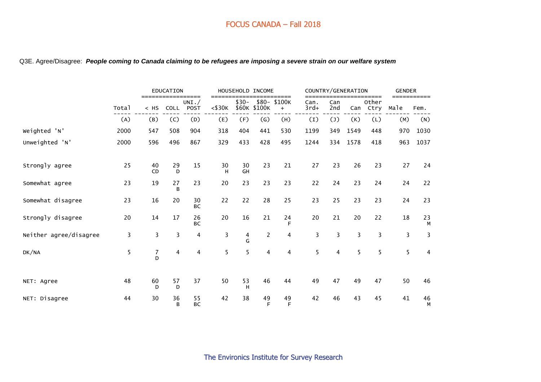#### Q3E. Agree/Disagree: *People coming to Canada claiming to be refugees are imposing a severe strain on our welfare system*

|                        |       |                 | EDUCATION<br>=====<br>===== |                         | ===          |          | HOUSEHOLD INCOME          | ====               |                |                | COUNTRY/GENERATION | ====          | <b>GENDER</b> |         |
|------------------------|-------|-----------------|-----------------------------|-------------------------|--------------|----------|---------------------------|--------------------|----------------|----------------|--------------------|---------------|---------------|---------|
|                        | Total | $<$ HS          | <b>COLL</b>                 | UNI. /<br><b>POST</b>   | $<$ \$30 $K$ | $$30-$   | \$60K \$100K              | \$80-\$100K<br>$+$ | Can.<br>$3rd+$ | Can<br>2nd     | Can                | Other<br>Ctry | Male          | Fem.    |
|                        | (A)   | (B)             | (C)                         | (D)                     | (E)          | (F)      | $\left(\mathsf{G}\right)$ | (H)                | (I)            | $(\mathsf{J})$ | (K)                | (L)           | (M)           | (N)     |
| Weighted 'N'           | 2000  | 547             | 508                         | 904                     | 318          | 404      | 441                       | 530                | 1199           | 349            | 1549               | 448           | 970           | 1030    |
| Unweighted 'N'         | 2000  | 596             | 496                         | 867                     | 329          | 433      | 428                       | 495                | 1244           | 334            | 1578               | 418           | 963           | 1037    |
| Strongly agree         | 25    | 40<br><b>CD</b> | 29<br>D                     | 15                      | 30<br>н      | 30<br>GH | 23                        | 21                 | 27             | 23             | 26                 | 23            | 27            | 24      |
| Somewhat agree         | 23    | 19              | 27<br>B                     | 23                      | 20           | 23       | 23                        | 23                 | 22             | 24             | 23                 | 24            | 24            | 22      |
| Somewhat disagree      | 23    | 16              | 20                          | 30<br><b>BC</b>         | 22           | 22       | 28                        | 25                 | 23             | 25             | 23                 | 23            | 24            | 23      |
| Strongly disagree      | 20    | 14              | 17                          | 26<br><b>BC</b>         | 20           | 16       | 21                        | 24<br>F            | 20             | 21             | 20                 | 22            | 18            | 23<br>М |
| Neither agree/disagree | 3     | $\overline{3}$  | 3                           | 4                       | 3            | 4<br>G   | 2                         | 4                  | 3              | 3              | $\overline{3}$     | 3             | 3             | 3       |
| DK/NA                  | 5     | $\frac{7}{D}$   | $\overline{\mathbf{4}}$     | $\overline{\mathbf{4}}$ | 5            | 5        | 4                         | 4                  | 5              | 4              | 5                  | 5             | 5             | 4       |
| NET: Agree             | 48    | 60<br>D         | 57<br>D                     | 37                      | 50           | 53<br>H  | 46                        | 44                 | 49             | 47             | 49                 | 47            | 50            | 46      |
| NET: Disagree          | 44    | 30              | 36<br>B                     | 55<br>BC                | 42           | 38       | 49<br>E                   | 49<br>F            | 42             | 46             | 43                 | 45            | 41            | 46<br>M |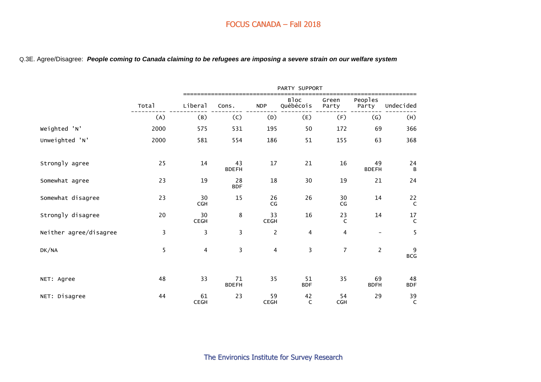#### Q.3E. Agree/Disagree: *People coming to Canada claiming to be refugees are imposing a severe strain on our welfare system*

|                        |       |                   |                         |                   | PARTY SUPPORT            |                    |                    |                            |
|------------------------|-------|-------------------|-------------------------|-------------------|--------------------------|--------------------|--------------------|----------------------------|
|                        | Total | Liberal           | Cons.                   | <b>NDP</b>        | <b>Bloc</b><br>Québécois | Green<br>Party     | Peoples<br>Party   | Undecided                  |
|                        | (A)   | (B)               | (C)                     | (D)               | (E)                      | (F)                | (G)                | (H)                        |
| Weighted 'N'           | 2000  | 575               | 531                     | 195               | 50                       | 172                | 69                 | 366                        |
| Unweighted 'N'         | 2000  | 581               | 554                     | 186               | 51                       | 155                | 63                 | 368                        |
| Strongly agree         | 25    | 14                | 43<br><b>BDEFH</b>      | 17                | 21                       | 16                 | 49<br><b>BDEFH</b> | $24$ $_{\rm B}$            |
| Somewhat agree         | 23    | 19                | 28<br><b>BDF</b>        | 18                | 30                       | 19                 | 21                 | 24                         |
| Somewhat disagree      | 23    | 30<br><b>CGH</b>  | 15                      | 26<br>CG          | 26                       | 30<br>CG           | 14                 | $22$ C                     |
| Strongly disagree      | 20    | 30<br><b>CEGH</b> | 8                       | 33<br><b>CEGH</b> | 16                       | 23<br>$\mathsf{C}$ | 14                 | $17 \atop C$               |
| Neither agree/disagree | 3     | 3                 | 3                       | $\overline{2}$    | $\overline{\mathbf{4}}$  | $\overline{4}$     | $\qquad \qquad -$  | 5                          |
| DK/NA                  | 5     | $\overline{4}$    | $\overline{\mathbf{3}}$ | $\overline{4}$    | $\overline{\mathbf{3}}$  | $\overline{7}$     | $\overline{2}$     | 9<br>$\mathsf{BCG}\xspace$ |
| NET: Agree             | 48    | 33                | 71<br><b>BDEFH</b>      | 35                | 51<br><b>BDF</b>         | 35                 | 69<br><b>BDFH</b>  | 48<br><b>BDF</b>           |
| NET: Disagree          | 44    | 61<br><b>CEGH</b> | 23                      | 59<br><b>CEGH</b> | 42<br>C                  | 54<br><b>CGH</b>   | 29                 | 39<br>$\mathsf{C}$         |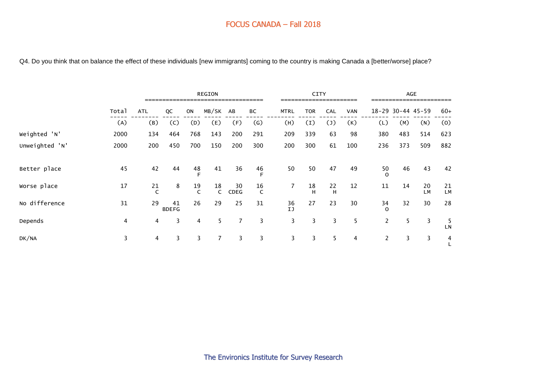Q4. Do you think that on balance the effect of these individuals [new immigrants] coming to the country is making Canada a [better/worse] place?

|                |       | <b>REGION</b> |                    |                    |                    |            |                    |                | <b>CITY</b>    |            |            |                |     | <b>AGE</b>            |                 |
|----------------|-------|---------------|--------------------|--------------------|--------------------|------------|--------------------|----------------|----------------|------------|------------|----------------|-----|-----------------------|-----------------|
|                | Total | <b>ATL</b>    | QC                 | <b>ON</b>          | MB/SK              | AB         | ВC                 | <b>MTRL</b>    | <b>TOR</b>     | <b>CAL</b> | <b>VAN</b> |                |     | $18 - 29$ 30-44 45-59 | $60+$           |
|                | (A)   | (B)           | (C)                | (D)                | (E)                | (F)        | $\left( G\right)$  | (H)            | (1)            | (1)        | (K)        | (L)            | (M) | (N)                   | (0)             |
| Weighted 'N'   | 2000  | 134           | 464                | 768                | 143                | 200        | 291                | 209            | 339            | 63         | 98         | 380            | 483 | 514                   | 623             |
| Unweighted 'N' | 2000  | 200           | 450                | 700                | 150                | 200        | 300                | 200            | 300            | 61         | 100        | 236            | 373 | 509                   | 882             |
| Better place   | 45    | 42            | 44                 | 48                 | 41                 | 36         | 46<br>E            | 50             | 50             | 47         | 49         | 50             | 46  | 43                    | 42              |
| Worse place    | 17    | 21            | 8                  | 19<br>$\mathsf{C}$ | 18<br>$\mathsf{C}$ | 30<br>CDEG | 16<br>$\mathsf{C}$ | $\overline{7}$ | 18<br>H        | 22<br>H    | 12         | 11             | 14  | 20<br>LM              | 21<br><b>LM</b> |
| No difference  | 31    | 29            | 41<br><b>BDEFG</b> | 26                 | 29                 | 25         | 31                 | 36<br>IJ       | 27             | 23         | 30         | 34<br>$\Omega$ | 32  | 30                    | 28              |
| Depends        | 4     | 4             | 3                  | 4                  | 5                  | 7          | 3                  | 3              | $\overline{3}$ | 3          | 5          | $\overline{2}$ | 5   | 3                     | 5<br>LN         |
| DK/NA          | 3     | 4             | 3                  | 3                  | $\overline{7}$     | 3          | 3                  | 3              | $\overline{3}$ | 5          | 4          | $\overline{c}$ | 3   | 3                     | $\overline{4}$  |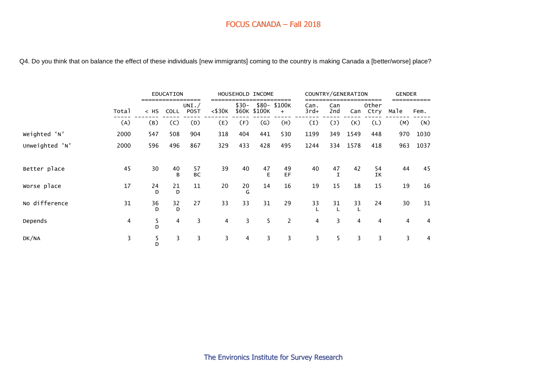Q4. Do you think that on balance the effect of these individuals [new immigrants] coming to the country is making Canada a [better/worse] place?

|                |       |         | EDUCATION   |                         |                |                 | HOUSEHOLD INCOME          |                    |                |                | COUNTRY/GENERATION |                | <b>GENDER</b> |      |
|----------------|-------|---------|-------------|-------------------------|----------------|-----------------|---------------------------|--------------------|----------------|----------------|--------------------|----------------|---------------|------|
|                | Total | $<$ HS  | <b>COLL</b> | UNI. $/$<br><b>POST</b> | $<$ \$30 $K$   | $$30-$<br>\$60K | \$100K                    | \$80-\$100K<br>$+$ | Can.<br>$3rd+$ | Can<br>2nd     | Can                | Other<br>Ctry  | Male          | Fem. |
|                | (A)   | (B)     | (C)         | (D)                     | (E)            | (F)             | $\left(\mathsf{G}\right)$ | (H)                | (I)            | (1)            | (K)                | (L)            | (M)           | (N)  |
| Weighted 'N'   | 2000  | 547     | 508         | 904                     | 318            | 404             | 441                       | 530                | 1199           | 349            | 1549               | 448            | 970           | 1030 |
| Unweighted 'N' | 2000  | 596     | 496         | 867                     | 329            | 433             | 428                       | 495                | 1244           | 334            | 1578               | 418            | 963           | 1037 |
|                |       |         |             |                         |                |                 |                           |                    |                |                |                    |                |               |      |
| Better place   | 45    | 30      | 40<br>B     | 57<br><b>BC</b>         | 39             | 40              | 47<br>E                   | 49<br>EF           | 40             | 47             | 42                 | 54<br>IK       | 44            | 45   |
| Worse place    | 17    | 24<br>D | 21<br>D     | 11                      | 20             | 20<br>G         | 14                        | 16                 | 19             | 15             | 18                 | 15             | 19            | 16   |
| No difference  | 31    | 36<br>D | 32<br>D     | 27                      | 33             | 33              | 31                        | 29                 | 33             | 31             | 33                 | 24             | 30            | 31   |
| Depends        | 4     | 5<br>D  | 4           | 3                       | $\overline{4}$ | 3               | 5                         | 2                  | $\overline{4}$ | $\overline{3}$ | $\overline{4}$     | $\overline{4}$ | 4             | 4    |
| DK/NA          | 3     | 5<br>D  | 3           | 3                       | 3              | 4               | 3                         | 3                  | 3              | 5              | 3                  | 3              | 3             | 4    |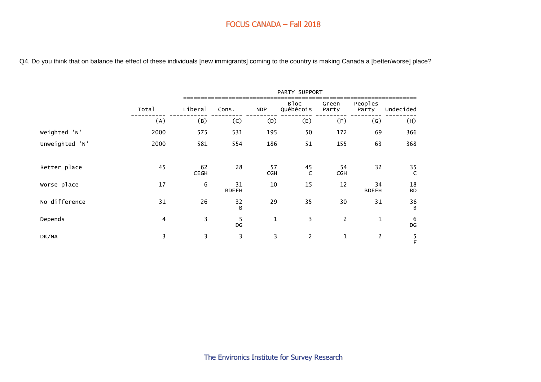Q4. Do you think that on balance the effect of these individuals [new immigrants] coming to the country is making Canada a [better/worse] place?

|                |       |                   |                    |                  | PARTY SUPPORT      |                  |                    |                        |
|----------------|-------|-------------------|--------------------|------------------|--------------------|------------------|--------------------|------------------------|
|                | Total | Liberal           | Cons.              | <b>NDP</b>       | Bloc<br>Québécois  | Green<br>Party   | Peoples<br>Party   | Undecided              |
|                | (A)   | (B)               | (C)                | (D)              | (E)                | (F)              | $\left( G\right)$  | (H)                    |
| Weighted 'N'   | 2000  | 575               | 531                | 195              | 50                 | 172              | 69                 | 366                    |
| Unweighted 'N' | 2000  | 581               | 554                | 186              | 51                 | 155              | 63                 | 368                    |
| Better place   | 45    | 62<br><b>CEGH</b> | 28                 | 57<br><b>CGH</b> | 45<br>$\mathsf{C}$ | 54<br><b>CGH</b> | 32                 | 35<br>C                |
| Worse place    | 17    | 6                 | 31<br><b>BDEFH</b> | 10               | 15                 | 12               | 34<br><b>BDEFH</b> | 18<br><b>BD</b>        |
| No difference  | 31    | 26                | 32<br>B            | 29               | 35                 | 30               | 31                 | 36<br>B                |
| Depends        | 4     | 3                 | 5<br>DG            | 1                | 3                  | $\overline{c}$   | $\mathbf{1}$       | $\boldsymbol{6}$<br>DG |
| DK/NA          | 3     | 3                 | 3                  | 3                | $\overline{2}$     | $\mathbf{1}$     | $\overline{2}$     | F                      |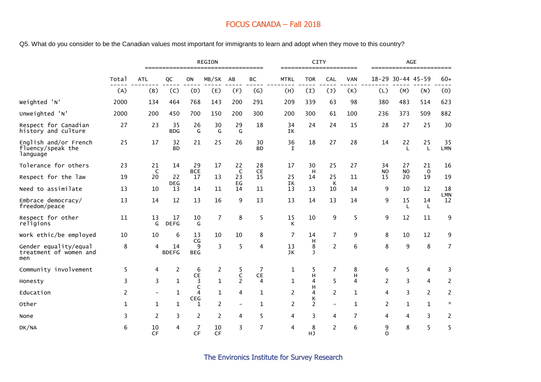Q5. What do you consider to be the Canadian values most important for immigrants to learn and adopt when they move to this country?

|                                                        |              |                          | ==============     |                       | REGION         | :===============              |                              |                   | <b>CITY</b><br>======================= |                |              |                 |                    | AGE<br>======================== |                  |
|--------------------------------------------------------|--------------|--------------------------|--------------------|-----------------------|----------------|-------------------------------|------------------------------|-------------------|----------------------------------------|----------------|--------------|-----------------|--------------------|---------------------------------|------------------|
|                                                        | Total        | <b>ATL</b>               | QC                 | ON                    | MB/SK          | AB                            | BC                           | <b>MTRL</b>       | <b>TOR</b>                             | CAL            | <b>VAN</b>   |                 | 18-29 30-44 45-59  |                                 | $60+$            |
|                                                        | (A)          | (B)                      | (C)                | (D)                   | (E)            | (F)                           | (G)                          | (H)               | (1)                                    | (1)            | (K)          | (L)             | (M)                | (N)                             | (0)              |
| Weighted 'N'                                           | 2000         | 134                      | 464                | 768                   | 143            | 200                           | 291                          | 209               | 339                                    | 63             | 98           | 380             | 483                | 514                             | 623              |
| Unweighted 'N'                                         | 2000         | 200                      | 450                | 700                   | 150            | 200                           | 300                          | 200               | 300                                    | 61             | 100          | 236             | 373                | 509                             | 882              |
| Respect for Canadian<br>history and culture            | 27           | 23                       | 35<br><b>BDG</b>   | 26<br>G               | 30<br>G        | 29<br>G                       | 18                           | 34<br>IK          | 24                                     | 24             | 15           | 28              | 27                 | 25                              | 30               |
| English and/or French<br>fluency/speak the<br>language | 25           | 17                       | 32<br><b>BD</b>    | 21                    | 25             | 26                            | 30<br><b>BD</b>              | 36<br>$\mathbf I$ | 18                                     | 27             | 28           | 14              | 22<br>$\mathsf{L}$ | 25<br>L                         | 35<br><b>LMN</b> |
| Tolerance for others                                   | 23           | 21                       | 14                 | 29                    | 17             | 22                            | 28                           | 17                | 30                                     | 25             | 27           | 34              | 27                 | 21                              | 16               |
| Respect for the law                                    | 19           | $\mathsf{C}$<br>20       | 22                 | <b>BCE</b><br>17      | 13             | $\mathsf{C}$<br>23<br>EG      | CE<br>15                     | 25                | H<br>14                                | 25             | 11           | <b>NO</b><br>15 | <b>NO</b><br>20    | $\circ$<br>19                   | 19               |
| Need to assimilate                                     | 13           | 10                       | <b>DEG</b><br>13   | 14                    | 11             | 14                            | 11                           | IK<br>13          | 13                                     | K<br>10        | 14           | 9               | 10                 | 12                              | 18               |
| Embrace democracy/<br>freedom/peace                    | 13           | 14                       | 12                 | 13                    | 16             | 9                             | 13                           | 13                | 14                                     | 13             | 14           | 9               | 15<br>L            | 14<br>L                         | LMN<br>12        |
| Respect for other<br>religions                         | 11           | 13<br>G                  | 17<br><b>DEFG</b>  | 10<br>G               | $\overline{7}$ | 8                             | 5                            | 15<br>К           | 10                                     | 9              | 5            | 9               | 12                 | 11                              | 9                |
| Work ethic/be employed                                 | 10           | 10                       | 6                  | 13                    | 10             | 10                            | 8                            | 7                 | 14                                     | $\overline{7}$ | 9            | 8               | 10                 | 12                              | 9                |
| Gender equality/equal<br>treatment of women and<br>men | 8            | 4                        | 14<br><b>BDEFG</b> | CG<br>9<br><b>BEG</b> | 3              | 5                             | 4                            | 13<br>JK          | н<br>8<br>$\mathbf{J}$                 | $\overline{2}$ | 6            | 8               | 9                  | 8                               | $\overline{7}$   |
| Community involvement                                  | 5            | 4                        | 2                  | 6                     | $\overline{c}$ | 5                             | 7                            | 1                 | 5                                      | $\overline{7}$ | 8            | 6               | 5                  | 4                               | 3                |
| Honesty                                                | 3            | 3                        | $\mathbf{1}$       | CE<br>3               | $\mathbf{1}$   | $\mathsf C$<br>$\overline{2}$ | ${\sf CE}$<br>$\overline{4}$ | 1                 | Н<br>4                                 | 5              | н<br>4       | $\overline{2}$  | 3                  | 4                               | $\overline{2}$   |
| Education                                              | 2            | $\overline{\phantom{0}}$ | 1                  | C<br>4<br><b>CEG</b>  | $\mathbf{1}$   | 4                             | $\mathbf{1}$                 | 2                 | н<br>4                                 | $\overline{2}$ | $\mathbf{1}$ | 4               | 3                  | $\overline{2}$                  | 2                |
| Other                                                  | $\mathbf{1}$ | 1                        | $\mathbf{1}$       | 1                     | 2              | $\overline{\phantom{a}}$      | $\mathbf{1}$                 | 2                 | Κ<br>2                                 | $-$            | 1            | 2               | 1                  | $\mathbf{1}$                    | $\mathcal{R}$    |
| None                                                   | 3            | $\overline{2}$           | 3                  | 2                     | $\overline{c}$ | 4                             | 5                            | 4                 | 3                                      | 4              | 7            | 4               | 4                  | 3                               | 2                |
| DK/NA                                                  | 6            | 10<br><b>CF</b>          | 4                  | 7<br>CF               | 10<br>CF       | 3                             | 7                            | 4                 | 8<br>HJ                                | 2              | 6            | 9<br>$\Omega$   | 8                  | 5                               | 5                |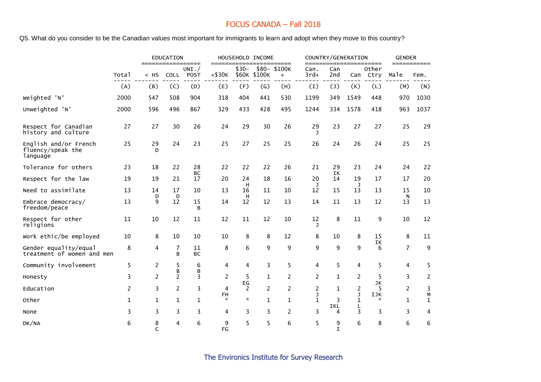Q5. What do you consider to be the Canadian values most important for immigrants to learn and adopt when they move to this country?

|                                                        |       |                | <b>EDUCATION</b> | ====                |                |                | HOUSEHOLD INCOME | ====                |                |                   | COUNTRY/GENERATION | ====            | <b>GENDER</b><br>$=$ = = = = = = = = = = = |                   |
|--------------------------------------------------------|-------|----------------|------------------|---------------------|----------------|----------------|------------------|---------------------|----------------|-------------------|--------------------|-----------------|--------------------------------------------|-------------------|
|                                                        | Total | $<$ HS         |                  | UNI. /<br>COLL POST | $<$ \$30 $K$   | $$30-$         | \$60K \$100K     | \$80- \$100K<br>$+$ | Can.<br>$3rd+$ | Can<br>2nd        | Can                | Other<br>Ctry   | Male                                       | Fem.              |
|                                                        | (A)   | (B)            | (C)              | (D)                 | (E)            | (F)            | (G)              | (H)                 | (I)            | (1)               | (K)                | (L)             | (M)                                        | (N)               |
| Weighted 'N'                                           | 2000  | 547            | 508              | 904                 | 318            | 404            | 441              | 530                 | 1199           | 349               | 1549               | 448             | 970                                        | 1030              |
| Unweighted 'N'                                         | 2000  | 596            | 496              | 867                 | 329            | 433            | 428              | 495                 | 1244           | 334               | 1578               | 418             | 963                                        | 1037              |
| Respect for Canadian<br>history and culture            | 27    | 27             | 30               | 26                  | 24             | 29             | 30               | 26                  | 29<br>ı        | 23                | 27                 | 27              | 25                                         | 29                |
| English and/or French<br>fluency/speak the<br>language | 25    | 29<br>D        | 24               | 23                  | 25             | 27             | 25               | 25                  | 26             | 24                | 26                 | 24              | 25                                         | 25                |
| Tolerance for others                                   | 23    | 18             | 22               | 28<br>BC            | 22             | 22             | 22               | 26                  | 21             | 29<br>IK          | 23                 | 24              | 24                                         | 22                |
| Respect for the law                                    | 19    | 19             | 21               | 17                  | 20             | 24<br>H        | 18               | 16                  | 20<br>J        | 14                | 19<br>J.           | 17              | 17                                         | 20                |
| Need to assimilate                                     | 13    | 14             | 17               | 10                  | 13             | 16             | 11               | 10                  | 12             | 15                | 13                 | 13              | 15                                         | 10                |
| Embrace democracy/<br>freedom/peace                    | 13    | D<br>9         | D<br>12          | 15<br>B             | 14             | Н<br>12        | 12               | 13                  | 14             | 11                | 13                 | 12              | N<br>13                                    | 13                |
| Respect for other<br>religions                         | 11    | 10             | 12               | 11                  | 12             | 11             | 12               | 10                  | 12<br>J        | 8                 | 11                 | 9               | 10                                         | 12                |
| work ethic/be employed                                 | 10    | 8              | 10               | 10                  | 10             | 8              | 8                | 12                  | 8              | 10                | 8                  | 15<br>IΚ        | 8                                          | 11                |
| Gender equality/equal<br>treatment of women and men    | 8     | 4              | 7<br>B           | 11<br><b>BC</b>     | 8              | 6              | 9                | 9                   | 9              | 9                 | 9                  | 6               | $\overline{7}$                             | 9                 |
| Community involvement                                  | 5     | $\overline{c}$ | 5<br>В           | 6<br>B              | 4              | 4              | 3                | 5                   | 4              | 5                 | 4                  | 5               | 4                                          | 5                 |
| Honesty                                                | 3     | $\overline{2}$ | $\overline{2}$   | 3                   | $\overline{c}$ | 5<br>EG        | $\mathbf{1}$     | 2                   | 2              | $\mathbf{1}$      | 2                  | 5<br>JK         | 3                                          | 2                 |
| Education                                              | 2     | 3              | $\overline{2}$   | 3                   | 4              | $\overline{2}$ | $\overline{2}$   | $\overline{2}$      | 2<br>J         | 1                 | 2<br>J             | 5<br><b>IJK</b> | $\overline{2}$                             | 3                 |
| Other                                                  | 1     | $\mathbf{1}$   | $\mathbf{1}$     | $\mathbf{1}$        | FH<br>$\star$  | $\mathcal{R}$  | $\mathbf{1}$     | $\mathbf{1}$        | $\mathbf{1}$   | 3                 | $\mathbf{1}$       | $\mathcal{R}$   | $\mathbf{1}$                               | М<br>$\mathbf{1}$ |
| None                                                   | 3     | 3              | 3                | 3                   | 4              | 3              | $\overline{3}$   | 2                   | 3              | IKL<br>4          | L<br>3             | 3               | 3                                          | 4                 |
| DK/NA                                                  | 6     | 8<br>C         | 4                | 6                   | 9<br>FG        | 5              | 5                | 6                   | 5              | 9<br>$\mathbf{I}$ | 6                  | 8               | 6                                          | 6                 |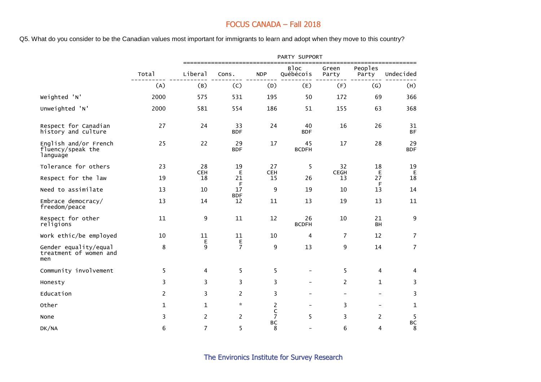Q5. What do you consider to be the Canadian values most important for immigrants to learn and adopt when they move to this country?

|                                                        |                |                  |                             |                               | PARTY SUPPORT            |                          |                              |                   |
|--------------------------------------------------------|----------------|------------------|-----------------------------|-------------------------------|--------------------------|--------------------------|------------------------------|-------------------|
|                                                        | Total          | Liberal          | Cons.                       | <b>NDP</b>                    | <b>Bloc</b><br>Québécois | Green<br>Party           | ========<br>Peoples<br>Party | Undecided         |
|                                                        | (A)            | (B)              | (C)                         | (D)                           | (E)                      | (F)                      | (G)                          | (H)               |
| Weighted 'N'                                           | 2000           | 575              | 531                         | 195                           | 50                       | 172                      | 69                           | 366               |
| Unweighted 'N'                                         | 2000           | 581              | 554                         | 186                           | 51                       | 155                      | 63                           | 368               |
| Respect for Canadian<br>history and culture            | 27             | 24               | 33<br><b>BDF</b>            | 24                            | 40<br><b>BDF</b>         | 16                       | 26                           | 31<br><b>BF</b>   |
| English and/or French<br>fluency/speak the<br>language | 25             | 22               | 29<br><b>BDF</b>            | 17                            | 45<br><b>BCDFH</b>       | 17                       | 28                           | 29<br><b>BDF</b>  |
| Tolerance for others                                   | 23             | 28               | 19                          | 27                            | 5                        | 32                       | 18                           | 19                |
| Respect for the law                                    | 19             | <b>CEH</b><br>18 | Е<br>21                     | <b>CEH</b><br>15              | 26                       | <b>CEGH</b><br>13        | Е<br>27                      | $\mathsf E$<br>18 |
| Need to assimilate                                     | 13             | 10               | F<br>17                     | 9                             | 19                       | 10                       | F<br>13                      | 14                |
| Embrace democracy/<br>freedom/peace                    | 13             | 14               | <b>BDF</b><br>12            | 11                            | 13                       | 19                       | 13                           | 11                |
| Respect for other<br>religions                         | 11             | 9                | 11                          | 12                            | 26<br><b>BCDFH</b>       | 10                       | 21<br><b>BH</b>              | 9                 |
| Work ethic/be employed                                 | 10             | 11               | 11                          | 10                            | 4                        | $\overline{7}$           | 12                           | $\overline{7}$    |
| Gender equality/equal<br>treatment of women and<br>men | 8              | Е<br>9           | E<br>$\overline{7}$         | 9                             | 13                       | 9                        | 14                           | $\overline{7}$    |
| Community involvement                                  | 5              | 4                | 5                           | 5                             | $\overline{\phantom{a}}$ | 5                        | 4                            | 4                 |
| Honesty                                                | 3              | 3                | 3                           | 3                             |                          | 2                        | $\mathbf{1}$                 | 3                 |
| Education                                              | $\overline{2}$ | 3                | $\overline{c}$              | 3                             | $\overline{\phantom{a}}$ | $\overline{\phantom{a}}$ | $\overline{\phantom{0}}$     | 3                 |
| Other                                                  | $\mathbf{1}$   | $\mathbf{1}$     | $\mathcal{R}^{\mathcal{L}}$ | 2                             |                          | 3                        | $\overline{\phantom{0}}$     | $\mathbf{1}$      |
| None                                                   | 3              | $\overline{2}$   | $\overline{c}$              | $\mathsf C$<br>$\overline{7}$ | 5                        | 3                        | $\overline{2}$               | 5                 |
| DK/NA                                                  | 6              | 7                | 5                           | <b>BC</b><br>8                |                          | 6                        | $\overline{\mathbf{4}}$      | BC<br>8           |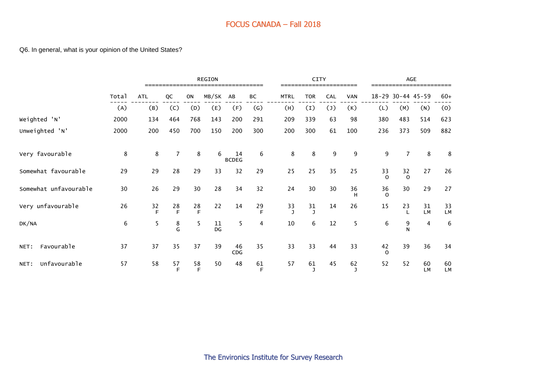#### Q6. In general, what is your opinion of the United States?

|                       |       |            |                |           | <b>REGION</b><br>=============================== |                    |                |                    | CITY       |            |                    |                |                | AGE             |          |
|-----------------------|-------|------------|----------------|-----------|--------------------------------------------------|--------------------|----------------|--------------------|------------|------------|--------------------|----------------|----------------|-----------------|----------|
|                       | Total | <b>ATL</b> | QC             | <b>ON</b> | MB/SK                                            | AB                 | ВC             | <b>MTRL</b>        | <b>TOR</b> | <b>CAL</b> | <b>VAN</b>         | $18 - 29$      |                | $30 - 44$ 45-59 | $60+$    |
|                       | (A)   | (B)        | (C)            | (D)       | (E)                                              | (F)                | (G)            | (H)                | (I)        | (1)        | (K)                | (L)            | (M)            | (N)             | (0)      |
| Weighted 'N'          | 2000  | 134        | 464            | 768       | 143                                              | 200                | 291            | 209                | 339        | 63         | 98                 | 380            | 483            | 514             | 623      |
| Unweighted 'N'        | 2000  | 200        | 450            | 700       | 150                                              | 200                | 300            | 200                | 300        | 61         | 100                | 236            | 373            | 509             | 882      |
| Very favourable       | 8     | 8          | $\overline{7}$ | 8         | 6                                                | 14<br><b>BCDEG</b> | 6              | 8                  | 8          | 9          | 9                  | 9              | 7              | 8               | 8        |
| Somewhat favourable   | 29    | 29         | 28             | 29        | 33                                               | 32                 | 29             | 25                 | 25         | 35         | 25                 | 33<br>$\Omega$ | 32<br>$\Omega$ | 27              | 26       |
| Somewhat unfavourable | 30    | 26         | 29             | 30        | 28                                               | 34                 | 32             | 24                 | 30         | 30         | 36<br>H            | 36<br>$\Omega$ | 30             | 29              | 27       |
| Very unfavourable     | 26    | 32<br>F    | 28<br>F        | 28<br>E   | 22                                               | 14                 | 29<br>F        | 33<br>$\mathbf{I}$ | 31<br>J    | 14         | 26                 | 15             | 23             | 31<br><b>LM</b> | 33<br>LM |
| DK/NA                 | 6     | 5          | 8<br>G         | 5         | 11<br>DG                                         | 5                  | $\overline{4}$ | 10                 | 6          | 12         | 5                  | 6              | 9<br>N         | 4               | 6        |
| Favourable<br>NET:    | 37    | 37         | 35             | 37        | 39                                               | 46<br>CDG          | 35             | 33                 | 33         | 44         | 33                 | 42<br>$\Omega$ | 39             | 36              | 34       |
| Unfavourable<br>NET:  | 57    | 58         | 57<br>F        | 58<br>F   | 50                                               | 48                 | 61<br>F        | 57                 | 61<br>J    | 45         | 62<br>$\mathbf{J}$ | 52             | 52             | 60<br><b>LM</b> | 60<br>LM |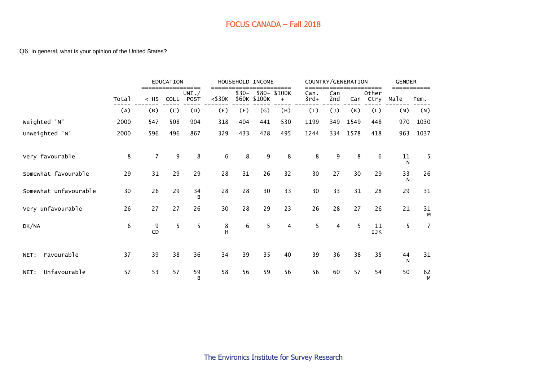#### Q6. In general, what is your opinion of the United States?

|                       |       |                | <b>EDUCATION</b> | =====               |                  |        | HOUSEHOLD INCOME          | =====              |                |                | COUNTRY/GENERATION | $=$ $=$ $=$ $=$ | <b>GENDER</b> |                |
|-----------------------|-------|----------------|------------------|---------------------|------------------|--------|---------------------------|--------------------|----------------|----------------|--------------------|-----------------|---------------|----------------|
|                       | Total | $<$ HS         | <b>COLL</b>      | UNI.<br><b>POST</b> | $<$ \$30 $K$     | $$30-$ | \$60K \$100K              | \$80-\$100K<br>$+$ | Can.<br>$3rd+$ | Can<br>2nd     | Can                | Other<br>Ctry   | Male          | Fem.           |
|                       | (A)   | (B)            | (C)              | (D)                 | (E)              | (F)    | $\left(\mathsf{G}\right)$ | (H)                | (I)            | (1)            | (K)                | (L)             | (M)           | (N)            |
| Weighted 'N'          | 2000  | 547            | 508              | 904                 | 318              | 404    | 441                       | 530                | 1199           | 349            | 1549               | 448             | 970           | 1030           |
| Unweighted 'N'        | 2000  | 596            | 496              | 867                 | 329              | 433    | 428                       | 495                | 1244           | 334            | 1578               | 418             | 963           | 1037           |
| Very favourable       | 8     | $\overline{7}$ | 9                | 8                   | $\boldsymbol{6}$ | 8      | 9                         | 8                  | 8              | 9              | 8                  | 6               | 11<br>N       | 5              |
| Somewhat favourable   | 29    | 31             | 29               | 29                  | 28               | 31     | 26                        | 32                 | 30             | 27             | 30                 | 29              | 33<br>N       | 26             |
| Somewhat unfavourable | 30    | 26             | 29               | 34<br>B             | 28               | 28     | 30                        | 33                 | 30             | 33             | 31                 | 28              | 29            | 31             |
| Very unfavourable     | 26    | 27             | 27               | 26                  | 30               | 28     | 29                        | 23                 | 26             | 28             | 27                 | 26              | 21            | 31<br>М        |
| DK/NA                 | 6     | 9<br>CD        | 5                | 5                   | $_{\rm H}^8$     | 6      | 5                         | 4                  | 5              | $\overline{4}$ | 5                  | 11<br>IJK       | 5             | $\overline{7}$ |
| Favourable<br>NET:    | 37    | 39             | 38               | 36                  | 34               | 39     | 35                        | 40                 | 39             | 36             | 38                 | 35              | 44<br>N       | 31             |
| Unfavourable<br>NET:  | 57    | 53             | 57               | 59<br>B             | 58               | 56     | 59                        | 56                 | 56             | 60             | 57                 | 54              | 50            | 62<br>M        |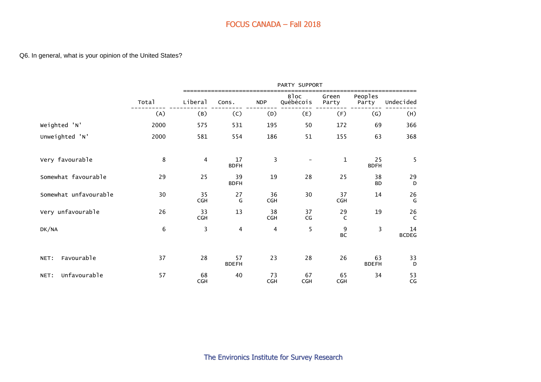|                       |       |                  |                    |                  | PARTY SUPPORT            |                    |                    |                    |
|-----------------------|-------|------------------|--------------------|------------------|--------------------------|--------------------|--------------------|--------------------|
|                       | Total | Liberal          | Cons.              | <b>NDP</b>       | Bloc<br>Québécois        | Green<br>Party     | Peoples<br>Party   | Undecided          |
|                       | (A)   | (B)              | (C)                | (D)              | (E)                      | (F)                | $\left( G\right)$  | (H)                |
| Weighted 'N'          | 2000  | 575              | 531                | 195              | 50                       | 172                | 69                 | 366                |
| Unweighted 'N'        | 2000  | 581              | 554                | 186              | 51                       | 155                | 63                 | 368                |
| Very favourable       | 8     | $\overline{4}$   | 17<br><b>BDFH</b>  | 3                | $\overline{\phantom{a}}$ | $\mathbf{1}$       | 25<br><b>BDFH</b>  | 5                  |
| Somewhat favourable   | 29    | 25               | 39<br><b>BDFH</b>  | 19               | 28                       | 25                 | 38<br><b>BD</b>    | 29<br>D            |
| Somewhat unfavourable | 30    | 35<br>CGH        | 27<br>G            | 36<br><b>CGH</b> | 30                       | 37<br>CGH          | 14                 | 26<br>G            |
| Very unfavourable     | 26    | 33<br><b>CGH</b> | 13                 | 38<br><b>CGH</b> | 37<br>CG                 | 29<br>$\mathsf{C}$ | 19                 | $26$<br>C          |
| DK/NA                 | 6     | 3                | 4                  | 4                | 5                        | 9<br><b>BC</b>     | 3                  | 14<br><b>BCDEG</b> |
| Favourable<br>NET:    | 37    | 28               | 57<br><b>BDEFH</b> | 23               | 28                       | 26                 | 63<br><b>BDEFH</b> | 33<br>D            |
| Unfavourable<br>NET:  | 57    | 68<br><b>CGH</b> | 40                 | 73<br><b>CGH</b> | 67<br><b>CGH</b>         | 65<br>CGH          | 34                 | 53<br>CG           |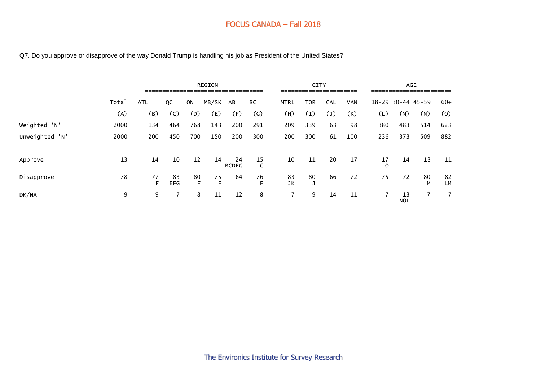Q7. Do you approve or disapprove of the way Donald Trump is handling his job as President of the United States?

|                |       |            |                  |           | <b>REGION</b><br>=================================== |                    |         |                | <b>CITY</b><br>====================== |     |            |               |                   | AGE<br>======================= |          |
|----------------|-------|------------|------------------|-----------|------------------------------------------------------|--------------------|---------|----------------|---------------------------------------|-----|------------|---------------|-------------------|--------------------------------|----------|
|                | Total | <b>ATL</b> | QC               | <b>ON</b> | MB/SK AB                                             |                    | ВC      | <b>MTRL</b>    | TOR                                   | CAL | <b>VAN</b> |               | 18-29 30-44 45-59 |                                | $60+$    |
|                | (A)   | (B)        | (C)              | (D)       | (E)                                                  | (F)                | (G)     | (H)            | (I)                                   | (J) | (K)        | (L)           | (M)               | (N)                            | (0)      |
| Weighted 'N'   | 2000  | 134        | 464              | 768       | 143                                                  | 200                | 291     | 209            | 339                                   | 63  | 98         | 380           | 483               | 514                            | 623      |
| Unweighted 'N' | 2000  | 200        | 450              | 700       | 150                                                  | 200                | 300     | 200            | 300                                   | 61  | 100        | 236           | 373               | 509                            | 882      |
| Approve        | 13    | 14         | 10               | 12        | 14                                                   | 24<br><b>BCDEG</b> | 15<br>C | 10             | 11                                    | 20  | 17         | 17<br>$\circ$ | 14                | 13                             | 11       |
| Disapprove     | 78    | 77<br>E    | 83<br><b>EFG</b> | 80<br>F   | 75<br>F                                              | 64                 | 76<br>E | 83<br>JK       | 80                                    | 66  | 72         | 75            | 72                | 80<br>M                        | 82<br>LМ |
| DK/NA          | 9     | 9          |                  | 8         | 11                                                   | 12                 | 8       | $\overline{7}$ | 9                                     | 14  | 11         |               | 13<br><b>NOL</b>  | 7                              | 7        |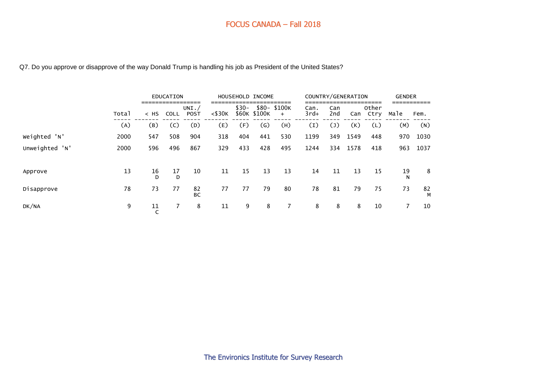Q7. Do you approve or disapprove of the way Donald Trump is handling his job as President of the United States?

|                |       |                    | <b>EDUCATION</b><br>:============== |                  |              |                 | HOUSEHOLD INCOME          |                    | COUNTRY/GENERATION |                   |      | —————         | <b>GENDER</b> |         |
|----------------|-------|--------------------|-------------------------------------|------------------|--------------|-----------------|---------------------------|--------------------|--------------------|-------------------|------|---------------|---------------|---------|
|                | Total | $<$ HS             | <b>COLL</b>                         | UNI. $/$<br>POST | $<$ \$30 $K$ | $$30-$<br>\$60K | \$100K                    | \$80-\$100K<br>$+$ | Can.<br>$3rd+$     | Can<br>2nd        | Can  | Other<br>Ctry | Male          | Fem.    |
|                | (A)   | (B)                | (C)                                 | (D)              | (E)          | (F)             | $\left(\mathsf{G}\right)$ | (H)                | (1)                | $\left( 1\right)$ | (K)  | (L)           | (M)           | (N)     |
| Weighted 'N'   | 2000  | 547                | 508                                 | 904              | 318          | 404             | 441                       | 530                | 1199               | 349               | 1549 | 448           | 970           | 1030    |
| Unweighted 'N' | 2000  | 596                | 496                                 | 867              | 329          | 433             | 428                       | 495                | 1244               | 334               | 1578 | 418           | 963           | 1037    |
| Approve        | 13    | 16<br>D            | 17<br>D                             | 10               | 11           | 15              | 13                        | 13                 | 14                 | 11                | 13   | 15            | 19<br>N       | 8       |
| Disapprove     | 78    | 73                 | 77                                  | 82<br>BC         | 77           | 77              | 79                        | 80                 | 78                 | 81                | 79   | 75            | 73            | 82<br>М |
| DK/NA          | 9     | 11<br>$\mathsf{C}$ | $\overline{7}$                      | 8                | 11           | 9               | 8                         | $\overline{7}$     | 8                  | 8                 | 8    | 10            |               | 10      |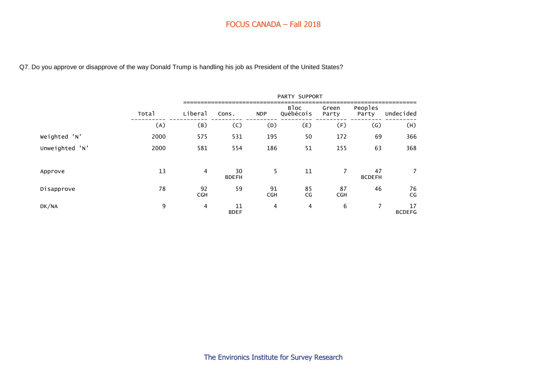Q7. Do you approve or disapprove of the way Donald Trump is handling his job as President of the United States?

|                |       |                  |                    |                  | PARTY SUPPORT     |                  |                     |                     |
|----------------|-------|------------------|--------------------|------------------|-------------------|------------------|---------------------|---------------------|
|                | Total | Liberal          | Cons.              | <b>NDP</b>       | Bloc<br>Québécois | Green<br>Party   | Peoples<br>Party    | Undecided           |
|                | (A)   | (B)              | (C)                | (D)              | (E)               | (F)              | (G)                 | (H)                 |
| Weighted 'N'   | 2000  | 575              | 531                | 195              | 50                | 172              | 69                  | 366                 |
| Unweighted 'N' | 2000  | 581              | 554                | 186              | 51                | 155              | 63                  | 368                 |
| Approve        | 13    | $\overline{4}$   | 30<br><b>BDEFH</b> | 5                | 11                | $\overline{7}$   | 47<br><b>BCDEFH</b> | $\overline{7}$      |
| Disapprove     | 78    | 92<br><b>CGH</b> | 59                 | 91<br><b>CGH</b> | 85<br>CG          | 87<br><b>CGH</b> | 46                  | 76<br>CG            |
| DK/NA          | 9     | 4                | 11<br><b>BDEF</b>  | 4                | 4                 | 6                | $\overline{ }$      | 17<br><b>BCDEFG</b> |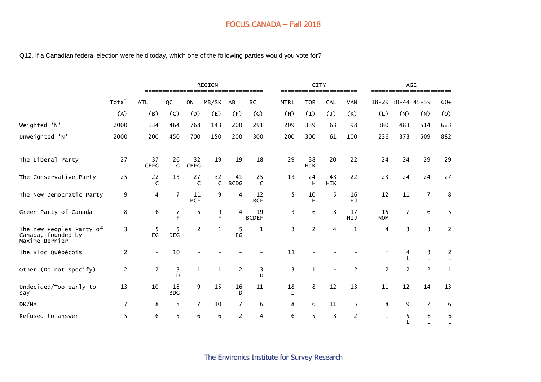#### Q12. If a Canadian federal election were held today, which one of the following parties would you vote for?

|                                                                  |                |                    |                  |                   | <b>REGION</b>      |                   |                    |                    | <b>CITY</b>      |                  |                |                  |                | AGE             |                  |
|------------------------------------------------------------------|----------------|--------------------|------------------|-------------------|--------------------|-------------------|--------------------|--------------------|------------------|------------------|----------------|------------------|----------------|-----------------|------------------|
|                                                                  | Total          | <b>ATL</b>         | QC               | ON                | MB/SK              | AB                | BC                 | <b>MTRL</b>        | <b>TOR</b>       | CAL              | <b>VAN</b>     | $18 - 29$        |                | $30 - 44$ 45-59 | $60+$            |
|                                                                  | (A)            | (B)                | (C)              | (D)               | (E)                | (F)               | (G)                | (H)                | (1)              | (1)              | (K)            | (L)              | (M)            | (N)             | (0)              |
| Weighted 'N'                                                     | 2000           | 134                | 464              | 768               | 143                | 200               | 291                | 209                | 339              | 63               | 98             | 380              | 483            | 514             | 623              |
| Unweighted 'N'                                                   | 2000           | 200                | 450              | 700               | 150                | 200               | 300                | 200                | 300              | 61               | 100            | 236              | 373            | 509             | 882              |
| The Liberal Party                                                | 27             | 37<br><b>CEFG</b>  | 26<br>G          | 32<br><b>CEFG</b> | 19                 | 19                | 18                 | 29                 | 38<br><b>HJK</b> | 20               | 22             | 24               | 24             | 29              | 29               |
| The Conservative Party                                           | 25             | 22<br>$\mathsf{C}$ | 13               | 27<br>C           | 32<br>$\mathsf{C}$ | 41<br><b>BCDG</b> | 25<br>C            | 13                 | 24<br>H          | 43<br><b>HIK</b> | 22             | 23               | 24             | 24              | 27               |
| The New Democratic Party                                         | 9              | 4                  | $\overline{7}$   | 11<br><b>BCF</b>  | $9\,$              | 4                 | 12<br><b>BCF</b>   | 5                  | 10<br>н          | 5                | 16<br>HJ       | 12               | $11\,$         | $\overline{7}$  | 8                |
| Green Party of Canada                                            | 8              | 6                  | 7<br>F           | 5                 | 9<br>F             | 4                 | 19<br><b>BCDEF</b> | 3                  | 6                | 3                | 17<br>HIJ      | 15<br><b>NOM</b> | $\overline{7}$ | 6               | 5                |
| The new Peoples Party of<br>Canada, founded by<br>Maxime Bernier | 3              | -5<br>EG           | 5<br><b>DEG</b>  | 2                 | $\mathbf{1}$       | 5<br>EG           | 1                  | 3                  | $\overline{c}$   | 4                | $\mathbf 1$    | 4                | 3              | 3               | $\overline{2}$   |
| The Bloc Québécois                                               | $\overline{c}$ |                    | 10               |                   |                    |                   |                    | 11                 |                  |                  |                | $\mathcal{R}$    | 4              | 3<br>L          | $\frac{2}{L}$    |
| Other (Do not specify)                                           | $\overline{c}$ | $\overline{c}$     | 3<br>D           | $\mathbf{1}$      | $\mathbf{1}$       | $\overline{c}$    | 3<br>D             | 3                  | $\mathbf{1}$     |                  | 2              | $\overline{2}$   | 2              | $\overline{2}$  | $\mathbf 1$      |
| Undecided/Too early to<br>say                                    | 13             | 10                 | 18<br><b>BDG</b> | 9                 | 15                 | 16<br>D           | 11                 | 18<br>$\mathsf{T}$ | 8                | 12               | 13             | 11               | 12             | 14              | 13               |
| DK/NA                                                            | $\overline{7}$ | 8                  | 8                | $\overline{7}$    | 10                 | $\overline{7}$    | 6                  | 8                  | 6                | 11               | 5              | 8                | 9              | $\overline{7}$  | 6                |
| Refused to answer                                                | 5              | 6                  | 5                | 6                 | 6                  | $\overline{c}$    | 4                  | 6                  | 5                | 3                | $\overline{2}$ | $\mathbf{1}$     | 5              | 6<br>L          | 6<br>$\mathsf L$ |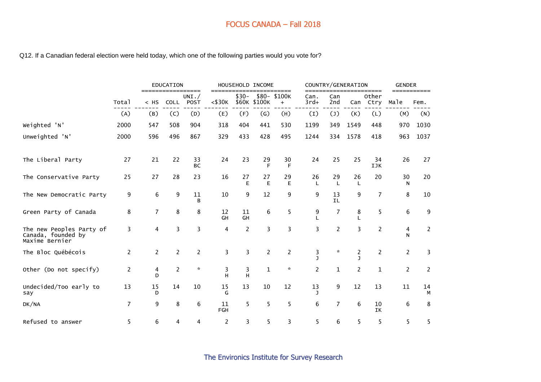#### Q12. If a Canadian federal election were held today, which one of the following parties would you vote for?

|                                                                  |       |                     | EDUCATION         |                     |                      |          | HOUSEHOLD INCOME |                                    |                |                 | COUNTRY/GENERATION |                        | <b>GENDER</b>  |                     |
|------------------------------------------------------------------|-------|---------------------|-------------------|---------------------|----------------------|----------|------------------|------------------------------------|----------------|-----------------|--------------------|------------------------|----------------|---------------------|
|                                                                  | Total | $<$ HS              | ================= | UNI. /<br>COLL POST | ====<br>$<$ \$30 $K$ | $$30-$   | \$60K \$100K     | $:= = = = =$<br>\$80-\$100K<br>$+$ | Can.<br>$3rd+$ | Can<br>2nd      | Can                | =====<br>Other<br>Ctry | Male           | ===========<br>Fem. |
|                                                                  | (A)   | (B)                 | (C)               | (D)                 | (E)                  | (F)      | (G)              | (H)                                | (I)            | (1)             | (K)                | (L)                    | (M)            | (N)                 |
| Weighted 'N'                                                     | 2000  | 547                 | 508               | 904                 | 318                  | 404      | 441              | 530                                | 1199           | 349             | 1549               | 448                    | 970            | 1030                |
| Unweighted 'N'                                                   | 2000  | 596                 | 496               | 867                 | 329                  | 433      | 428              | 495                                | 1244           | 334             | 1578               | 418                    | 963            | 1037                |
| The Liberal Party                                                | 27    | 21                  | 22                | 33<br><b>BC</b>     | 24                   | 23       | 29<br>F          | 30<br>F                            | 24             | 25              | 25                 | 34<br>IJK              | 26             | 27                  |
| The Conservative Party                                           | 25    | 27                  | 28                | 23                  | 16                   | 27<br>E  | 27<br>Е          | 29<br>Е                            | 26<br>L        | 29<br>L         | 26<br>L            | 20                     | 30<br>N        | 20                  |
| The New Democratic Party                                         | 9     | 6                   | 9                 | 11<br>B             | 10                   | 9        | 12               | 9                                  | 9              | 13<br><b>IL</b> | 9                  | 7                      | 8              | 10                  |
| Green Party of Canada                                            | 8     | $\overline{7}$      | 8                 | 8                   | 12<br>GH             | 11<br>GH | 6                | 5                                  | 9              | 7               | 8                  | 5                      | 6              | 9                   |
| The new Peoples Party of<br>Canada, founded by<br>Maxime Bernier | 3     | 4                   | 3                 | 3                   | 4                    | 2        | 3                | 3                                  | 3              | $\overline{c}$  | 3                  | $\overline{2}$         | 4<br>N         | $\overline{c}$      |
| The Bloc Québécois                                               | 2     | 2                   | $\overline{c}$    | 2                   | 3                    | 3        | 2                | 2                                  | 3              | $\mathcal{R}$   | $\overline{c}$     | 2                      | $\overline{c}$ | 3                   |
| Other (Do not specify)                                           | 2     | $\overline{4}$<br>D | $\overline{c}$    | $\star$             | 3<br>H               | 3<br>H   | $\mathbf{1}$     | $\star$                            | 2              | $\mathbf{1}$    | $\overline{2}$     | $\mathbf{1}$           | $\overline{2}$ | $\overline{2}$      |
| Undecided/Too early to<br>say                                    | 13    | 15<br>D             | 14                | 10                  | 15<br>G              | 13       | 10               | 12                                 | 13<br>ı        | 9               | 12                 | 13                     | 11             | 14<br>М             |
| DK/NA                                                            | 7     | 9                   | 8                 | 6                   | 11<br><b>FGH</b>     | 5        | 5                | 5                                  | 6              | $\overline{7}$  | 6                  | 10<br>IK               | 6              | 8                   |
| Refused to answer                                                | 5     | 6                   | 4                 | 4                   | $\overline{2}$       | 3        | 5.               | 3                                  | 5              | 6               | 5                  | 5                      | 5              | 5                   |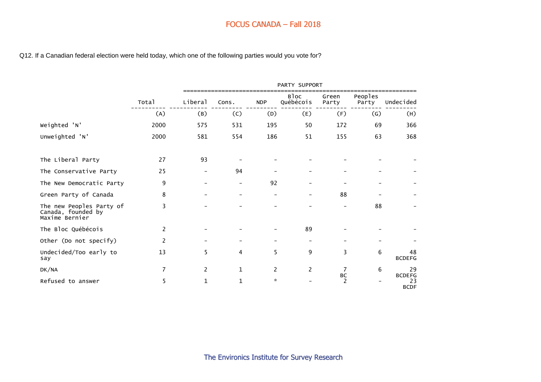Q12. If a Canadian federal election were held today, which one of the following parties would you vote for?

|                                                                  |                |                       |                          |                          | PARTY SUPPORT            |                |                   |                                    |
|------------------------------------------------------------------|----------------|-----------------------|--------------------------|--------------------------|--------------------------|----------------|-------------------|------------------------------------|
|                                                                  | Total          | Liberal               | Cons.                    | <b>NDP</b>               | <b>Bloc</b><br>Québécois | Green<br>Party | Peoples<br>Party  | Undecided                          |
|                                                                  | (A)            | (B)                   | (C)                      | (D)                      | (E)                      | (F)            | $\left( G\right)$ | (H)                                |
| Weighted 'N'                                                     | 2000           | 575                   | 531                      | 195                      | 50                       | 172            | 69                | 366                                |
| Unweighted 'N'                                                   | 2000           | 581                   | 554                      | 186                      | 51                       | 155            | 63                | 368                                |
| The Liberal Party                                                | 27             | 93                    |                          |                          |                          |                |                   |                                    |
| The Conservative Party                                           | 25             |                       | 94                       |                          |                          |                |                   |                                    |
| The New Democratic Party                                         | 9              |                       | $\overline{\phantom{a}}$ | 92                       |                          |                |                   |                                    |
| Green Party of Canada                                            | 8              |                       | $\qquad \qquad -$        | $\overline{\phantom{0}}$ |                          | 88             |                   |                                    |
| The new Peoples Party of<br>Canada, founded by<br>Maxime Bernier | 3              |                       |                          |                          |                          |                | 88                |                                    |
| The Bloc Québécois                                               | 2              |                       |                          |                          | 89                       |                |                   |                                    |
| Other (Do not specify)                                           | $\overline{c}$ |                       |                          |                          |                          |                |                   |                                    |
| Undecided/Too early to<br>say                                    | 13             | 5.                    | 4                        | 5                        | 9                        | 3              | 6                 | 48<br><b>BCDEFG</b>                |
| DK/NA                                                            | $\overline{7}$ | $\mathbf{2}^{\prime}$ | $\mathbf{1}$             | 2                        | $\overline{c}$           | 7              | 6                 | 29                                 |
| Refused to answer                                                | 5              | $\mathbf{1}$          | $\mathbf{1}$             | $\mathcal{R}$            |                          | ВC<br>2        |                   | <b>BCDEFG</b><br>23<br><b>BCDF</b> |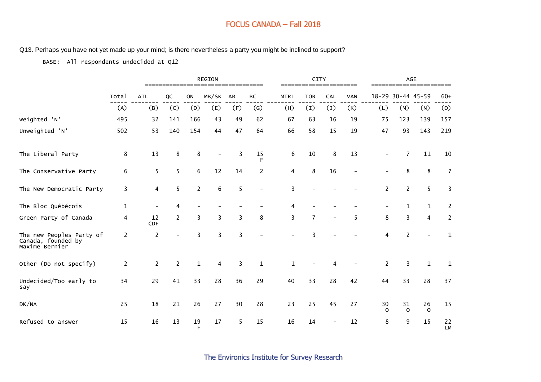#### Q13. Perhaps you have not yet made up your mind; is there nevertheless a party you might be inclined to support?

BASE: All respondents undecided at Q12

|                                                                  |                |                | ============== |                | <b>REGION</b> | ---------- |              |             | <b>CITY</b>    |     |            |                |                          | <b>AGE</b><br>================== |                 |
|------------------------------------------------------------------|----------------|----------------|----------------|----------------|---------------|------------|--------------|-------------|----------------|-----|------------|----------------|--------------------------|----------------------------------|-----------------|
|                                                                  | Total          | <b>ATL</b>     | QC             | ON             | MB/SK         | AB         | ВC           | <b>MTRL</b> | <b>TOR</b>     | CAL | <b>VAN</b> |                |                          | 18-29 30-44 45-59                | $60+$           |
|                                                                  | (A)            | (B)            | (C)            | (D)            | (E)           | (F)        | (G)          | (H)         | (1)            | (1) | (K)        | (L)            | (M)                      | (N)                              | (0)             |
| Weighted 'N'                                                     | 495            | 32             | 141            | 166            | 43            | 49         | 62           | 67          | 63             | 16  | 19         | 75             | 123                      | 139                              | 157             |
| Unweighted 'N'                                                   | 502            | 53             | 140            | 154            | 44            | 47         | 64           | 66          | 58             | 15  | 19         | 47             | 93                       | 143                              | 219             |
| The Liberal Party                                                | 8              | 13             | 8              | 8              |               | 3          | 15<br>F      | 6           | 10             | 8   | 13         |                | 7                        | 11                               | 10              |
| The Conservative Party                                           | 6              | 5              | 5              | 6              | 12            | 14         | 2            | 4           | 8              | 16  |            |                | 8                        | $\,8\,$                          | $\overline{7}$  |
| The New Democratic Party                                         | 3              | 4              | 5              | $\overline{2}$ | 6             | 5          |              | 3           |                |     |            | $\overline{2}$ | 2                        | 5                                | 3               |
| The Bloc Québécois                                               | $\mathbf 1$    |                | 4              |                |               |            |              |             |                |     |            |                | 1                        | $\mathbf{1}$                     | $\overline{c}$  |
| Green Party of Canada                                            | 4              | 12<br>CDF      | 2              | 3              | 3             | 3          | 8            | 3           | $\overline{7}$ |     | 5          | 8              | 3                        | 4                                | $\overline{c}$  |
| The new Peoples Party of<br>Canada, founded by<br>Maxime Bernier | $\overline{c}$ | 2              |                | 3              | 3             | 3          |              |             | 3              |     |            | 4              | $\overline{\phantom{a}}$ |                                  | $\mathbf{1}$    |
| Other (Do not specify)                                           | $\overline{2}$ | $\overline{2}$ | $\overline{2}$ | $\mathbf{1}$   | 4             | 3          | $\mathbf{1}$ | 1           |                |     |            | 2              | 3                        | $\mathbf{1}$                     | $\mathbf{1}$    |
| Undecided/Too early to<br>say                                    | 34             | 29             | 41             | 33             | 28            | 36         | 29           | 40          | 33             | 28  | 42         | 44             | 33                       | 28                               | 37              |
| DK/NA                                                            | 25             | 18             | 21             | 26             | 27            | 30         | 28           | 23          | 25             | 45  | 27         | 30<br>$\Omega$ | 31<br>$\mathbf 0$        | 26<br>$\mathbf 0$                | 15              |
| Refused to answer                                                | 15             | 16             | 13             | 19<br>E        | 17            | 5          | 15           | 16          | 14             |     | 12         | 8              | 9                        | 15                               | 22<br><b>LM</b> |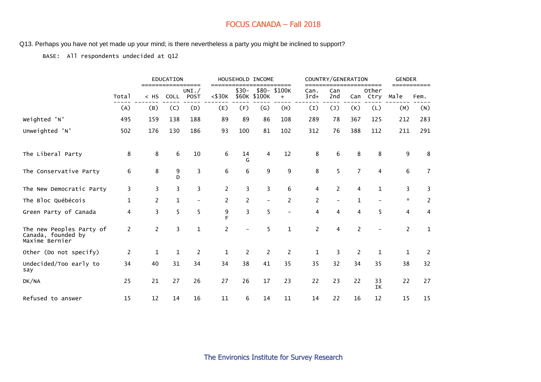Q13. Perhaps you have not yet made up your mind; is there nevertheless a party you might be inclined to support?

BASE: All respondents undecided at Q12

|                                                                  |       |                | EDUCATION    |                            |                |                 | HOUSEHOLD INCOME  |                              |                | COUNTRY/GENERATION       |                |                        | <b>GENDER</b>  |                |
|------------------------------------------------------------------|-------|----------------|--------------|----------------------------|----------------|-----------------|-------------------|------------------------------|----------------|--------------------------|----------------|------------------------|----------------|----------------|
|                                                                  | Total | $<$ HS         | <b>COLL</b>  | ======<br>UNI. $/$<br>POST | $<$ \$30 $K$   | $$30-$<br>\$60K | \$100K            | =====<br>\$80- \$100K<br>$+$ | Can.<br>$3rd+$ | Can<br>2nd               | Can            | =====<br>Other<br>Ctry | Male           | Fem.           |
|                                                                  | (A)   | (B)            | (C)          | (D)                        | (E)            | (F)             | $\left( G\right)$ | (H)                          | (I)            | (1)                      | (K)            | (L)                    | (M)            | (N)            |
| Weighted 'N'                                                     | 495   | 159            | 138          | 188                        | 89             | 89              | 86                | 108                          | 289            | 78                       | 367            | 125                    | 212            | 283            |
| Unweighted 'N'                                                   | 502   | 176            | 130          | 186                        | 93             | 100             | 81                | 102                          | 312            | 76                       | 388            | 112                    | 211            | 291            |
| The Liberal Party                                                | 8     | 8              | 6            | 10                         | 6              | 14<br>G         | 4                 | 12                           | 8              | 6                        | 8              | 8                      | 9              | 8              |
| The Conservative Party                                           | 6     | 8              | 9<br>D       | 3                          | 6              | 6               | 9                 | 9                            | 8              | 5                        | $\overline{7}$ | 4                      | 6              | $\overline{7}$ |
| The New Democratic Party                                         | 3     | 3              | 3            | 3                          | $\overline{2}$ | 3               | 3                 | 6                            | 4              | 2                        | 4              | $\mathbf{1}$           | 3              | 3              |
| The Bloc Québécois                                               | 1     | $\overline{c}$ | $\mathbf{1}$ |                            | $\overline{c}$ | $\overline{2}$  |                   | $\overline{2}$               | $\overline{c}$ | $\overline{\phantom{0}}$ | 1              |                        | $\mathbf{x}$   | $\overline{2}$ |
| Green Party of Canada                                            | 4     | 3              | 5            | 5                          | 9<br>F         | 3               | 5                 |                              | 4              | 4                        | 4              | 5                      | 4              | 4              |
| The new Peoples Party of<br>Canada, founded by<br>Maxime Bernier | 2     | $\overline{c}$ | 3            | $\mathbf{1}$               | $\overline{2}$ |                 | 5                 | $\mathbf{1}$                 | 2              | 4                        | $\overline{2}$ |                        | $\overline{2}$ | 1              |
| Other (Do not specify)                                           | 2     | $\mathbf{1}$   | $\mathbf 1$  | 2                          | $\mathbf{1}$   | $\overline{2}$  | $\overline{2}$    | 2                            | $\mathbf{1}$   | 3                        | 2              | $\mathbf{1}$           | $\mathbf{1}$   | 2              |
| Undecided/Too early to<br>say                                    | 34    | 40             | 31           | 34                         | 34             | 38              | 41                | 35                           | 35             | 32                       | 34             | 35                     | 38             | 32             |
| DK/NA                                                            | 25    | 21             | 27           | 26                         | 27             | 26              | 17                | 23                           | 22             | 23                       | 22             | 33<br>IΚ               | 22             | 27             |
| Refused to answer                                                | 15    | 12             | 14           | 16                         | 11             | 6               | 14                | 11                           | 14             | 22                       | 16             | 12                     | 15             | 15             |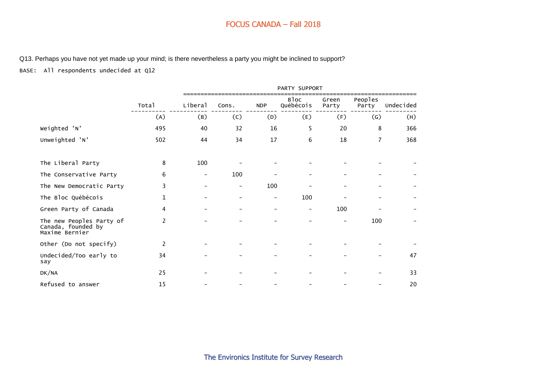Q13. Perhaps you have not yet made up your mind; is there nevertheless a party you might be inclined to support?

BASE: All respondents undecided at Q12

|                                                                  |                |         |                          |                          | PARTY SUPPORT            |                |                   |           |
|------------------------------------------------------------------|----------------|---------|--------------------------|--------------------------|--------------------------|----------------|-------------------|-----------|
|                                                                  | Total          | Liberal | Cons.                    | <b>NDP</b>               | Bloc<br>Québécois        | Green<br>Party | Peoples<br>Party  | Undecided |
|                                                                  | (A)            | (B)     | (C)                      | (D)                      | (E)                      | (F)            | $\left( G\right)$ | (H)       |
| Weighted 'N'                                                     | 495            | 40      | 32                       | 16                       | 5                        | 20             | 8                 | 366       |
| Unweighted 'N'                                                   | 502            | 44      | 34                       | 17                       | 6                        | 18             | 7                 | 368       |
| The Liberal Party                                                | 8              | 100     |                          |                          |                          |                |                   |           |
| The Conservative Party                                           | 6              |         | 100                      |                          |                          |                |                   |           |
| The New Democratic Party                                         | 3              |         | $\overline{\phantom{m}}$ | 100                      |                          |                |                   |           |
| The Bloc Québécois                                               | $\mathbf{1}$   |         | $\qquad \qquad -$        | $\overline{\phantom{0}}$ | 100                      |                |                   |           |
| Green Party of Canada                                            | 4              |         |                          |                          | $\overline{\phantom{a}}$ | 100            |                   |           |
| The new Peoples Party of<br>Canada, founded by<br>Maxime Bernier | $\overline{c}$ |         |                          |                          |                          |                | 100               |           |
| Other (Do not specify)                                           | 2              |         |                          |                          |                          |                |                   |           |
| Undecided/Too early to<br>say                                    | 34             |         |                          |                          |                          |                |                   | 47        |
| DK/NA                                                            | 25             |         |                          |                          |                          |                |                   | 33        |
| Refused to answer                                                | 15             |         |                          |                          |                          |                |                   | 20        |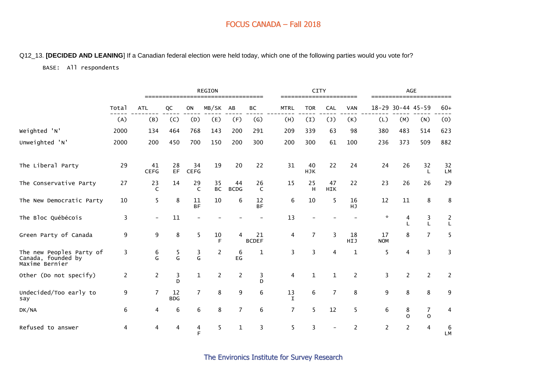#### Q12\_13. **[DECIDED AND LEANING**] If a Canadian federal election were held today, which one of the following parties would you vote for?

#### BASE: All respondents

|                                                                  |                |                    |                  |                    | <b>REGION</b>   |                   |                    |                   | <b>CITY</b>      |                  |            |                  | <b>AGE</b>        |                                |                 |
|------------------------------------------------------------------|----------------|--------------------|------------------|--------------------|-----------------|-------------------|--------------------|-------------------|------------------|------------------|------------|------------------|-------------------|--------------------------------|-----------------|
|                                                                  | Total          | <b>ATL</b>         | QC               | ON                 | MB/SK           | AB                | ВC                 | <b>MTRL</b>       | <b>TOR</b>       | <b>CAL</b>       | <b>VAN</b> |                  | 18-29 30-44 45-59 |                                | $60+$           |
|                                                                  | (A)            | (B)                | (C)              | (D)                | (E)             | (F)               | $\left( G\right)$  | (H)               | (1)              | (1)              | (K)        | (L)              | (M)               | (N)                            | (0)             |
| Weighted 'N'                                                     | 2000           | 134                | 464              | 768                | 143             | 200               | 291                | 209               | 339              | 63               | 98         | 380              | 483               | 514                            | 623             |
| Unweighted 'N'                                                   | 2000           | 200                | 450              | 700                | 150             | 200               | 300                | 200               | 300              | 61               | 100        | 236              | 373               | 509                            | 882             |
| The Liberal Party                                                | 29             | 41<br><b>CEFG</b>  | 28<br><b>EF</b>  | 34<br><b>CEFG</b>  | 19              | 20                | 22                 | 31                | 40<br><b>HJK</b> | 22               | 24         | 24               | 26                | 32<br>L                        | 32<br><b>LM</b> |
| The Conservative Party                                           | 27             | 23<br>$\mathsf{C}$ | 14               | 29<br>$\mathsf{C}$ | 35<br><b>BC</b> | 44<br><b>BCDG</b> | 26<br>C            | 15                | 25<br>H          | 47<br><b>HIK</b> | 22         | 23               | 26                | 26                             | 29              |
| The New Democratic Party                                         | 10             | 5                  | 8                | 11<br><b>BF</b>    | 10              | 6                 | 12<br><b>BF</b>    | 6                 | 10               | 5                | 16<br>HJ   | 12               | 11                | 8                              | 8               |
| The Bloc Québécois                                               | 3              |                    | 11               |                    |                 |                   |                    | 13                |                  |                  |            | $\star$          | 4<br>$\mathsf{L}$ | 3<br>L                         | $\frac{2}{L}$   |
| Green Party of Canada                                            | 9              | 9                  | 8                | 5                  | 10<br>F         | 4                 | 21<br><b>BCDEF</b> | 4                 | 7                | 3                | 18<br>HIJ  | 17<br><b>NOM</b> | 8                 | $\overline{7}$                 | 5               |
| The new Peoples Party of<br>Canada, founded by<br>Maxime Bernier | 3              | 6<br>G.            | 5<br>G           | 3<br>G             | $\overline{c}$  | 6<br>EG           | 1                  | 3                 | 3                | 4                | 1          | 5                | 4                 | 3                              | 3               |
| Other (Do not specify)                                           | $\overline{2}$ | $\overline{c}$     | 3<br>D           | $\mathbf{1}$       | $\overline{c}$  | $\overline{c}$    | 3<br>D             | 4                 | $\mathbf 1$      | $\mathbf{1}$     | 2          | 3                | $\overline{c}$    | $\overline{2}$                 | 2               |
| Undecided/Too early to<br>say                                    | 9              | $\overline{7}$     | 12<br><b>BDG</b> | $\overline{7}$     | 8               | 9                 | 6                  | 13<br>$\mathbf I$ | 6                | $\overline{7}$   | 8          | 9                | 8                 | 8                              | 9               |
| DK/NA                                                            | 6              | 4                  | 6                | 6                  | 8               | $\overline{7}$    | 6                  | 7                 | 5                | 12               | 5          | 6                | 8<br>$\Omega$     | $\overline{7}$<br>$\mathsf{o}$ | 4               |
| Refused to answer                                                | 4              | 4                  | 4                | 4<br>F             | 5               | 1                 | 3                  | 5                 | 3                |                  | 2          | $\overline{2}$   | $\overline{2}$    | 4                              | 6<br><b>LM</b>  |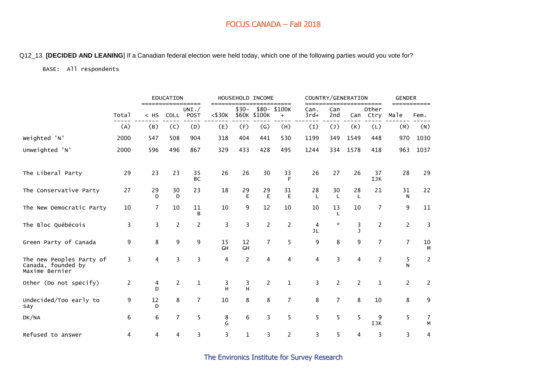#### Q12\_13. **[DECIDED AND LEANING**] If a Canadian federal election were held today, which one of the following parties would you vote for?

#### BASE: All respondents

|                                                                  |       |                | <b>EDUCATION</b> |                                  |                      |                 | HOUSEHOLD INCOME |                                  |                |                | COUNTRY/GENERATION |                        | <b>GENDER</b>  |         |
|------------------------------------------------------------------|-------|----------------|------------------|----------------------------------|----------------------|-----------------|------------------|----------------------------------|----------------|----------------|--------------------|------------------------|----------------|---------|
|                                                                  | Total | $=$<br>$<$ HS  | <b>COLL</b>      | =====<br>UNI. $/$<br><b>POST</b> | $==$<br>$<$ \$30 $K$ | $$30-$<br>\$60K | \$100K           | ====<br>\$80-\$100K<br>$\ddot{}$ | Can.<br>$3rd+$ | Can<br>2nd     | Can                | =====<br>Other<br>Ctry | Male           | Fem.    |
|                                                                  | (A)   | (B)            | (C)              | (D)                              | (E)                  | (F)             | (G)              | (H)                              | (I)            | $(\mathsf{J})$ | (K)                | (L)                    | (M)            | (N)     |
| Weighted 'N'                                                     | 2000  | 547            | 508              | 904                              | 318                  | 404             | 441              | 530                              | 1199           | 349            | 1549               | 448                    | 970            | 1030    |
| Unweighted 'N'                                                   | 2000  | 596            | 496              | 867                              | 329                  | 433             | 428              | 495                              | 1244           | 334            | 1578               | 418                    | 963            | 1037    |
| The Liberal Party                                                | 29    | 23             | 23               | 35<br><b>BC</b>                  | 26                   | 26              | 30               | 33<br>F                          | 26             | 27             | 26                 | 37<br>IJK              | 28             | 29      |
| The Conservative Party                                           | 27    | 29<br>D        | 30<br>D          | 23                               | 18                   | 29<br>Е         | 29<br>E          | 31<br>E                          | 28<br>$\perp$  | 30<br>L        | 28<br>$\mathbf{I}$ | 21                     | 31<br>N        | 22      |
| The New Democratic Party                                         | 10    | $\overline{7}$ | 10               | 11<br>B                          | 10                   | 9               | 12               | 10                               | 10             | 13             | 10                 | 7                      | 9              | 11      |
| The Bloc Québécois                                               | 3     | 3              | $\overline{2}$   | $\overline{c}$                   | 3                    | 3               | 2                | 2                                | 4<br>JL        | $\star$        | 3<br>$\mathbf{I}$  | $\overline{2}$         | $\overline{2}$ | 3       |
| Green Party of Canada                                            | 9     | 8              | 9                | 9                                | 15<br>GH             | 12<br>GH        | $\overline{7}$   | 5                                | 9              | 8              | 9                  | $\overline{7}$         | $\overline{7}$ | 10<br>M |
| The new Peoples Party of<br>Canada, founded by<br>Maxime Bernier | 3     | 4              | 3                | 3                                | 4                    | $\overline{c}$  | 4                | 4                                | 4              | 3              | 4                  | $\overline{2}$         | 5<br>N         | 2       |
| Other (Do not specify)                                           | 2     | 4<br>D         | $\overline{c}$   | $\mathbf{1}$                     | 3<br>H               | 3<br>H          | $\overline{2}$   | $\mathbf 1$                      | 3              | $\overline{c}$ | $\overline{c}$     | $\mathbf{1}$           | $\overline{2}$ | 2       |
| Undecided/Too early to<br>say                                    | 9     | 12<br>D        | 8                | $\overline{7}$                   | 10                   | 8               | 8                | $\overline{7}$                   | 8              | $\overline{7}$ | 8                  | 10                     | 8              | 9       |
| DK/NA                                                            | 6     | 6              | $\overline{7}$   | 5                                | 8<br>G               | 6               | 3                | 5                                | 5              | 5              | 5                  | 9<br>IJK               | 5              | 7<br>M  |
| Refused to answer                                                | 4     | 4              | 4                | 3                                | 3                    | $\mathbf{1}$    | 3                | $\overline{2}$                   | 3              | 5              | 4                  | 3                      | 3              | 4       |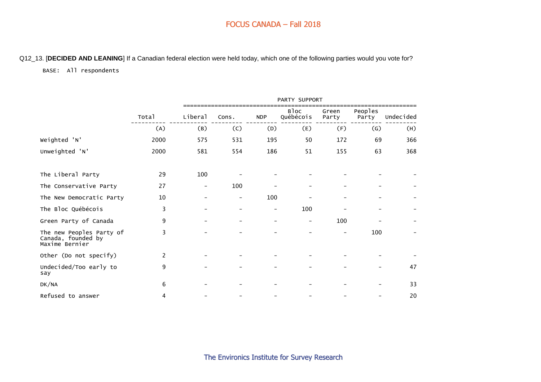#### Q12\_13. [**DECIDED AND LEANING**] If a Canadian federal election were held today, which one of the following parties would you vote for?

#### BASE: All respondents

|                                                                  |       |                          |       |            | PARTY SUPPORT     |                |                   |           |
|------------------------------------------------------------------|-------|--------------------------|-------|------------|-------------------|----------------|-------------------|-----------|
|                                                                  | Total | Liberal                  | Cons. | <b>NDP</b> | Bloc<br>Québécois | Green<br>Party | Peoples<br>Party  | Undecided |
|                                                                  | (A)   | (B)                      | (C)   | (D)        | (E)               | (F)            | $\left( G\right)$ | (H)       |
| Weighted 'N'                                                     | 2000  | 575                      | 531   | 195        | 50                | 172            | 69                | 366       |
| Unweighted 'N'                                                   | 2000  | 581                      | 554   | 186        | 51                | 155            | 63                | 368       |
| The Liberal Party                                                | 29    | 100                      |       |            |                   |                |                   |           |
| The Conservative Party                                           | 27    | $\overline{\phantom{a}}$ | 100   |            |                   |                |                   |           |
| The New Democratic Party                                         | 10    |                          | -     | 100        |                   |                |                   |           |
| The Bloc Québécois                                               | 3     |                          | -     | -          | 100               |                |                   |           |
| Green Party of Canada                                            | 9     |                          |       |            | $\qquad \qquad -$ | 100            |                   |           |
| The new Peoples Party of<br>Canada, founded by<br>Maxime Bernier | 3     |                          |       |            |                   |                | 100               |           |
| Other (Do not specify)                                           | 2     |                          |       |            |                   |                |                   |           |
| Undecided/Too early to<br>say                                    | 9     |                          |       |            |                   |                |                   | 47        |
| DK/NA                                                            | 6     |                          |       |            |                   |                |                   | 33        |
| Refused to answer                                                | 4     |                          |       |            |                   |                |                   | 20        |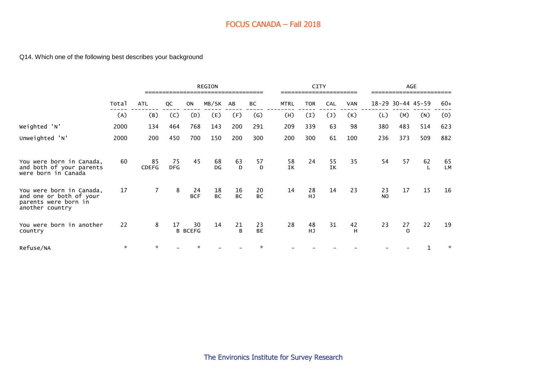#### Q14. Which one of the following best describes your background

|                                                                                                |       |                    |                  |                      | <b>REGION</b>   |                    |                 |             | <b>CITY</b>     |            |         |                 |                | <b>AGE</b>            |                 |
|------------------------------------------------------------------------------------------------|-------|--------------------|------------------|----------------------|-----------------|--------------------|-----------------|-------------|-----------------|------------|---------|-----------------|----------------|-----------------------|-----------------|
|                                                                                                | Total | <b>ATL</b>         | QC               | <b>ON</b>            | MB/SK           | AB                 | ВC              | <b>MTRL</b> | <b>TOR</b>      | <b>CAL</b> | VAN     |                 |                | $18 - 29$ 30-44 45-59 | $60+$           |
|                                                                                                | (A)   | (B)                | (C)              | (D)                  | (E)             | (F)                | $\mathsf{(G)}$  | (H)         | (I)             | (1)        | (K)     | (L)             | (M)            | (N)                   | (0)             |
| Weighted 'N'                                                                                   | 2000  | 134                | 464              | 768                  | 143             | 200                | 291             | 209         | 339             | 63         | 98      | 380             | 483            | 514                   | 623             |
| Unweighted 'N'                                                                                 | 2000  | 200                | 450              | 700                  | 150             | 200                | 300             | 200         | 300             | 61         | 100     | 236             | 373            | 509                   | 882             |
| You were born in Canada,<br>and both of your parents<br>were born in Canada                    | 60    | 85<br><b>CDEFG</b> | 75<br><b>DFG</b> | 45                   | 68<br>DG        | 63<br>D            | 57<br>D         | 58<br>IK    | 24              | 55<br>IK   | 35      | 54              | 57             | 62                    | 65<br><b>LM</b> |
| You were born in Canada,<br>and one or both of your<br>parents were born in<br>another country | 17    | $\overline{7}$     | 8                | 24<br><b>BCF</b>     | 18<br><b>BC</b> | 16<br><b>BC</b>    | 20<br><b>BC</b> | 14          | 28<br>HJ        | 14         | 23      | 23<br><b>NO</b> | 17             | 15                    | 16              |
| You were born in another<br>country                                                            | 22    | 8                  | 17               | 30<br><b>B BCEFG</b> | 14              | 21<br><sub>R</sub> | 23<br><b>BE</b> | 28          | 48<br><b>HJ</b> | 31         | 42<br>H | 23              | 27<br>$\Omega$ | 22                    | 19              |
| Refuse/NA                                                                                      | ☆     | ☆                  |                  |                      |                 |                    | 火               |             |                 |            |         |                 |                | 1                     | *               |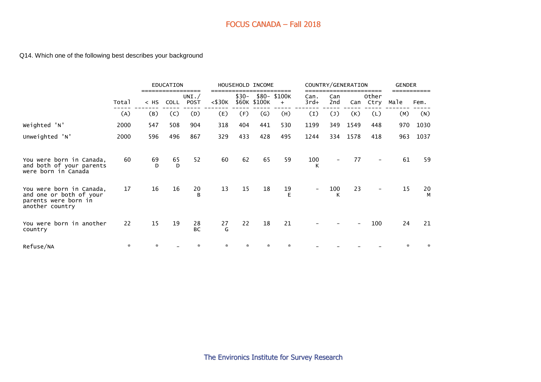# Q14. Which one of the following best describes your background

|                                                                                                |       |         | EDUCATION   |                    |              |        | HOUSEHOLD INCOME          |                     | COUNTRY/GENERATION       |            |      |               | <b>GENDER</b> |         |
|------------------------------------------------------------------------------------------------|-------|---------|-------------|--------------------|--------------|--------|---------------------------|---------------------|--------------------------|------------|------|---------------|---------------|---------|
|                                                                                                | Total | $<$ HS  | <b>COLL</b> | UNI. $/$<br>POST   | $<$ \$30 $K$ | $$30-$ | \$60K \$100K              | \$80- \$100K<br>$+$ | Can.<br>3rd+             | Can<br>2nd | Can  | Other<br>Ctry | Male          | Fem.    |
|                                                                                                | (A)   | (B)     | (C)         | (D)                | (E)          | (F)    | $\left(\mathsf{G}\right)$ | (H)                 | (I)                      | (1)        | (K)  | (L)           | (M)           | (N)     |
| Weighted 'N'                                                                                   | 2000  | 547     | 508         | 904                | 318          | 404    | 441                       | 530                 | 1199                     | 349        | 1549 | 448           | 970           | 1030    |
| Unweighted 'N'                                                                                 | 2000  | 596     | 496         | 867                | 329          | 433    | 428                       | 495                 | 1244                     | 334        | 1578 | 418           | 963           | 1037    |
| You were born in Canada,<br>both of your parents<br>and<br>were born in Canada                 | 60    | 69<br>D | 65<br>D     | 52                 | 60           | 62     | 65                        | 59                  | 100<br>к                 | -          | 77   |               | 61            | 59      |
| You were born in Canada,<br>and one or both of your<br>parents were born in<br>another country | 17    | 16      | 16          | 20<br><sub>B</sub> | 13           | 15     | 18                        | 19<br>E             | $\overline{\phantom{a}}$ | 100<br>К   | 23   |               | 15            | 20<br>M |
| You were born in another<br>country                                                            | 22    | 15      | 19          | 28<br><b>BC</b>    | 27<br>G      | 22     | 18                        | 21                  |                          |            |      | 100           | 24            | 21      |
| Refuse/NA                                                                                      | ÷.    | ☆       |             | $\mathcal{R}$      | ÷.           | ÷      | ÷.                        | $\mathcal{R}$       |                          |            |      |               | $\mathcal{R}$ | ∗       |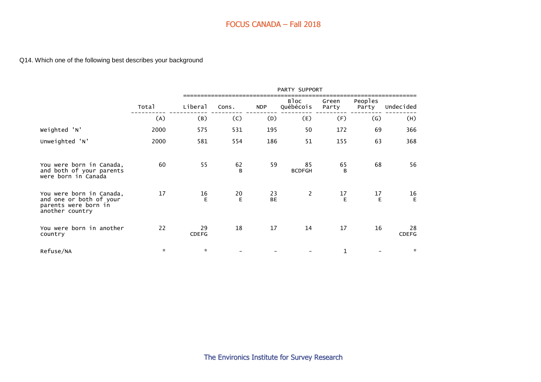Q14. Which one of the following best describes your background

|                                                                                                |         | PARTY SUPPORT<br>Bloc<br>Peoples<br>Green<br>Québécois<br>Liberal<br>NDP<br>Cons.<br>Party<br>Party<br>(C)<br>(B)<br>(D)<br>(E)<br>$\left( G\right)$<br>(A)<br>(F)<br>2000<br>531<br>50<br>69<br>575<br>195<br>172<br>51<br>63<br>2000<br>581<br>554<br>155<br>186<br>60<br>55<br>59<br>68<br>62<br>65<br>85<br>B<br><b>BCDFGH</b><br>B<br>17<br>$\overline{2}$<br>16<br>17<br>20<br>23<br>E<br>BE<br>E<br>E |    |    |    |    |           |                   |
|------------------------------------------------------------------------------------------------|---------|--------------------------------------------------------------------------------------------------------------------------------------------------------------------------------------------------------------------------------------------------------------------------------------------------------------------------------------------------------------------------------------------------------------|----|----|----|----|-----------|-------------------|
|                                                                                                | Total   |                                                                                                                                                                                                                                                                                                                                                                                                              |    |    |    |    |           | Undecided         |
|                                                                                                |         |                                                                                                                                                                                                                                                                                                                                                                                                              |    |    |    |    |           | (H)               |
| Weighted 'N'                                                                                   |         |                                                                                                                                                                                                                                                                                                                                                                                                              |    |    |    |    |           | 366               |
| Unweighted 'N'                                                                                 |         |                                                                                                                                                                                                                                                                                                                                                                                                              |    |    |    |    |           | 368               |
| You were born in Canada,<br>and both of your parents<br>were born in Canada                    |         |                                                                                                                                                                                                                                                                                                                                                                                                              |    |    |    |    |           | 56                |
| You were born in Canada,<br>and one or both of your<br>parents were born in<br>another country |         |                                                                                                                                                                                                                                                                                                                                                                                                              |    |    |    |    | $17 \,$ E | $16 \overline{E}$ |
| You were born in another<br>country                                                            | 22      | 29<br><b>CDEFG</b>                                                                                                                                                                                                                                                                                                                                                                                           | 18 | 17 | 14 | 17 | 16        | 28<br>CDEFG       |
| Refuse/NA                                                                                      | $\star$ | $\mathcal{R}$                                                                                                                                                                                                                                                                                                                                                                                                |    |    |    | 1  |           | $\mathcal{R}$     |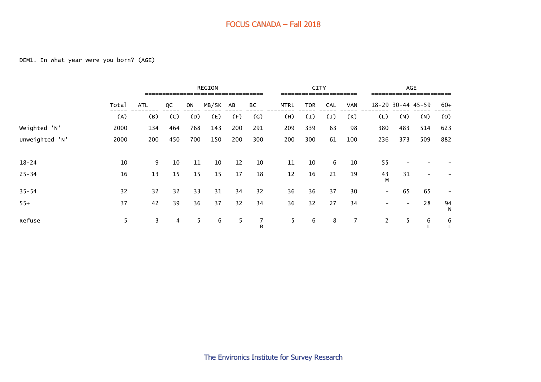|                |       | REGION     |     |     |          |     |                   |             | <b>CITY</b> |                |     |                   |                   | <b>AGE</b>               |         |
|----------------|-------|------------|-----|-----|----------|-----|-------------------|-------------|-------------|----------------|-----|-------------------|-------------------|--------------------------|---------|
|                | Total | <b>ATL</b> | QC  | ON  | MB/SK AB |     | ВC                | <b>MTRL</b> | <b>TOR</b>  | <b>CAL</b>     | VAN |                   | 18-29 30-44 45-59 |                          | $60+$   |
|                | (A)   | (B)        | (C) | (D) | (E)      | (F) | $\left( G\right)$ | (H)         | (1)         | $(\mathsf{J})$ | (K) | (L)               | (M)               | (N)                      | (0)     |
| Weighted 'N'   | 2000  | 134        | 464 | 768 | 143      | 200 | 291               | 209         | 339         | 63             | 98  | 380               | 483               | 514                      | 623     |
| Unweighted 'N' | 2000  | 200        | 450 | 700 | 150      | 200 | 300               | 200         | 300         | 61             | 100 | 236               | 373               | 509                      | 882     |
|                |       |            |     |     |          |     |                   |             |             |                |     |                   |                   |                          |         |
| $18 - 24$      | 10    | 9          | 10  | 11  | 10       | 12  | 10                | 11          | 10          | 6              | 10  | 55                |                   |                          |         |
| $25 - 34$      | 16    | 13         | 15  | 15  | 15       | 17  | 18                | 12          | 16          | 21             | 19  | 43<br>M           | 31                | $\overline{\phantom{a}}$ |         |
| $35 - 54$      | 32    | 32         | 32  | 33  | 31       | 34  | 32                | 36          | 36          | 37             | 30  | $\qquad \qquad -$ | 65                | 65                       |         |
| $55+$          | 37    | 42         | 39  | 36  | 37       | 32  | 34                | 36          | 32          | 27             | 34  |                   |                   | 28                       | 94<br>N |
| Refuse         | 5     | 3          | 4   | 5.  | 6        | 5   | В                 | 5.          | 6           | 8              | 7   | 2                 | 5                 | 6                        | 6       |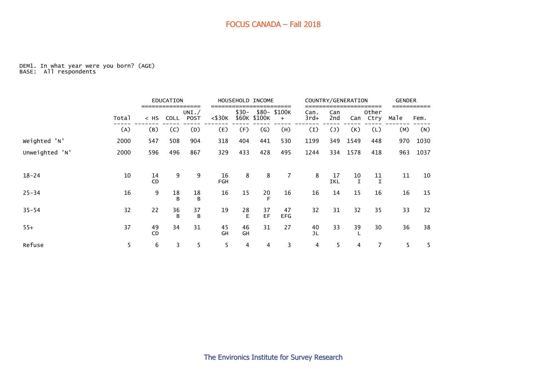#### DEM1. In what year were you born? (AGE) BASE: All respondents

|                |       |                 | <b>EDUCATION</b>  |                       |                   |          | HOUSEHOLD INCOME          |                    |                |                  | COUNTRY/GENERATION | ----              | <b>GENDER</b> |      |
|----------------|-------|-----------------|-------------------|-----------------------|-------------------|----------|---------------------------|--------------------|----------------|------------------|--------------------|-------------------|---------------|------|
|                | Total | $<$ HS          | COLL              | UNI. /<br><b>POST</b> | $<$ \$30 $\kappa$ | $$30-$   | \$60K \$100K              | \$80-\$100K<br>$+$ | Can.<br>$3rd+$ | Can<br>2nd       | Can                | Other<br>Ctry     | Male          | Fem. |
|                | (A)   | (B)             | (C)               | (D)                   | (E)               | (F)      | $\left(\mathsf{G}\right)$ | (H)                | (I)            | (1)              | (K)                | (L)               | (M)           | (N)  |
| Weighted 'N'   | 2000  | 547             | 508               | 904                   | 318               | 404      | 441                       | 530                | 1199           | 349              | 1549               | 448               | 970           | 1030 |
| Unweighted 'N' | 2000  | 596             | 496               | 867                   | 329               | 433      | 428                       | 495                | 1244           | 334              | 1578               | 418               | 963           | 1037 |
|                |       |                 |                   |                       |                   |          |                           |                    |                |                  |                    |                   |               |      |
| $18 - 24$      | 10    | 14<br><b>CD</b> | 9                 | 9                     | 16<br>FGH         | 8        | 8                         | 7                  | 8              | 17<br><b>IKL</b> | 10                 | 11<br>$\mathbf I$ | 11            | 10   |
| $25 - 34$      | 16    | 9               | 18<br>$\mathbf B$ | 18<br>B               | 16                | 15       | 20                        | 16                 | 16             | 14               | 15                 | 16                | 16            | 15   |
| $35 - 54$      | 32    | 22              | 36<br>B           | 37<br>B               | 19                | 28<br>E  | 37<br>EF                  | 47<br><b>EFG</b>   | 32             | 31               | 32                 | 35                | 33            | 32   |
| $55+$          | 37    | 49<br><b>CD</b> | 34                | 31                    | 45<br>GH          | 46<br>GH | 31                        | 27                 | 40<br>JL       | 33               | 39                 | 30                | 36            | 38   |
| Refuse         | 5     | 6               | 3                 | 5                     | 5                 | 4        | 4                         | 3                  | 4              | 5                | 4                  | 7                 | 5             | 5    |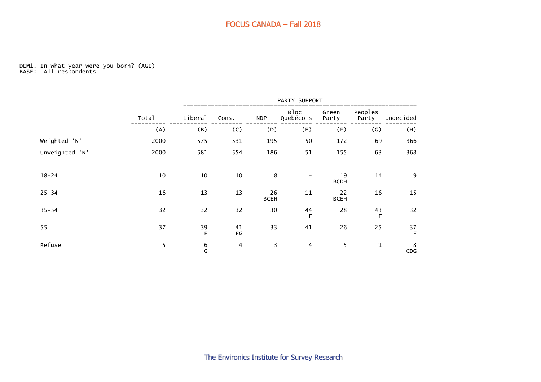#### DEM1. In what year were you born? (AGE) BASE: All respondents

|                |       |            |                |                   | PARTY SUPPORT     |                   |                  |           |
|----------------|-------|------------|----------------|-------------------|-------------------|-------------------|------------------|-----------|
|                | Total | Liberal    | Cons.          | <b>NDP</b>        | Bloc<br>Québécois | Green<br>Party    | Peoples<br>Party | Undecided |
|                | (A)   | (B)        | (C)            | (D)               | (E)               | (F)               | (G)              | (H)       |
| Weighted 'N'   | 2000  | 575        | 531            | 195               | 50                | 172               | 69               | 366       |
| Unweighted 'N' | 2000  | 581        | 554            | 186               | 51                | 155               | 63               | 368       |
| $18 - 24$      | 10    | 10         | 10             | 8                 |                   | 19<br><b>BCDH</b> | 14               | 9         |
| $25 - 34$      | 16    | 13         | 13             | 26<br><b>BCEH</b> | 11                | 22<br><b>BCEH</b> | 16               | 15        |
| $35 - 54$      | 32    | 32         | 32             | 30                | 44<br>F           | 28                | $\frac{43}{F}$   | 32        |
| $55+$          | 37    | 39<br>E    | 41<br>FG       | 33                | 41                | 26                | 25               | 37<br>F   |
| Refuse         | 5     | $6\atop 6$ | $\overline{4}$ | 3                 | $\overline{4}$    | 5                 | $\mathbf{1}$     | 8<br>CDG  |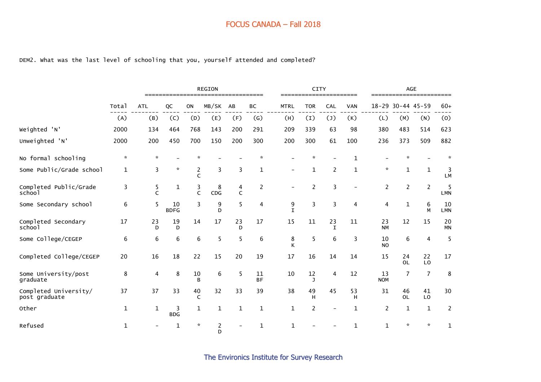#### DEM2. What was the last level of schooling that you, yourself attended and completed?

|                                        |              |               |                   |                    | <b>REGION</b><br>=================================== |         |                 |                  | <b>CITY</b>          | ======================= |            |                  |                 | <b>AGE</b><br>======================= |                  |
|----------------------------------------|--------------|---------------|-------------------|--------------------|------------------------------------------------------|---------|-----------------|------------------|----------------------|-------------------------|------------|------------------|-----------------|---------------------------------------|------------------|
|                                        | Total        | <b>ATL</b>    | QC                | ON                 | MB/SK                                                | AB      | BC              | <b>MTRL</b>      | <b>TOR</b>           | <b>CAL</b>              | <b>VAN</b> | $18 - 29$        |                 | $30 - 44$ 45-59                       | $60+$            |
|                                        | (A)          | (B)           | (C)               | (D)                | (E)                                                  | (F)     | (G)             | (H)              | (1)                  | (1)                     | (K)        | (L)              | (M)             | (N)                                   | (0)              |
| Weighted 'N'                           | 2000         | 134           | 464               | 768                | 143                                                  | 200     | 291             | 209              | 339                  | 63                      | 98         | 380              | 483             | 514                                   | 623              |
| Unweighted 'N'                         | 2000         | 200           | 450               | 700                | 150                                                  | 200     | 300             | 200              | 300                  | 61                      | 100        | 236              | 373             | 509                                   | 882              |
| No formal schooling                    | $\star$      | $\mathcal{R}$ |                   | ŵ                  |                                                      |         |                 |                  | $\boldsymbol{\star}$ |                         | 1          |                  |                 |                                       | $\mathcal{R}$    |
| Some Public/Grade school               | $\mathbf 1$  | 3             | $\star$           | 2<br>C             | 3                                                    | 3       | 1               |                  | 1                    | $\overline{c}$          | 1          | $\mathcal{R}$    | 1               | $\mathbf{1}$                          | 3<br>LM          |
| Completed Public/Grade<br>school       | 3            | 5<br>C        | $\mathbf 1$       | 3<br>C             | 8<br><b>CDG</b>                                      | 4<br>C  | $\overline{2}$  |                  | $\overline{2}$       | $\overline{3}$          |            | $\overline{2}$   | $\overline{2}$  | $\overline{2}$                        | 5<br><b>LMN</b>  |
| Some Secondary school                  | 6            | 5             | 10<br><b>BDFG</b> | 3                  | 9<br>D                                               | 5       | 4               | 9<br>$\mathbf I$ | $\overline{3}$       | $\overline{3}$          | 4          | 4                | $\mathbf{1}$    | 6<br>M                                | 10<br><b>LMN</b> |
| Completed Secondary<br>school          | 17           | 23<br>D       | 19<br>D           | 14                 | 17                                                   | 23<br>D | 17              | 15               | 11                   | 23<br>$\mathbf I$       | 11         | 23<br><b>NM</b>  | 12              | 15                                    | 20<br><b>MN</b>  |
| Some College/CEGEP                     | 6            | 6             | 6                 | 6                  | 5                                                    | 5       | 6               | 8<br>К           | 5                    | 6                       | 3          | 10<br><b>NO</b>  | 6               | 4                                     | 5                |
| Completed College/CEGEP                | 20           | 16            | 18                | 22                 | 15                                                   | 20      | 19              | 17               | 16                   | 14                      | 14         | 15               | 24<br><b>OL</b> | 22<br>LO                              | 17               |
| Some University/post<br>graduate       | 8            | 4             | 8                 | 10<br>B            | 6                                                    | 5       | 11<br><b>BF</b> | 10               | 12<br>J              | 4                       | 12         | 13<br><b>NOM</b> | $\overline{7}$  | $\overline{7}$                        | 8                |
| Completed University/<br>post graduate | 37           | 37            | 33                | 40<br>C            | 32                                                   | 33      | 39              | 38               | 49<br>н              | 45                      | 53<br>н    | 31               | 46<br><b>OL</b> | 41<br>L <sub>0</sub>                  | 30               |
| Other                                  | $\mathbf 1$  | $\mathbf{1}$  | 3<br><b>BDG</b>   | 1                  | $\mathbf{1}$                                         | 1       | 1               | 1                | $\overline{2}$       |                         | 1          | 2                | $\mathbf{1}$    | $\mathbf{1}$                          | $\overline{c}$   |
| Refused                                | $\mathbf{1}$ |               | $\mathbf 1$       | $\boldsymbol{\pi}$ | $\overline{c}$<br>D                                  |         | $\mathbf 1$     | 1                |                      |                         |            | $\mathbf{1}$     | ÷               | $\mathcal{R}$                         | $\mathbf 1$      |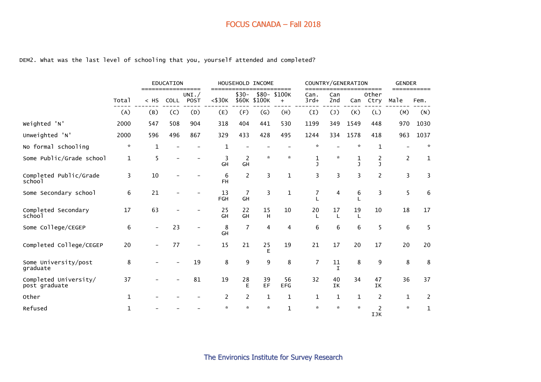#### DEM2. What was the last level of schooling that you, yourself attended and completed?

|                                        |              |                          | <b>EDUCATION</b><br>=====<br>$======$ |                     |                      |                      | HOUSEHOLD INCOME | ====                |                             |                | COUNTRY/GENERATION   | ====                           | <b>GENDER</b><br>=========== |                |
|----------------------------------------|--------------|--------------------------|---------------------------------------|---------------------|----------------------|----------------------|------------------|---------------------|-----------------------------|----------------|----------------------|--------------------------------|------------------------------|----------------|
|                                        | Total        | $<$ HS                   |                                       | UNI. /<br>COLL POST | $==$<br>$<$ \$30 $K$ | $$30-$               | \$60K \$100K     | \$80- \$100K<br>$+$ | Can.<br>$3rd+$              | Can<br>2nd     | Can                  | Other<br>Ctry                  | Male                         | Fem.           |
|                                        | (A)          | (B)                      | (C)                                   | (D)                 | (E)                  | (F)                  | (G)              | (H)                 | (1)                         | $(\mathsf{J})$ | (K)                  | (L)                            | (M)                          | (N)            |
| Weighted 'N'                           | 2000         | 547                      | 508                                   | 904                 | 318                  | 404                  | 441              | 530                 | 1199                        | 349            | 1549                 | 448                            | 970                          | 1030           |
| Unweighted 'N'                         | 2000         | 596                      | 496                                   | 867                 | 329                  | 433                  | 428              | 495                 | 1244                        | 334            | 1578                 | 418                            | 963                          | 1037           |
| No formal schooling                    | $\star$      | $\mathbf{1}$             |                                       |                     | 1                    |                      |                  |                     | $\star$                     |                | $\boldsymbol{\star}$ | 1                              |                              | $\mathcal{R}$  |
| Some Public/Grade school               | $\mathbf{1}$ | 5                        |                                       |                     | 3<br>GH              | $\overline{2}$<br>GH | $\star$          | $\mathcal{R}$       | $\mathbf 1$<br>$\mathbf{I}$ | $\mathcal{R}$  | 1<br>$\mathbf{I}$    | $\overline{c}$<br>$\mathbf{I}$ | $\overline{2}$               | 1              |
| Completed Public/Grade<br>school       | 3            | 10                       |                                       |                     | 6<br>FH.             | 2                    | 3                | $\mathbf{1}$        | 3                           | 3              | 3                    | $\overline{c}$                 | 3                            | 3              |
| Some Secondary school                  | 6            | 21                       |                                       |                     | 13<br>FGH            | $\overline{7}$<br>GH | 3                | $\mathbf 1$         | $\overline{7}$              | 4              | 6                    | 3                              | 5                            | 6              |
| Completed Secondary<br>school          | 17           | 63                       |                                       |                     | 25<br>GH             | 22<br>GH             | 15<br>H          | 10                  | 20                          | 17             | 19                   | 10                             | 18                           | 17             |
| Some College/CEGEP                     | 6            | $\overline{\phantom{a}}$ | 23                                    |                     | 8<br>GH              | $\overline{7}$       | 4                | 4                   | 6                           | 6              | 6                    | 5                              | 6                            | 5              |
| Completed College/CEGEP                | 20           |                          | 77                                    |                     | 15                   | 21                   | 25<br>E          | 19                  | 21                          | 17             | 20                   | 17                             | 20                           | 20             |
| Some University/post<br>graduate       | 8            |                          |                                       | 19                  | 8                    | 9                    | 9                | 8                   | $\overline{7}$              | $11\,$<br>I    | 8                    | 9                              | 8                            | 8              |
| Completed University/<br>post graduate | 37           |                          |                                       | 81                  | 19                   | 28<br>E              | 39<br>EF         | 56<br><b>EFG</b>    | 32                          | 40<br>IK       | 34                   | 47<br>IK                       | 36                           | 37             |
| Other                                  | 1            |                          |                                       |                     | 2                    | 2                    | $\mathbf{1}$     | $\mathbf{1}$        | 1                           | $\mathbf{1}$   | 1                    | 2                              | $\mathbf 1$                  | $\overline{2}$ |
| Refused                                | 1            |                          |                                       |                     | ÷                    | ×.                   | $\mathcal{R}$    | $\mathbf{1}$        | $\mathcal{R}$               | $\mathbf{x}$   | $\mathbf{x}$         | $\overline{c}$<br>IJK          | $\star$                      | $\mathbf{1}$   |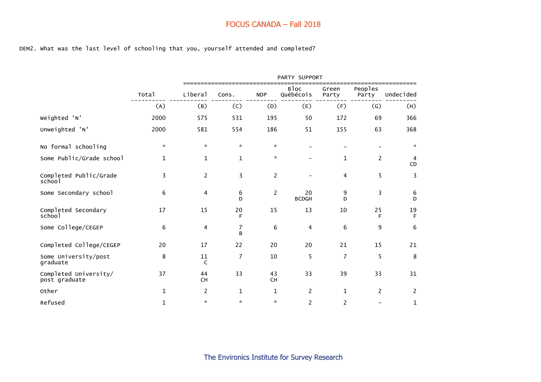DEM2. What was the last level of schooling that you, yourself attended and completed?

|                                        |              |                |                   |                | PARTY SUPPORT            |                |                           |                |
|----------------------------------------|--------------|----------------|-------------------|----------------|--------------------------|----------------|---------------------------|----------------|
|                                        | Total        | Liberal        | Cons.             | <b>NDP</b>     | <b>Bloc</b><br>Québécois | Green<br>Party | Peoples<br>Party          | Undecided      |
|                                        | (A)          | (B)            | (C)               | (D)            | (E)                      | (F)            | $\left(\mathsf{G}\right)$ | (H)            |
| Weighted 'N'                           | 2000         | 575            | 531               | 195            | 50                       | 172            | 69                        | 366            |
| Unweighted 'N'                         | 2000         | 581            | 554               | 186            | 51                       | 155            | 63                        | 368            |
| No formal schooling                    | $\star$      | *.             | $\star$           | $\pi$          |                          |                |                           | $\mathcal{R}$  |
| Some Public/Grade school               | 1            | $\mathbf 1$    | $\mathbf{1}$      | $\star$        |                          | 1              | 2                         | 4<br>CD        |
| Completed Public/Grade<br>school       | 3            | $\overline{2}$ | 3                 | $\overline{c}$ |                          | 4              | 5                         | 3              |
| Some Secondary school                  | 6            | 4              | 6<br>$\mathsf{D}$ | $\overline{c}$ | 20<br><b>BCDGH</b>       | 9<br>D         | 3                         | 6<br>D         |
| Completed Secondary<br>school          | 17           | 15             | 20<br>F           | 15             | 13                       | 10             | 25<br>F                   | 19<br>F        |
| Some College/CEGEP                     | 6            | 4              | 7<br>B            | 6              | 4                        | 6              | 9                         | 6              |
| Completed College/CEGEP                | 20           | 17             | 22                | 20             | 20                       | 21             | 15                        | 21             |
| Some University/post<br>graduate       | 8            | $11\,$<br>C    | $\overline{7}$    | 10             | 5                        | $\overline{7}$ | 5                         | 8              |
| Completed University/<br>post graduate | 37           | 44<br>CH       | 33                | 43<br>CH       | 33                       | 39             | 33                        | 31             |
| Other                                  | 1            | $\overline{c}$ | $\mathbf 1$       | $\mathbf 1$    | 2                        | $\mathbf{1}$   | $\overline{2}$            | $\overline{c}$ |
| Refused                                | $\mathbf{1}$ | *              | $\mathcal{H}$     | $\pi$          | $\overline{c}$           | 2              |                           | 1              |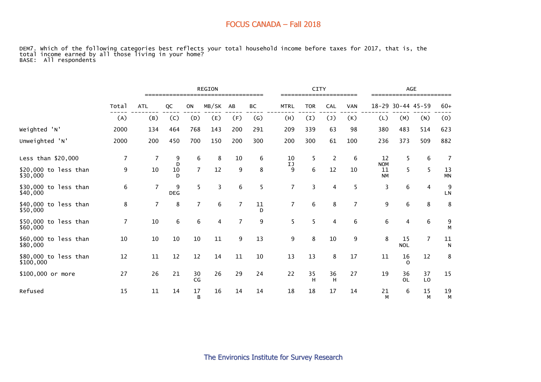DEM7. Which of the following categories best reflects your total household income before taxes for 2017, that is, the total income earned by all those living in your home? BASE: All respondents

|                                    |                | <b>REGION</b>  |                 |                |       |                |         |                |                  | <b>CITY</b>    |                |                               | AGE              |                      |                 |
|------------------------------------|----------------|----------------|-----------------|----------------|-------|----------------|---------|----------------|------------------|----------------|----------------|-------------------------------|------------------|----------------------|-----------------|
|                                    | Total          | <b>ATL</b>     | QC              | ON             | MB/SK | AB             | ВC      | <b>MTRL</b>    | <b>TOR</b>       | CAL            | <b>VAN</b>     | $18 - 29$                     | $30 - 44$ 45-59  |                      | $60+$           |
|                                    | (A)            | (B)            | (C)             | (D)            | (E)   | (F)            | (G)     | (H)            | $\left(1\right)$ | $(\texttt{J})$ | (K)            | (L)                           | (M)              | (N)                  | (0)             |
| Weighted 'N'                       | 2000           | 134            | 464             | 768            | 143   | 200            | 291     | 209            | 339              | 63             | 98             | 380                           | 483              | 514                  | 623             |
| Unweighted 'N'                     | 2000           | 200            | 450             | 700            | 150   | 200            | 300     | 200            | 300              | 61             | 100            | 236                           | 373              | 509                  | 882             |
| Less than \$20,000                 | $\overline{7}$ | $\overline{7}$ | 9               | 6              | 8     | 10             | 6       | 10             | 5                | $\overline{2}$ | 6              | 12                            | 5                | 6                    | $\overline{7}$  |
| \$20,000 to less than<br>\$30,000  | 9              | 10             | D<br>10<br>D    | $\overline{7}$ | 12    | 9              | 8       | IJ<br>9        | 6                | 12             | 10             | <b>NOM</b><br>11<br><b>NM</b> | 5                | 5                    | 13<br><b>MN</b> |
| \$30,000 to less than<br>\$40,000  | 6              | 7              | 9<br><b>DEG</b> | 5              | 3     | 6              | 5       | $\overline{7}$ | 3                | 4              | 5              | 3                             | 6                | 4                    | 9<br>${\sf LN}$ |
| \$40,000 to less than<br>\$50,000  | 8              | 7              | 8               | $\overline{7}$ | 6     | $\overline{7}$ | 11<br>D | $\overline{7}$ | 6                | 8              | $\overline{7}$ | 9                             | 6                | 8                    | 8               |
| \$50,000 to less than<br>\$60,000  | $\overline{7}$ | 10             | 6               | 6              | 4     | $\overline{7}$ | 9       | 5              | 5                | 4              | 6              | 6                             | 4                | 6                    | 9<br>M          |
| \$60,000 to less than<br>\$80,000  | 10             | 10             | 10              | 10             | 11    | 9              | 13      | 9              | 8                | 10             | 9              | 8                             | 15<br><b>NOL</b> | $\overline{7}$       | 11<br>N         |
| \$80,000 to less than<br>\$100,000 | 12             | 11             | 12              | 12             | 14    | 11             | 10      | 13             | 13               | 8              | 17             | 11                            | 16<br>0          | 12                   | 8               |
| \$100,000 or more                  | 27             | 26             | 21              | 30<br>CG       | 26    | 29             | 24      | 22             | 35<br>H          | 36<br>н        | 27             | 19                            | 36<br><b>OL</b>  | 37<br>L <sub>0</sub> | 15              |
| Refused                            | 15             | 11             | 14              | 17<br>B        | 16    | 14             | 14      | 18             | 18               | 17             | 14             | 21<br>M                       | 6                | 15<br>M              | 19<br>M         |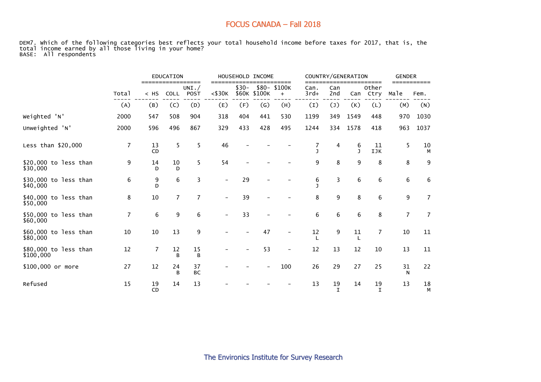DEM7. Which of the following categories best reflects your total household income before taxes for 2017, that is, the total income earned by all those living in your home? BASE: All respondents

|                                    |                |                             | EDUCATION      |                  |                          |        | HOUSEHOLD INCOME          |                                    |                       |                   | COUNTRY/GENERATION |                         | <b>GENDER</b>  |                     |
|------------------------------------|----------------|-----------------------------|----------------|------------------|--------------------------|--------|---------------------------|------------------------------------|-----------------------|-------------------|--------------------|-------------------------|----------------|---------------------|
|                                    | Total          | =================<br>$<$ HS | <b>COLL</b>    | UNI. $/$<br>POST | ====<br>$<$ \$30 $K$     | $$30-$ | \$60K \$100K              | ======<br>\$80-\$100K<br>$\ddot{}$ | ===<br>Can.<br>$3rd+$ | Can<br>2nd        | Can                | ======<br>Other<br>Ctry | Male           | ===========<br>Fem. |
|                                    | (A)            | (B)                         | (C)            | (D)              | (E)                      | (F)    | $\left(\mathsf{G}\right)$ | (H)                                | (1)                   | $(\mathsf{J})$    | (K)                | (L)                     | (M)            | (N)                 |
| Weighted 'N'                       | 2000           | 547                         | 508            | 904              | 318                      | 404    | 441                       | 530                                | 1199                  | 349               | 1549               | 448                     | 970            | 1030                |
| Unweighted 'N'                     | 2000           | 596                         | 496            | 867              | 329                      | 433    | 428                       | 495                                | 1244                  | 334               | 1578               | 418                     | 963            | 1037                |
| Less than \$20,000                 | 7              | 13<br>CD                    | 5              | 5                | 46                       |        |                           |                                    | $\mathbf{I}$          | 4                 | 6<br>$\mathbf{I}$  | 11<br>IJK               | 5              | 10<br>М             |
| \$20,000 to less than<br>\$30,000  | 9              | 14<br>D                     | 10<br>D        | 5                | 54                       |        |                           |                                    | 9                     | 8                 | 9                  | 8                       | 8              | 9                   |
| \$30,000 to less than<br>\$40,000  | 6              | 9<br>D                      | 6              | 3                | $\overline{\phantom{0}}$ | 29     |                           |                                    | 6<br>J.               | 3                 | 6                  | 6                       | 6              | $\,6\,$             |
| \$40,000 to less than<br>\$50,000  | 8              | 10                          | $\overline{7}$ | $\overline{7}$   |                          | 39     |                           |                                    | 8                     | 9                 | 8                  | 6                       | 9              | $\overline{7}$      |
| \$50,000 to less than<br>\$60,000  | $\overline{7}$ | 6                           | 9              | 6                |                          | 33     |                           |                                    | 6                     | 6                 | 6                  | 8                       | $\overline{7}$ | $\overline{7}$      |
| \$60,000 to less than<br>\$80,000  | 10             | 10                          | 13             | 9                |                          |        | 47                        |                                    | 12<br>L               | 9                 | 11                 | 7                       | 10             | 11                  |
| \$80,000 to less than<br>\$100,000 | 12             | $\overline{7}$              | 12<br>B        | 15<br>B          |                          |        | 53                        |                                    | 12                    | 13                | 12                 | 10                      | 13             | 11                  |
| \$100,000 or more                  | 27             | 12                          | 24<br>B        | 37<br><b>BC</b>  |                          |        |                           | 100                                | 26                    | 29                | 27                 | 25                      | 31<br>N        | 22                  |
| Refused                            | 15             | 19<br>CD                    | 14             | 13               |                          |        |                           |                                    | 13                    | 19<br>$\mathbf I$ | 14                 | 19<br>$\mathbf I$       | 13             | 18<br>M             |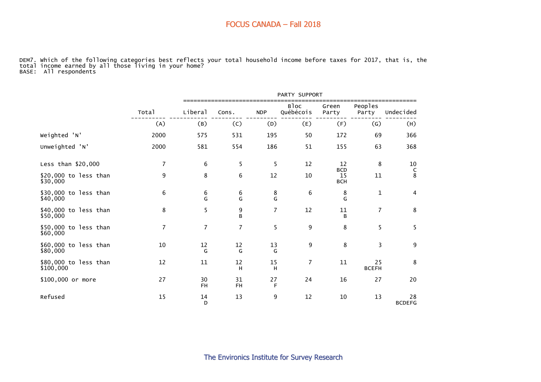DEM7. Which of the following categories best reflects your total household income before taxes for 2017, that is, the total income earned by all those living in your home? BASE: All respondents

|                                    |                |                 |                 |                | PARTY SUPPORT                 |                  |                    |                          |
|------------------------------------|----------------|-----------------|-----------------|----------------|-------------------------------|------------------|--------------------|--------------------------|
|                                    | Total          | Liberal         | Cons.           | <b>NDP</b>     | B <sub>loc</sub><br>Québécois | Green<br>Party   | Peoples<br>Party   | Undecided                |
|                                    | (A)            | (B)             | (C)             | (D)            | (E)                           | (F)              | $\left( G\right)$  | (H)                      |
| Weighted 'N'                       | 2000           | 575             | 531             | 195            | 50                            | 172              | 69                 | 366                      |
| Unweighted 'N'                     | 2000           | 581             | 554             | 186            | 51                            | 155              | 63                 | 368                      |
| Less than \$20,000                 | $\overline{7}$ | 6               | 5               | 5              | 12                            | 12<br><b>BCD</b> | 8                  | 10                       |
| \$20,000 to less than<br>\$30,000  | 9              | 8               | 6               | 12             | 10                            | 15<br><b>BCH</b> | 11                 | $_\mathrm{8}^\mathrm{C}$ |
| \$30,000 to less than<br>\$40,000  | 6              | 6<br>G          | 6<br>G          | 8<br>G         | 6                             | 8<br>G           | $\mathbf{1}$       | $\overline{\mathbf{4}}$  |
| \$40,000 to less than<br>\$50,000  | 8              | 5               | 9<br>B          | $\overline{7}$ | 12                            | $11\,$<br>B      | $\overline{7}$     | $\bf 8$                  |
| \$50,000 to less than<br>\$60,000  | $\overline{7}$ | $\overline{7}$  | $\overline{7}$  | 5              | 9                             | 8                | 5                  | 5                        |
| \$60,000 to less than<br>\$80,000  | 10             | 12<br>G         | 12<br>G         | 13<br>G        | 9                             | 8                | 3                  | $\boldsymbol{9}$         |
| \$80,000 to less than<br>\$100,000 | 12             | 11              | 12<br>H         | 15<br>H        | $\overline{7}$                | 11               | 25<br><b>BCEFH</b> | 8                        |
| \$100,000 or more                  | 27             | 30<br><b>FH</b> | 31<br><b>FH</b> | 27<br>F        | 24                            | 16               | 27                 | 20                       |
| Refused                            | 15             | 14<br>D         | 13              | 9              | 12                            | 10               | 13                 | 28<br><b>BCDEFG</b>      |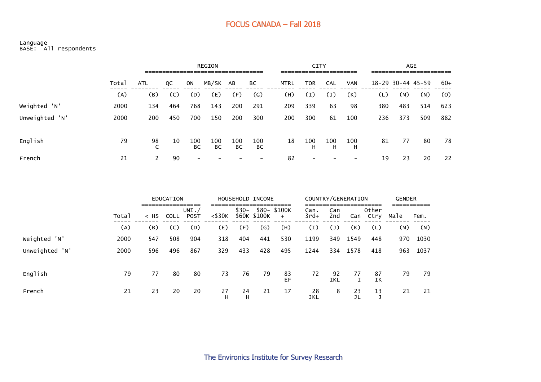#### Language BASE: All respondents

|                |       |            |     |           | <b>REGION</b> |           |                   |             |          | CITY                     |            |     |     | <b>AGE</b>            |       |
|----------------|-------|------------|-----|-----------|---------------|-----------|-------------------|-------------|----------|--------------------------|------------|-----|-----|-----------------------|-------|
|                | Total | <b>ATL</b> | QC  | ON        | MB/SK AB      |           | ВC                | <b>MTRL</b> | TOR      | CAL                      | <b>VAN</b> |     |     | $18 - 29$ 30-44 45-59 | $60+$ |
|                | (A)   | (B)        | (C) | (D)       | (E)           | (F)       | $\left( G\right)$ | (H)         | (I)      | $\mathsf{L}(\mathsf{I})$ | (K)        | (L) | (M) | (N)                   | (0)   |
| Weighted 'N'   | 2000  | 134        | 464 | 768       | 143           | 200       | 291               | 209         | 339      | 63                       | 98         | 380 | 483 | 514                   | 623   |
| Unweighted 'N' | 2000  | 200        | 450 | 700       | 150           | 200       | 300               | 200         | 300      | 61                       | 100        | 236 | 373 | 509                   | 882   |
| English        | 79    | 98         | 10  | 100<br>BC | 100<br>ВC     | 100<br>ВC | 100<br>ВC         | 18          | 100<br>н | 100<br>н                 | 100<br>H   | 81  | 77  | 80                    | 78    |
| French         | 21    |            | 90  |           |               |           |                   | 82          |          |                          |            | 19  | 23  | 20                    | 22    |

|                |       |        | EDUCATION |                     |              |         | HOUSEHOLD INCOME |                                |                |                  | COUNTRY/GENERATION |               | <b>GENDER</b> |      |
|----------------|-------|--------|-----------|---------------------|--------------|---------|------------------|--------------------------------|----------------|------------------|--------------------|---------------|---------------|------|
|                | Total | $<$ HS | COLL      | UNI.<br><b>POST</b> | $<$ \$30 $K$ | $$30-$  | \$60K \$100K     | \$80- \$100K<br>$\overline{+}$ | Can.<br>$3rd+$ | Can<br>2nd       | Can                | Other<br>Ctry | Male          | Fem. |
|                | (A)   | (B)    | (C)       | (D)                 | (E)          | (F)     | (G)              | (H)                            | (1)            | $(\mathsf{J})$   | (K)                | (L)           | (M)           | (N)  |
| Weighted 'N'   | 2000  | 547    | 508       | 904                 | 318          | 404     | 441              | 530                            | 1199           | 349              | 1549               | 448           | 970           | 1030 |
| Unweighted 'N' | 2000  | 596    | 496       | 867                 | 329          | 433     | 428              | 495                            | 1244           | 334              | 1578               | 418           | 963           | 1037 |
| English        | 79    | 77     | 80        | 80                  | 73           | 76      | 79               | 83<br>EF                       | 72             | 92<br><b>IKL</b> | 77                 | 87<br>IΚ      | 79            | 79   |
| French         | 21    | 23     | 20        | 20                  | 27<br>н      | 24<br>н | 21               | 17                             | 28<br>JKL      | 8                | 23                 | 13            | 21            | 21   |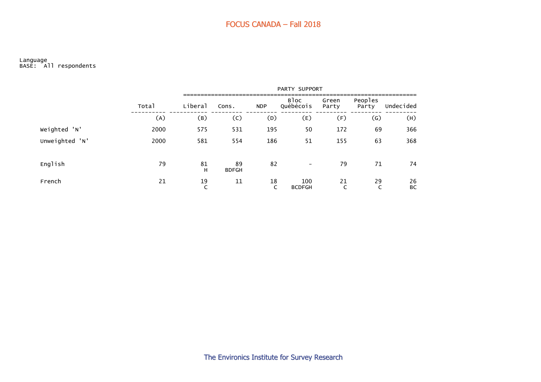#### Language BASE: All respondents

|         |                |       |                       |                    |            | PARTY SUPPORT            |                |                  |                 |
|---------|----------------|-------|-----------------------|--------------------|------------|--------------------------|----------------|------------------|-----------------|
|         |                | Total | Liberal               | Cons.              | <b>NDP</b> | Bloc<br>Québécois        | Green<br>Party | Peoples<br>Party | Undecided       |
|         |                | (A)   | (B)                   | (C)                | (D)        | (E)                      | (F)            | (G)              | (H)             |
|         | Weighted 'N'   | 2000  | 575                   | 531                | 195        | 50                       | 172            | 69               | 366             |
|         | Unweighted 'N' | 2000  | 581                   | 554                | 186        | 51                       | 155            | 63               | 368             |
| English |                | 79    | 81<br>H               | 89<br><b>BDFGH</b> | 82         | $\overline{\phantom{m}}$ | 79             | 71               | 74              |
| French  |                | 21    | 19<br>$\sqrt{2}$<br>╰ | 11                 | 18<br>C    | 100<br><b>BCDFGH</b>     | 21<br>C        | 29<br>C          | 26<br><b>BC</b> |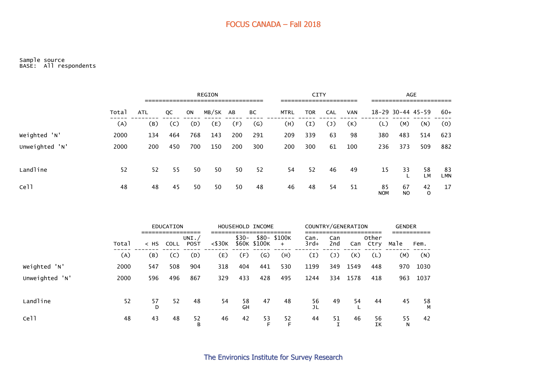#### Sample source BASE: All respondents

|                  | <b>REGION</b><br>-----------------------------<br>---------------------------------- |            |     |     |          |     |                |             | <b>CITY</b><br>______________________ |     |            | <b>AGE</b><br>____________________ |           |          |           |
|------------------|--------------------------------------------------------------------------------------|------------|-----|-----|----------|-----|----------------|-------------|---------------------------------------|-----|------------|------------------------------------|-----------|----------|-----------|
|                  | Total                                                                                | <b>ATL</b> | QC  | ON  | MB/SK AB |     | ВC             | <b>MTRL</b> | TOR                                   | CAL | <b>VAN</b> | $18 - 29$ 30-44 45-59              |           |          | $60+$     |
|                  | (A)                                                                                  | (B)        | (C) | (D) | (E)      | (F) | $\mathsf{(G)}$ | (H)         | (I)                                   | (J) | (K)        | (L)                                | (M)       | (N)      | (0)       |
| Weighted 'N'     | 2000                                                                                 | 134        | 464 | 768 | 143      | 200 | 291            | 209         | 339                                   | 63  | 98         | 380                                | 483       | 514      | 623       |
| Unweighted 'N'   | 2000                                                                                 | 200        | 450 | 700 | 150      | 200 | 300            | 200         | 300                                   | 61  | 100        | 236                                | 373       | 509      | 882       |
| Landline         | 52                                                                                   | 52         | 55  | 50  | 50       | 50  | 52             | 54          | 52                                    | 46  | 49         | 15                                 | 33        | 58<br>LM | 83<br>LMN |
| Ce <sub>11</sub> | 48                                                                                   | 48         | 45  | 50  | 50       | 50  | 48             | 46          | 48                                    | 54  | 51         | 85<br><b>NOM</b>                   | 67<br>NO. | 42<br>0  | 17        |

|                  |       |        | <b>EDUCATION</b> |                       |              |          | HOUSEHOLD INCOME  |                     |                | COUNTRY/GENERATION |      |               |         | <b>GENDER</b> |
|------------------|-------|--------|------------------|-----------------------|--------------|----------|-------------------|---------------------|----------------|--------------------|------|---------------|---------|---------------|
|                  | Total | $<$ HS | <b>COLL</b>      | UNI. /<br><b>POST</b> | $<$ \$30 $<$ | $$30-$   | \$60K \$100K      | \$80- \$100K<br>$+$ | Can.<br>$3rd+$ | Can<br>2nd         | Can  | Other<br>Ctry | Male    | Fem.          |
|                  | (A)   | (B)    | (C)              | (D)                   | (E)          | (F)      | $\left( G\right)$ | (H)                 | (I)            | (J)                | (K)  | (L)           | (M)     | (N)           |
| Weighted 'N'     | 2000  | 547    | 508              | 904                   | 318          | 404      | 441               | 530                 | 1199           | 349                | 1549 | 448           | 970     | 1030          |
| Unweighted 'N'   | 2000  | 596    | 496              | 867                   | 329          | 433      | 428               | 495                 | 1244           | 334                | 1578 | 418           | 963     | 1037          |
| Landline         | 52    | 57     | 52               | 48                    | 54           | 58<br>GH | 47                | 48                  | 56<br>JL       | 49                 | 54   | 44            | 45      | 58<br>м       |
| Ce <sub>11</sub> | 48    | 43     | 48               | 52<br>в               | 46           | 42       | 53                | 52                  | 44             | 51                 | 46   | 56<br>IΚ      | 55<br>N | 42            |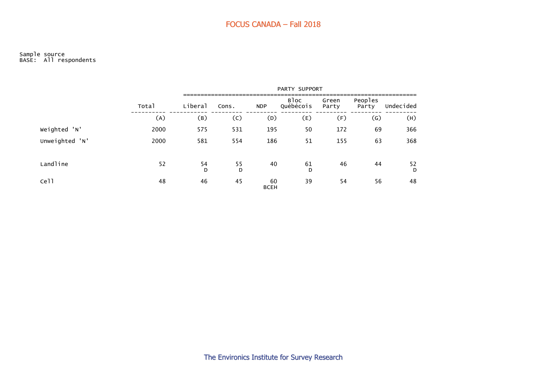#### Sample source BASE: All respondents

|                  |       | PARTY SUPPORT |         |                   |                   |                |                  |           |  |  |  |  |
|------------------|-------|---------------|---------|-------------------|-------------------|----------------|------------------|-----------|--|--|--|--|
|                  | Total | Liberal       | Cons.   | <b>NDP</b>        | Bloc<br>Québécois | Green<br>Party | Peoples<br>Party | Undecided |  |  |  |  |
|                  | (A)   | (B)           | (C)     | (D)               | (E)               | (F)            | (G)              | (H)       |  |  |  |  |
| Weighted 'N'     | 2000  | 575           | 531     | 195               | 50                | 172            | 69               | 366       |  |  |  |  |
| Unweighted 'N'   | 2000  | 581           | 554     | 186               | 51                | 155            | 63               | 368       |  |  |  |  |
| Landline         | 52    | 54<br>D       | 55<br>D | 40                | 61<br>D           | 46             | 44               | 52<br>D   |  |  |  |  |
| Ce <sub>11</sub> | 48    | 46            | 45      | 60<br><b>BCEH</b> | 39                | 54             | 56               | 48        |  |  |  |  |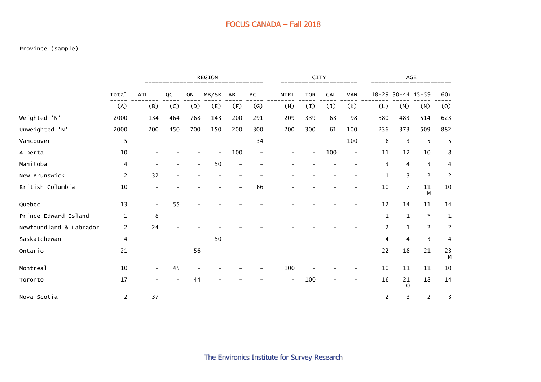#### Province (sample)

|                         |                | <b>REGION</b> |     |     |                          |                          |                   | <b>CITY</b> |            |     | AGE                      |     |                   |                |                |
|-------------------------|----------------|---------------|-----|-----|--------------------------|--------------------------|-------------------|-------------|------------|-----|--------------------------|-----|-------------------|----------------|----------------|
|                         | Total          | <b>ATL</b>    | QC  | ON  | MB/SK                    | AB                       | ВC                | <b>MTRL</b> | <b>TOR</b> | CAL | <b>VAN</b>               |     | 18-29 30-44 45-59 |                | $60+$          |
|                         | (A)            | (B)           | (C) | (D) | (E)                      | (F)                      | $\left( G\right)$ | (H)         | (1)        | (1) | (K)                      | (L) | (M)               | (N)            | (0)            |
| Weighted 'N'            | 2000           | 134           | 464 | 768 | 143                      | 200                      | 291               | 209         | 339        | 63  | 98                       | 380 | 483               | 514            | 623            |
| Unweighted 'N'          | 2000           | 200           | 450 | 700 | 150                      | 200                      | 300               | 200         | 300        | 61  | 100                      | 236 | 373               | 509            | 882            |
| Vancouver               | 5              |               |     |     |                          |                          | 34                |             |            |     | 100                      | 6   | 3                 | 5              | 5              |
| Alberta                 | 10             |               |     |     | $\overline{\phantom{0}}$ | 100                      |                   |             |            | 100 | $\overline{\phantom{a}}$ | 11  | 12                | 10             | 8              |
| Manitoba                | 4              |               |     |     | 50                       |                          |                   |             |            |     |                          | 3   | 4                 | 3              | 4              |
| New Brunswick           | $\overline{c}$ | 32            |     |     |                          |                          |                   |             |            |     |                          | 1   | 3                 | $\overline{c}$ | 2              |
| British Columbia        | 10             |               |     |     |                          |                          | 66                |             |            |     |                          | 10  | $\overline{7}$    | $11\,$<br>M    | $10\,$         |
| Quebec                  | 13             |               | 55  |     |                          |                          |                   |             |            |     |                          | 12  | 14                | 11             | 14             |
| Prince Edward Island    | $\mathbf 1$    | 8             |     |     |                          |                          |                   |             |            |     |                          | 1   | $\mathbf{1}$      | $\star$        | $\mathbf 1$    |
| Newfoundland & Labrador | $\overline{c}$ | 24            |     |     |                          |                          |                   |             |            |     |                          | 2   | $\mathbf{1}$      | $\overline{c}$ | $\overline{c}$ |
| Saskatchewan            | 4              |               |     |     | 50                       | $\overline{\phantom{0}}$ |                   |             |            |     |                          | 4   | 4                 | 3              | 4              |
| Ontario                 | 21             |               |     | 56  | $\overline{\phantom{0}}$ |                          |                   |             |            |     |                          | 22  | 18                | 21             | 23<br>M        |
| Montreal                | 10             |               | 45  |     |                          |                          |                   | 100         |            |     |                          | 10  | $11\,$            | 11             | 10             |
| Toronto                 | 17             |               |     | 44  |                          |                          |                   |             | 100        |     |                          | 16  | 21<br>$\Omega$    | 18             | 14             |
| Nova Scotia             | $\overline{2}$ | 37            |     |     |                          |                          |                   |             |            |     |                          | 2   | 3                 | $\overline{c}$ | 3              |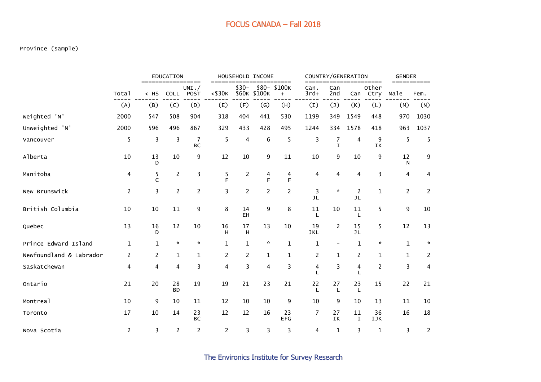#### Province (sample)

|                         |                |                | <b>EDUCATION</b>   | =====                |                |                | HOUSEHOLD INCOME       | =====               |                    |                          | COUNTRY/GENERATION   | =====         | <b>GENDER</b><br>=========== |                    |  |
|-------------------------|----------------|----------------|--------------------|----------------------|----------------|----------------|------------------------|---------------------|--------------------|--------------------------|----------------------|---------------|------------------------------|--------------------|--|
|                         | Total          | $<$ HS         | COLL               | UNI.<br><b>POST</b>  | $<$ \$30 $K$   | $$30-$         | $$80-$<br>\$60K \$100K | \$100K<br>$+$       | Can.<br>$3rd+$     | Can<br>2nd               | Can                  | Other<br>Ctry | Male                         | Fem.               |  |
|                         | (A)            | (B)            | (C)                | (D)                  | (E)            | (F)            | (G)                    | (H)                 | (I)                | $(\texttt{J})$           | (K)                  | (L)           | (M)                          | (N)                |  |
| Weighted 'N'            | 2000           | 547            | 508                | 904                  | 318            | 404            | 441                    | 530                 | 1199               | 349                      | 1549                 | 448           | 970                          | 1030               |  |
| Unweighted 'N'          | 2000           | 596            | 496                | 867                  | 329            | 433            | 428                    | 495                 | 1244               | 334                      | 1578                 | 418           | 963                          | 1037               |  |
| Vancouver               | 5              | 3              | 3                  | $\overline{7}$<br>BC | 5              | 4              | $\boldsymbol{6}$       | 5                   | 3                  | 7<br>$\mathbf I$         | 4                    | 9<br>IK       | 5                            | 5                  |  |
| Alberta                 | $10\,$         | 13<br>D        | $10\,$             | 9                    | 12             | 10             | 9                      | 11                  | $10\,$             | 9                        | 10                   | 9             | 12<br>N                      | 9                  |  |
| Manitoba                | 4              | 5<br>C         | $\overline{c}$     | 3                    | 5<br>F         | $\overline{c}$ | 4<br>F                 | $\overline{4}$<br>F | 4                  | $\overline{\mathbf{4}}$  | 4                    | 3             | 4                            | 4                  |  |
| New Brunswick           | $\overline{2}$ | 3              | $\overline{c}$     | $\overline{c}$       | 3              | $\overline{c}$ | $\overline{2}$         | $\overline{c}$      | 3<br>JL            | $\mathbf{x}$             | $\overline{2}$<br>JL | $\mathbf{1}$  | $\overline{c}$               | 2                  |  |
| British Columbia        | 10             | 10             | 11                 | 9                    | 8              | 14<br>EH       | 9                      | 8                   | 11<br>L            | 10                       | 11<br>L              | 5             | 9                            | 10                 |  |
| Quebec                  | 13             | 16<br>D        | 12                 | 10                   | 16<br>H        | 17<br>H        | 13                     | $10\,$              | 19<br><b>JKL</b>   | 2                        | 15<br><b>JL</b>      | 5             | 12                           | 13                 |  |
| Prince Edward Island    | 1              | $\mathbf{1}$   | $\boldsymbol{\pi}$ | $\star$              | $\mathbf{1}$   | $\mathbf{1}$   | $\star$                | $\mathbf{1}$        | 1                  | $\overline{\phantom{0}}$ | 1                    | $\star$       | $\mathbf{1}$                 | $\boldsymbol{\pi}$ |  |
| Newfoundland & Labrador | 2              | $\overline{2}$ | $\mathbf{1}$       | $\mathbf{1}$         | 2              | 2              | $\mathbf{1}$           | $\mathbf 1$         | 2                  | $\mathbf 1$              | 2                    | 1             | $\mathbf{1}$                 | $\overline{2}$     |  |
| Saskatchewan            | 4              | 4              | 4                  | 3                    | 4              | 3              | 4                      | 3                   | 4<br>$\mathbf{I}$  | 3                        | 4                    | 2             | 3                            | 4                  |  |
| Ontario                 | 21             | 20             | 28<br><b>BD</b>    | 19                   | 19             | 21             | 23                     | 21                  | 22<br>$\mathbf{I}$ | 27<br>L                  | 23<br>L              | 15            | 22                           | 21                 |  |
| Montreal                | 10             | 9              | 10                 | 11                   | 12             | 10             | 10                     | 9                   | 10                 | 9                        | 10                   | 13            | 11                           | 10                 |  |
| Toronto                 | 17             | 10             | 14                 | 23<br><b>BC</b>      | 12             | 12             | 16                     | 23<br><b>EFG</b>    | 7                  | 27<br>IK                 | 11<br>$\mathbf I$    | 36<br>IJK     | 16                           | 18                 |  |
| Nova Scotia             | $\overline{c}$ | 3              | $\overline{c}$     | $\overline{c}$       | $\overline{c}$ | 3              | 3                      | 3                   | 4                  | 1                        | 3                    | 1             | 3                            | 2                  |  |